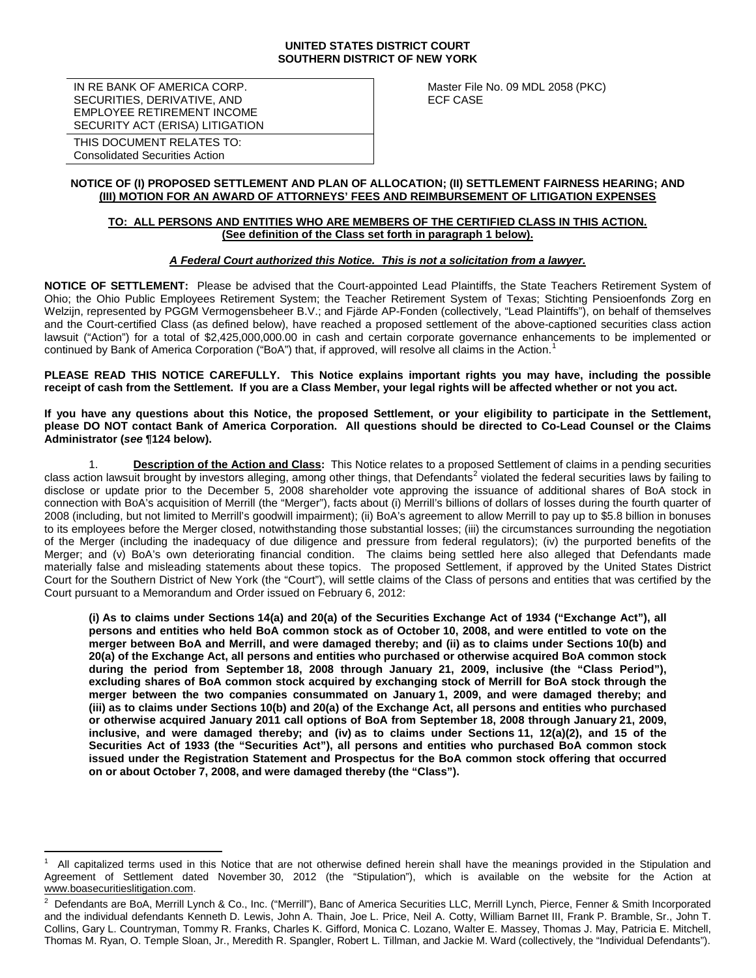#### **UNITED STATES DISTRICT COURT SOUTHERN DISTRICT OF NEW YORK**

IN RE BANK OF AMERICA CORP. SECURITIES, DERIVATIVE, AND EMPLOYEE RETIREMENT INCOME SECURITY ACT (ERISA) LITIGATION Master File No. 09 MDL 2058 (PKC) ECF CASE

THIS DOCUMENT RELATES TO: Consolidated Securities Action

### **NOTICE OF (I) PROPOSED SETTLEMENT AND PLAN OF ALLOCATION; (II) SETTLEMENT FAIRNESS HEARING; AND (III) MOTION FOR AN AWARD OF ATTORNEYS' FEES AND REIMBURSEMENT OF LITIGATION EXPENSES**

### **TO: ALL PERSONS AND ENTITIES WHO ARE MEMBERS OF THE CERTIFIED CLASS IN THIS ACTION. (See definition of the Class set forth in paragraph 1 below).**

### *A Federal Court authorized this Notice. This is not a solicitation from a lawyer.*

**NOTICE OF SETTLEMENT:** Please be advised that the Court-appointed Lead Plaintiffs, the State Teachers Retirement System of Ohio; the Ohio Public Employees Retirement System; the Teacher Retirement System of Texas; Stichting Pensioenfonds Zorg en Welzijn, represented by PGGM Vermogensbeheer B.V.; and Fjärde AP-Fonden (collectively, "Lead Plaintiffs"), on behalf of themselves and the Court-certified Class (as defined below), have reached a proposed settlement of the above-captioned securities class action lawsuit ("Action") for a total of \$2,425,000,000.00 in cash and certain corporate governance enhancements to be implemented or continued by Bank of America Corporation ("BoA") that, if approved, will resolve all claims in the Action.<sup>[1](#page-0-0)</sup>

**PLEASE READ THIS NOTICE CAREFULLY. This Notice explains important rights you may have, including the possible receipt of cash from the Settlement. If you are a Class Member, your legal rights will be affected whether or not you act.**

**If you have any questions about this Notice, the proposed Settlement, or your eligibility to participate in the Settlement, please DO NOT contact Bank of America Corporation. All questions should be directed to Co-Lead Counsel or the Claims Administrator (***see* **¶124 below).** 

1. **Description of the Action and Class:** This Notice relates to a proposed Settlement of claims in a pending securities class action lawsuit brought by investors alleging, among other things, that Defendants<sup>[2](#page-0-1)</sup> violated the federal securities laws by failing to disclose or update prior to the December 5, 2008 shareholder vote approving the issuance of additional shares of BoA stock in connection with BoA's acquisition of Merrill (the "Merger"), facts about (i) Merrill's billions of dollars of losses during the fourth quarter of 2008 (including, but not limited to Merrill's goodwill impairment); (ii) BoA's agreement to allow Merrill to pay up to \$5.8 billion in bonuses to its employees before the Merger closed, notwithstanding those substantial losses; (iii) the circumstances surrounding the negotiation of the Merger (including the inadequacy of due diligence and pressure from federal regulators); (iv) the purported benefits of the Merger; and (v) BoA's own deteriorating financial condition.The claims being settled here also alleged that Defendants made materially false and misleading statements about these topics. The proposed Settlement, if approved by the United States District Court for the Southern District of New York (the "Court"), will settle claims of the Class of persons and entities that was certified by the Court pursuant to a Memorandum and Order issued on February 6, 2012:

**(i) As to claims under Sections 14(a) and 20(a) of the Securities Exchange Act of 1934 ("Exchange Act"), all persons and entities who held BoA common stock as of October 10, 2008, and were entitled to vote on the merger between BoA and Merrill, and were damaged thereby; and (ii) as to claims under Sections 10(b) and 20(a) of the Exchange Act, all persons and entities who purchased or otherwise acquired BoA common stock during the period from September 18, 2008 through January 21, 2009, inclusive (the "Class Period"), excluding shares of BoA common stock acquired by exchanging stock of Merrill for BoA stock through the merger between the two companies consummated on January 1, 2009, and were damaged thereby; and (iii) as to claims under Sections 10(b) and 20(a) of the Exchange Act, all persons and entities who purchased or otherwise acquired January 2011 call options of BoA from September 18, 2008 through January 21, 2009, inclusive, and were damaged thereby; and (iv) as to claims under Sections 11, 12(a)(2), and 15 of the Securities Act of 1933 (the "Securities Act"), all persons and entities who purchased BoA common stock issued under the Registration Statement and Prospectus for the BoA common stock offering that occurred on or about October 7, 2008, and were damaged thereby (the "Class").**

<span id="page-0-0"></span> $\frac{1}{1}$  All capitalized terms used in this Notice that are not otherwise defined herein shall have the meanings provided in the Stipulation and Agreement of Settlement dated November 30, 2012 (the "Stipulation"), which is available on the website for the Action at www.boasecuritieslitigation.com.

<span id="page-0-1"></span><sup>2</sup> Defendants are BoA, Merrill Lynch & Co., Inc. ("Merrill"), Banc of America Securities LLC, Merrill Lynch, Pierce, Fenner & Smith Incorporated and the individual defendants Kenneth D. Lewis, John A. Thain, Joe L. Price, Neil A. Cotty, William Barnet III, Frank P. Bramble, Sr., John T. Collins, Gary L. Countryman, Tommy R. Franks, Charles K. Gifford, Monica C. Lozano, Walter E. Massey, Thomas J. May, Patricia E. Mitchell, Thomas M. Ryan, O. Temple Sloan, Jr., Meredith R. Spangler, Robert L. Tillman, and Jackie M. Ward (collectively, the "Individual Defendants").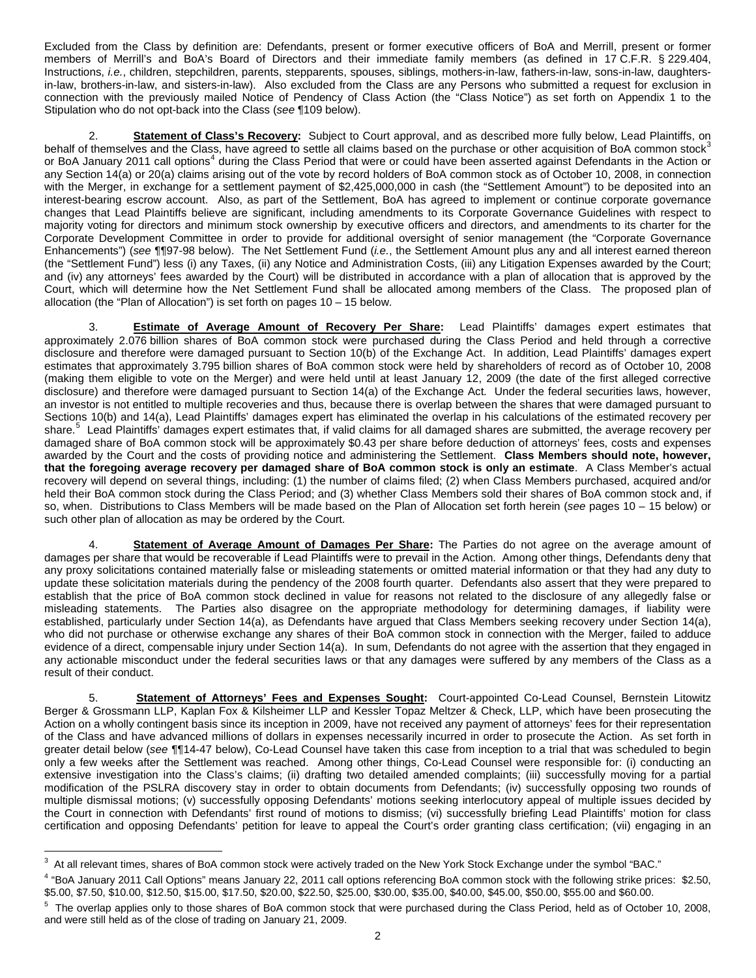Excluded from the Class by definition are: Defendants, present or former executive officers of BoA and Merrill, present or former members of Merrill's and BoA's Board of Directors and their immediate family members (as defined in 17 C.F.R. § 229.404, Instructions, *i.e.*, children, stepchildren, parents, stepparents, spouses, siblings, mothers-in-law, fathers-in-law, sons-in-law, daughtersin-law, brothers-in-law, and sisters-in-law). Also excluded from the Class are any Persons who submitted a request for exclusion in connection with the previously mailed Notice of Pendency of Class Action (the "Class Notice") as set forth on Appendix 1 to the Stipulation who do not opt-back into the Class (*see* ¶109 below).

2. **Statement of Class's Recovery:** Subject to Court approval, and as described more fully below, Lead Plaintiffs, on behalf of themselves and the Class, have agreed to settle all claims based on the purchase or other acquisition of BoA common stock<sup>[3](#page-0-0)</sup> or BoA January 2011 call options<sup>[4](#page-1-0)</sup> during the Class Period that were or could have been asserted against Defendants in the Action or any Section 14(a) or 20(a) claims arising out of the vote by record holders of BoA common stock as of October 10, 2008, in connection with the Merger, in exchange for a settlement payment of \$2,425,000,000 in cash (the "Settlement Amount") to be deposited into an interest-bearing escrow account. Also, as part of the Settlement, BoA has agreed to implement or continue corporate governance changes that Lead Plaintiffs believe are significant, including amendments to its Corporate Governance Guidelines with respect to majority voting for directors and minimum stock ownership by executive officers and directors, and amendments to its charter for the Corporate Development Committee in order to provide for additional oversight of senior management (the "Corporate Governance Enhancements") (*see* ¶¶97-98 below). The Net Settlement Fund (*i.e.*, the Settlement Amount plus any and all interest earned thereon (the "Settlement Fund") less (i) any Taxes, (ii) any Notice and Administration Costs, (iii) any Litigation Expenses awarded by the Court; and (iv) any attorneys' fees awarded by the Court) will be distributed in accordance with a plan of allocation that is approved by the Court, which will determine how the Net Settlement Fund shall be allocated among members of the Class. The proposed plan of allocation (the "Plan of Allocation") is set forth on pages 10 – 15 below.

3. **Estimate of Average Amount of Recovery Per Share:** Lead Plaintiffs' damages expert estimates that approximately 2.076 billion shares of BoA common stock were purchased during the Class Period and held through a corrective disclosure and therefore were damaged pursuant to Section 10(b) of the Exchange Act. In addition, Lead Plaintiffs' damages expert estimates that approximately 3.795 billion shares of BoA common stock were held by shareholders of record as of October 10, 2008 (making them eligible to vote on the Merger) and were held until at least January 12, 2009 (the date of the first alleged corrective disclosure) and therefore were damaged pursuant to Section 14(a) of the Exchange Act. Under the federal securities laws, however, an investor is not entitled to multiple recoveries and thus, because there is overlap between the shares that were damaged pursuant to Sections 10(b) and 14(a), Lead Plaintiffs' damages expert has eliminated the overlap in his calculations of the estimated recovery per share.<sup>[5](#page-1-1)</sup> Lead Plaintiffs' damages expert estimates that, if valid claims for all damaged shares are submitted, the average recovery per damaged share of BoA common stock will be approximately \$0.43 per share before deduction of attorneys' fees, costs and expenses awarded by the Court and the costs of providing notice and administering the Settlement. **Class Members should note, however, that the foregoing average recovery per damaged share of BoA common stock is only an estimate**. A Class Member's actual recovery will depend on several things, including: (1) the number of claims filed; (2) when Class Members purchased, acquired and/or held their BoA common stock during the Class Period; and (3) whether Class Members sold their shares of BoA common stock and, if so, when. Distributions to Class Members will be made based on the Plan of Allocation set forth herein (*see* pages 10 – 15 below) or such other plan of allocation as may be ordered by the Court.

Statement of Average Amount of Damages Per Share: The Parties do not agree on the average amount of damages per share that would be recoverable if Lead Plaintiffs were to prevail in the Action. Among other things, Defendants deny that any proxy solicitations contained materially false or misleading statements or omitted material information or that they had any duty to update these solicitation materials during the pendency of the 2008 fourth quarter. Defendants also assert that they were prepared to establish that the price of BoA common stock declined in value for reasons not related to the disclosure of any allegedly false or misleading statements. The Parties also disagree on the appropriate methodology for determining damages, if liability were established, particularly under Section 14(a), as Defendants have argued that Class Members seeking recovery under Section 14(a), who did not purchase or otherwise exchange any shares of their BoA common stock in connection with the Merger, failed to adduce evidence of a direct, compensable injury under Section 14(a). In sum, Defendants do not agree with the assertion that they engaged in any actionable misconduct under the federal securities laws or that any damages were suffered by any members of the Class as a result of their conduct.

5. **Statement of Attorneys' Fees and Expenses Sought:** Court-appointed Co-Lead Counsel, Bernstein Litowitz Berger & Grossmann LLP, Kaplan Fox & Kilsheimer LLP and Kessler Topaz Meltzer & Check, LLP, which have been prosecuting the Action on a wholly contingent basis since its inception in 2009, have not received any payment of attorneys' fees for their representation of the Class and have advanced millions of dollars in expenses necessarily incurred in order to prosecute the Action. As set forth in greater detail below (*see* ¶¶14-47 below), Co-Lead Counsel have taken this case from inception to a trial that was scheduled to begin only a few weeks after the Settlement was reached. Among other things, Co-Lead Counsel were responsible for: (i) conducting an extensive investigation into the Class's claims; (ii) drafting two detailed amended complaints; (iii) successfully moving for a partial modification of the PSLRA discovery stay in order to obtain documents from Defendants; (iv) successfully opposing two rounds of multiple dismissal motions; (v) successfully opposing Defendants' motions seeking interlocutory appeal of multiple issues decided by the Court in connection with Defendants' first round of motions to dismiss; (vi) successfully briefing Lead Plaintiffs' motion for class certification and opposing Defendants' petition for leave to appeal the Court's order granting class certification; (vii) engaging in an

<sup>-&</sup>lt;br>3 <sup>3</sup> At all relevant times, shares of BoA common stock were actively traded on the New York Stock Exchange under the symbol "BAC."

<span id="page-1-2"></span><span id="page-1-0"></span><sup>4</sup> "BoA January 2011 Call Options" means January 22, 2011 call options referencing BoA common stock with the following strike prices: \$2.50, \$5.00, \$7.50, \$10.00, \$12.50, \$15.00, \$17.50, \$20.00, \$22.50, \$25.00, \$30.00, \$35.00, \$40.00, \$45.00, \$50.00, \$55.00 and \$60.00.

<span id="page-1-1"></span><sup>5</sup> The overlap applies only to those shares of BoA common stock that were purchased during the Class Period, held as of October 10, 2008, and were still held as of the close of trading on January 21, 2009.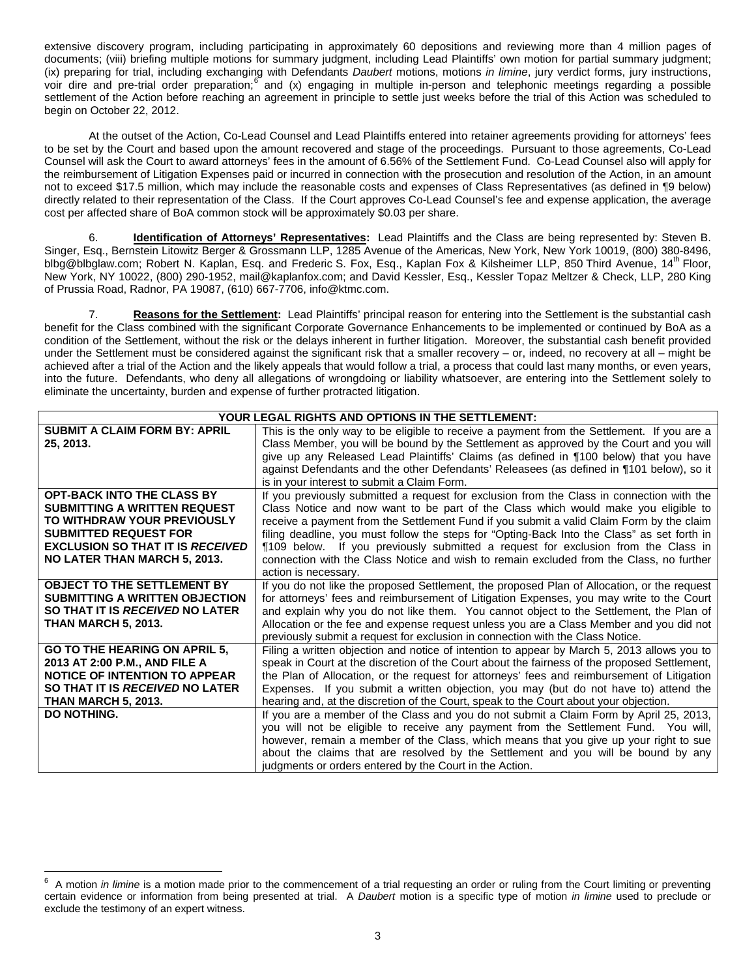extensive discovery program, including participating in approximately 60 depositions and reviewing more than 4 million pages of documents; (viii) briefing multiple motions for summary judgment, including Lead Plaintiffs' own motion for partial summary judgment; (ix) preparing for trial, including exchanging with Defendants *Daubert* motions, motions *in limine*, jury verdict forms, jury instructions, voir dire and pre-trial order preparation;[6](#page-1-2) and (x) engaging in multiple in-person and telephonic meetings regarding a possible settlement of the Action before reaching an agreement in principle to settle just weeks before the trial of this Action was scheduled to begin on October 22, 2012.

At the outset of the Action, Co-Lead Counsel and Lead Plaintiffs entered into retainer agreements providing for attorneys' fees to be set by the Court and based upon the amount recovered and stage of the proceedings. Pursuant to those agreements, Co-Lead Counsel will ask the Court to award attorneys' fees in the amount of 6.56% of the Settlement Fund. Co-Lead Counsel also will apply for the reimbursement of Litigation Expenses paid or incurred in connection with the prosecution and resolution of the Action, in an amount not to exceed \$17.5 million, which may include the reasonable costs and expenses of Class Representatives (as defined in ¶9 below) directly related to their representation of the Class. If the Court approves Co-Lead Counsel's fee and expense application, the average cost per affected share of BoA common stock will be approximately \$0.03 per share.

6. **Identification of Attorneys' Representatives:** Lead Plaintiffs and the Class are being represented by: Steven B. Singer, Esq., Bernstein Litowitz Berger & Grossmann LLP, 1285 Avenue of the Americas, New York, New York 10019, (800) 380-8496, blbg@blbglaw.com; Robert N. Kaplan, Esq. and Frederic S. Fox, Esq., Kaplan Fox & Kilsheimer LLP, 850 Third Avenue, 14<sup>th</sup> Floor, New York, NY 10022, (800) 290-1952, mail@kaplanfox.com; and David Kessler, Esq., Kessler Topaz Meltzer & Check, LLP, 280 King of Prussia Road, Radnor, PA 19087, (610) 667-7706[, info@ktmc.com.](mailto:info@ktmc.com)

7. **Reasons for the Settlement:** Lead Plaintiffs' principal reason for entering into the Settlement is the substantial cash benefit for the Class combined with the significant Corporate Governance Enhancements to be implemented or continued by BoA as a condition of the Settlement, without the risk or the delays inherent in further litigation. Moreover, the substantial cash benefit provided under the Settlement must be considered against the significant risk that a smaller recovery – or, indeed, no recovery at all – might be achieved after a trial of the Action and the likely appeals that would follow a trial, a process that could last many months, or even years, into the future. Defendants, who deny all allegations of wrongdoing or liability whatsoever, are entering into the Settlement solely to eliminate the uncertainty, burden and expense of further protracted litigation.

|                                         | YOUR LEGAL RIGHTS AND OPTIONS IN THE SETTLEMENT:                                             |
|-----------------------------------------|----------------------------------------------------------------------------------------------|
| <b>SUBMIT A CLAIM FORM BY: APRIL</b>    | This is the only way to be eligible to receive a payment from the Settlement. If you are a   |
| 25, 2013.                               | Class Member, you will be bound by the Settlement as approved by the Court and you will      |
|                                         | give up any Released Lead Plaintiffs' Claims (as defined in ¶100 below) that you have        |
|                                         | against Defendants and the other Defendants' Releasees (as defined in ¶101 below), so it     |
|                                         | is in your interest to submit a Claim Form.                                                  |
| <b>OPT-BACK INTO THE CLASS BY</b>       | If you previously submitted a request for exclusion from the Class in connection with the    |
| <b>SUBMITTING A WRITTEN REQUEST</b>     | Class Notice and now want to be part of the Class which would make you eligible to           |
| TO WITHDRAW YOUR PREVIOUSLY             | receive a payment from the Settlement Fund if you submit a valid Claim Form by the claim     |
| <b>SUBMITTED REQUEST FOR</b>            | filing deadline, you must follow the steps for "Opting-Back Into the Class" as set forth in  |
| <b>EXCLUSION SO THAT IT IS RECEIVED</b> | ¶109 below. If you previously submitted a request for exclusion from the Class in            |
| NO LATER THAN MARCH 5, 2013.            | connection with the Class Notice and wish to remain excluded from the Class, no further      |
|                                         | action is necessary.                                                                         |
| <b>OBJECT TO THE SETTLEMENT BY</b>      | If you do not like the proposed Settlement, the proposed Plan of Allocation, or the request  |
| <b>SUBMITTING A WRITTEN OBJECTION</b>   | for attorneys' fees and reimbursement of Litigation Expenses, you may write to the Court     |
| SO THAT IT IS RECEIVED NO LATER         | and explain why you do not like them. You cannot object to the Settlement, the Plan of       |
| <b>THAN MARCH 5, 2013.</b>              | Allocation or the fee and expense request unless you are a Class Member and you did not      |
|                                         | previously submit a request for exclusion in connection with the Class Notice.               |
| GO TO THE HEARING ON APRIL 5,           | Filing a written objection and notice of intention to appear by March 5, 2013 allows you to  |
| 2013 AT 2:00 P.M., AND FILE A           | speak in Court at the discretion of the Court about the fairness of the proposed Settlement, |
| <b>NOTICE OF INTENTION TO APPEAR</b>    | the Plan of Allocation, or the request for attorneys' fees and reimbursement of Litigation   |
| SO THAT IT IS RECEIVED NO LATER         | Expenses. If you submit a written objection, you may (but do not have to) attend the         |
| <b>THAN MARCH 5, 2013.</b>              | hearing and, at the discretion of the Court, speak to the Court about your objection.        |
| <b>DO NOTHING.</b>                      | If you are a member of the Class and you do not submit a Claim Form by April 25, 2013,       |
|                                         | you will not be eligible to receive any payment from the Settlement Fund. You will,          |
|                                         | however, remain a member of the Class, which means that you give up your right to sue        |
|                                         | about the claims that are resolved by the Settlement and you will be bound by any            |
|                                         | judgments or orders entered by the Court in the Action.                                      |

<span id="page-2-0"></span><sup>-&</sup>lt;br>6 A motion *in limine* is a motion made prior to the commencement of a trial requesting an order or ruling from the Court limiting or preventing certain evidence or information from being presented at trial. A *Daubert* motion is a specific type of motion *in limine* used to preclude or exclude the testimony of an expert witness.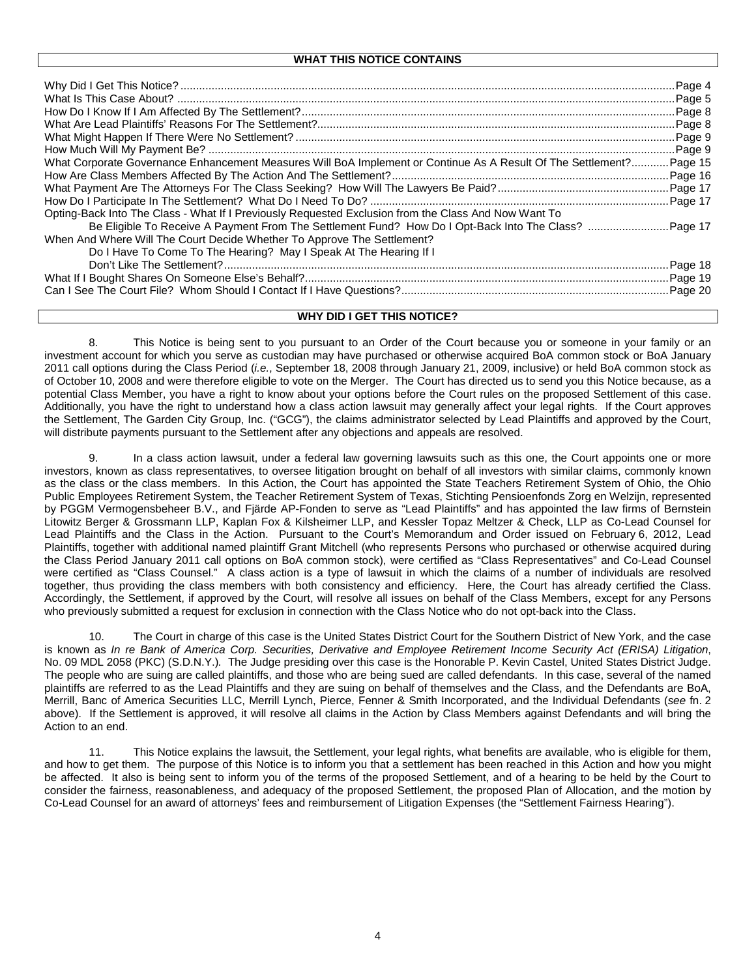|                                                                                                                     | Page 8  |
|---------------------------------------------------------------------------------------------------------------------|---------|
|                                                                                                                     | Page 8. |
|                                                                                                                     | Page 9  |
|                                                                                                                     | Page 9. |
| What Corporate Governance Enhancement Measures Will BoA Implement or Continue As A Result Of The Settlement?Page 15 |         |
|                                                                                                                     |         |
|                                                                                                                     |         |
|                                                                                                                     |         |
| Opting-Back Into The Class - What If I Previously Requested Exclusion from the Class And Now Want To                |         |
| Be Eligible To Receive A Payment From The Settlement Fund? How Do I Opt-Back Into The Class? Page 17                |         |
| When And Where Will The Court Decide Whether To Approve The Settlement?                                             |         |
| Do I Have To Come To The Hearing? May I Speak At The Hearing If I                                                   |         |
|                                                                                                                     |         |
|                                                                                                                     |         |
|                                                                                                                     |         |

### **WHY DID I GET THIS NOTICE?**

8. This Notice is being sent to you pursuant to an Order of the Court because you or someone in your family or an investment account for which you serve as custodian may have purchased or otherwise acquired BoA common stock or BoA January 2011 call options during the Class Period (*i.e.*, September 18, 2008 through January 21, 2009, inclusive) or held BoA common stock as of October 10, 2008 and were therefore eligible to vote on the Merger. The Court has directed us to send you this Notice because, as a potential Class Member, you have a right to know about your options before the Court rules on the proposed Settlement of this case. Additionally, you have the right to understand how a class action lawsuit may generally affect your legal rights. If the Court approves the Settlement, The Garden City Group, Inc. ("GCG"), the claims administrator selected by Lead Plaintiffs and approved by the Court, will distribute payments pursuant to the Settlement after any objections and appeals are resolved.

9. In a class action lawsuit, under a federal law governing lawsuits such as this one, the Court appoints one or more investors, known as class representatives, to oversee litigation brought on behalf of all investors with similar claims, commonly known as the class or the class members. In this Action, the Court has appointed the State Teachers Retirement System of Ohio, the Ohio Public Employees Retirement System, the Teacher Retirement System of Texas, Stichting Pensioenfonds Zorg en Welzijn, represented by PGGM Vermogensbeheer B.V., and Fjärde AP-Fonden to serve as "Lead Plaintiffs" and has appointed the law firms of Bernstein Litowitz Berger & Grossmann LLP, Kaplan Fox & Kilsheimer LLP, and Kessler Topaz Meltzer & Check, LLP as Co-Lead Counsel for Lead Plaintiffs and the Class in the Action. Pursuant to the Court's Memorandum and Order issued on February 6, 2012, Lead Plaintiffs, together with additional named plaintiff Grant Mitchell (who represents Persons who purchased or otherwise acquired during the Class Period January 2011 call options on BoA common stock), were certified as "Class Representatives" and Co-Lead Counsel were certified as "Class Counsel." A class action is a type of lawsuit in which the claims of a number of individuals are resolved together, thus providing the class members with both consistency and efficiency. Here, the Court has already certified the Class. Accordingly, the Settlement, if approved by the Court, will resolve all issues on behalf of the Class Members, except for any Persons who previously submitted a request for exclusion in connection with the Class Notice who do not opt-back into the Class.

10. The Court in charge of this case is the United States District Court for the Southern District of New York, and the case is known as *In re Bank of America Corp. Securities, Derivative and Employee Retirement Income Security Act (ERISA) Litigation*, No. 09 MDL 2058 (PKC) (S.D.N.Y.)*.* The Judge presiding over this case is the Honorable P. Kevin Castel, United States District Judge. The people who are suing are called plaintiffs, and those who are being sued are called defendants. In this case, several of the named plaintiffs are referred to as the Lead Plaintiffs and they are suing on behalf of themselves and the Class, and the Defendants are BoA, Merrill, Banc of America Securities LLC, Merrill Lynch, Pierce, Fenner & Smith Incorporated, and the Individual Defendants (*see* fn. 2 above). If the Settlement is approved, it will resolve all claims in the Action by Class Members against Defendants and will bring the Action to an end.

11. This Notice explains the lawsuit, the Settlement, your legal rights, what benefits are available, who is eligible for them, and how to get them. The purpose of this Notice is to inform you that a settlement has been reached in this Action and how you might be affected. It also is being sent to inform you of the terms of the proposed Settlement, and of a hearing to be held by the Court to consider the fairness, reasonableness, and adequacy of the proposed Settlement, the proposed Plan of Allocation, and the motion by Co-Lead Counsel for an award of attorneys' fees and reimbursement of Litigation Expenses (the "Settlement Fairness Hearing").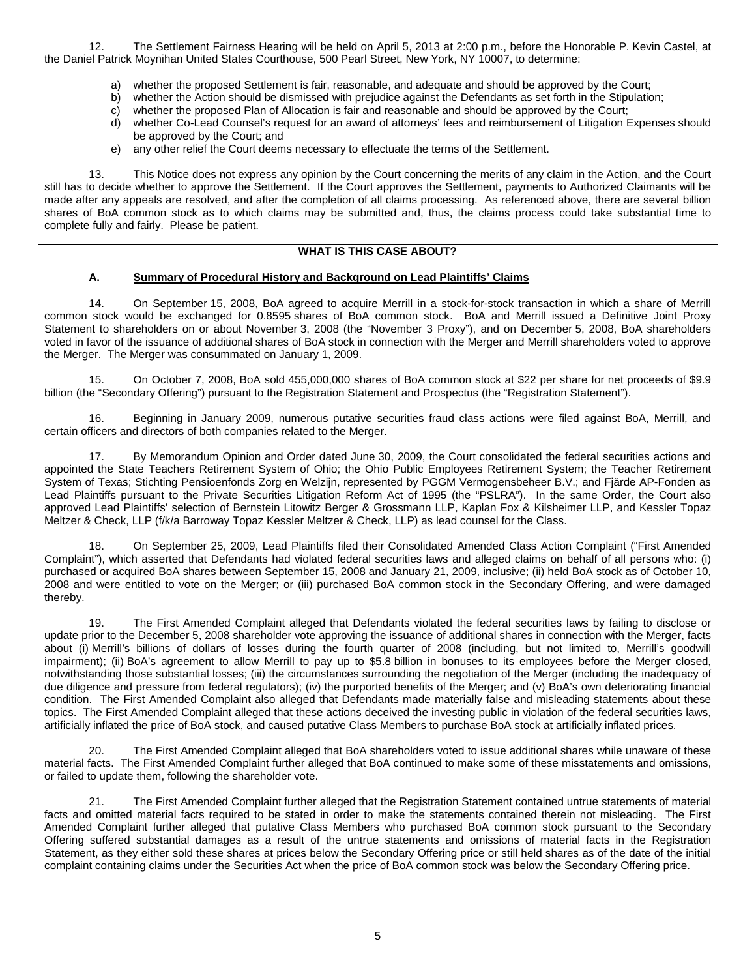12. The Settlement Fairness Hearing will be held on April 5, 2013 at 2:00 p.m., before the Honorable P. Kevin Castel, at the Daniel Patrick Moynihan United States Courthouse, 500 Pearl Street, New York, NY 10007, to determine:

- a) whether the proposed Settlement is fair, reasonable, and adequate and should be approved by the Court;
- b) whether the Action should be dismissed with prejudice against the Defendants as set forth in the Stipulation;
- c) whether the proposed Plan of Allocation is fair and reasonable and should be approved by the Court;
- d) whether Co-Lead Counsel's request for an award of attorneys' fees and reimbursement of Litigation Expenses should be approved by the Court; and
- e) any other relief the Court deems necessary to effectuate the terms of the Settlement.

13. This Notice does not express any opinion by the Court concerning the merits of any claim in the Action, and the Court still has to decide whether to approve the Settlement. If the Court approves the Settlement, payments to Authorized Claimants will be made after any appeals are resolved, and after the completion of all claims processing. As referenced above, there are several billion shares of BoA common stock as to which claims may be submitted and, thus, the claims process could take substantial time to complete fully and fairly. Please be patient.

## **WHAT IS THIS CASE ABOUT?**

## **A. Summary of Procedural History and Background on Lead Plaintiffs' Claims**

14. On September 15, 2008, BoA agreed to acquire Merrill in a stock-for-stock transaction in which a share of Merrill common stock would be exchanged for 0.8595 shares of BoA common stock. BoA and Merrill issued a Definitive Joint Proxy Statement to shareholders on or about November 3, 2008 (the "November 3 Proxy"), and on December 5, 2008, BoA shareholders voted in favor of the issuance of additional shares of BoA stock in connection with the Merger and Merrill shareholders voted to approve the Merger. The Merger was consummated on January 1, 2009.

15. On October 7, 2008, BoA sold 455,000,000 shares of BoA common stock at \$22 per share for net proceeds of \$9.9 billion (the "Secondary Offering") pursuant to the Registration Statement and Prospectus (the "Registration Statement").

16. Beginning in January 2009, numerous putative securities fraud class actions were filed against BoA, Merrill, and certain officers and directors of both companies related to the Merger.

17. By Memorandum Opinion and Order dated June 30, 2009, the Court consolidated the federal securities actions and appointed the State Teachers Retirement System of Ohio; the Ohio Public Employees Retirement System; the Teacher Retirement System of Texas; Stichting Pensioenfonds Zorg en Welzijn, represented by PGGM Vermogensbeheer B.V.; and Fjärde AP-Fonden as Lead Plaintiffs pursuant to the Private Securities Litigation Reform Act of 1995 (the "PSLRA"). In the same Order, the Court also approved Lead Plaintiffs' selection of Bernstein Litowitz Berger & Grossmann LLP, Kaplan Fox & Kilsheimer LLP, and Kessler Topaz Meltzer & Check, LLP (f/k/a Barroway Topaz Kessler Meltzer & Check, LLP) as lead counsel for the Class.

18. On September 25, 2009, Lead Plaintiffs filed their Consolidated Amended Class Action Complaint ("First Amended Complaint"), which asserted that Defendants had violated federal securities laws and alleged claims on behalf of all persons who: (i) purchased or acquired BoA shares between September 15, 2008 and January 21, 2009, inclusive; (ii) held BoA stock as of October 10, 2008 and were entitled to vote on the Merger; or (iii) purchased BoA common stock in the Secondary Offering, and were damaged thereby.

19. The First Amended Complaint alleged that Defendants violated the federal securities laws by failing to disclose or update prior to the December 5, 2008 shareholder vote approving the issuance of additional shares in connection with the Merger, facts about (i) Merrill's billions of dollars of losses during the fourth quarter of 2008 (including, but not limited to, Merrill's goodwill impairment); (ii) BoA's agreement to allow Merrill to pay up to \$5.8 billion in bonuses to its employees before the Merger closed, notwithstanding those substantial losses; (iii) the circumstances surrounding the negotiation of the Merger (including the inadequacy of due diligence and pressure from federal regulators); (iv) the purported benefits of the Merger; and (v) BoA's own deteriorating financial condition. The First Amended Complaint also alleged that Defendants made materially false and misleading statements about these topics. The First Amended Complaint alleged that these actions deceived the investing public in violation of the federal securities laws, artificially inflated the price of BoA stock, and caused putative Class Members to purchase BoA stock at artificially inflated prices.

20. The First Amended Complaint alleged that BoA shareholders voted to issue additional shares while unaware of these material facts. The First Amended Complaint further alleged that BoA continued to make some of these misstatements and omissions, or failed to update them, following the shareholder vote.

21. The First Amended Complaint further alleged that the Registration Statement contained untrue statements of material facts and omitted material facts required to be stated in order to make the statements contained therein not misleading. The First Amended Complaint further alleged that putative Class Members who purchased BoA common stock pursuant to the Secondary Offering suffered substantial damages as a result of the untrue statements and omissions of material facts in the Registration Statement, as they either sold these shares at prices below the Secondary Offering price or still held shares as of the date of the initial complaint containing claims under the Securities Act when the price of BoA common stock was below the Secondary Offering price.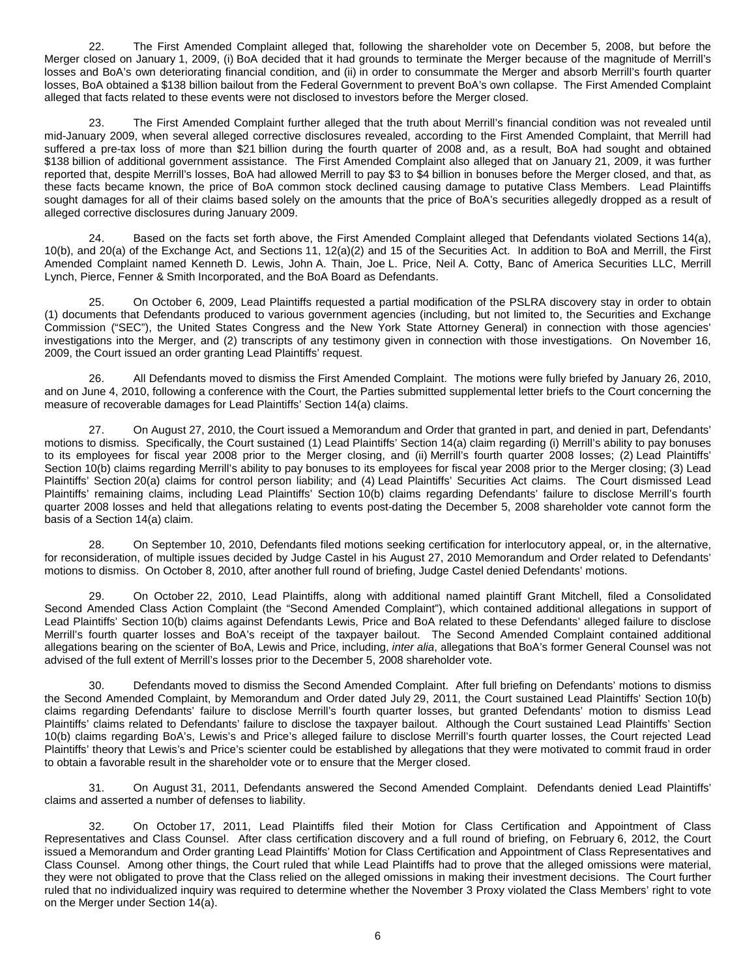22. The First Amended Complaint alleged that, following the shareholder vote on December 5, 2008, but before the Merger closed on January 1, 2009, (i) BoA decided that it had grounds to terminate the Merger because of the magnitude of Merrill's losses and BoA's own deteriorating financial condition, and (ii) in order to consummate the Merger and absorb Merrill's fourth quarter losses, BoA obtained a \$138 billion bailout from the Federal Government to prevent BoA's own collapse. The First Amended Complaint alleged that facts related to these events were not disclosed to investors before the Merger closed.

23. The First Amended Complaint further alleged that the truth about Merrill's financial condition was not revealed until mid-January 2009, when several alleged corrective disclosures revealed, according to the First Amended Complaint, that Merrill had suffered a pre-tax loss of more than \$21 billion during the fourth quarter of 2008 and, as a result, BoA had sought and obtained \$138 billion of additional government assistance. The First Amended Complaint also alleged that on January 21, 2009, it was further reported that, despite Merrill's losses, BoA had allowed Merrill to pay \$3 to \$4 billion in bonuses before the Merger closed, and that, as these facts became known, the price of BoA common stock declined causing damage to putative Class Members. Lead Plaintiffs sought damages for all of their claims based solely on the amounts that the price of BoA's securities allegedly dropped as a result of alleged corrective disclosures during January 2009.

24. Based on the facts set forth above, the First Amended Complaint alleged that Defendants violated Sections 14(a), 10(b), and 20(a) of the Exchange Act, and Sections 11, 12(a)(2) and 15 of the Securities Act. In addition to BoA and Merrill, the First Amended Complaint named Kenneth D. Lewis, John A. Thain, Joe L. Price, Neil A. Cotty, Banc of America Securities LLC, Merrill Lynch, Pierce, Fenner & Smith Incorporated, and the BoA Board as Defendants.

25. On October 6, 2009, Lead Plaintiffs requested a partial modification of the PSLRA discovery stay in order to obtain (1) documents that Defendants produced to various government agencies (including, but not limited to, the Securities and Exchange Commission ("SEC"), the United States Congress and the New York State Attorney General) in connection with those agencies' investigations into the Merger, and (2) transcripts of any testimony given in connection with those investigations. On November 16, 2009, the Court issued an order granting Lead Plaintiffs' request.

26. All Defendants moved to dismiss the First Amended Complaint. The motions were fully briefed by January 26, 2010, and on June 4, 2010, following a conference with the Court, the Parties submitted supplemental letter briefs to the Court concerning the measure of recoverable damages for Lead Plaintiffs' Section 14(a) claims.

27. On August 27, 2010, the Court issued a Memorandum and Order that granted in part, and denied in part, Defendants' motions to dismiss. Specifically, the Court sustained (1) Lead Plaintiffs' Section 14(a) claim regarding (i) Merrill's ability to pay bonuses to its employees for fiscal year 2008 prior to the Merger closing, and (ii) Merrill's fourth quarter 2008 losses; (2) Lead Plaintiffs' Section 10(b) claims regarding Merrill's ability to pay bonuses to its employees for fiscal year 2008 prior to the Merger closing; (3) Lead Plaintiffs' Section 20(a) claims for control person liability; and (4) Lead Plaintiffs' Securities Act claims. The Court dismissed Lead Plaintiffs' remaining claims, including Lead Plaintiffs' Section 10(b) claims regarding Defendants' failure to disclose Merrill's fourth quarter 2008 losses and held that allegations relating to events post-dating the December 5, 2008 shareholder vote cannot form the basis of a Section 14(a) claim.

28. On September 10, 2010, Defendants filed motions seeking certification for interlocutory appeal, or, in the alternative, for reconsideration, of multiple issues decided by Judge Castel in his August 27, 2010 Memorandum and Order related to Defendants' motions to dismiss. On October 8, 2010, after another full round of briefing, Judge Castel denied Defendants' motions.

29. On October 22, 2010, Lead Plaintiffs, along with additional named plaintiff Grant Mitchell, filed a Consolidated Second Amended Class Action Complaint (the "Second Amended Complaint"), which contained additional allegations in support of Lead Plaintiffs' Section 10(b) claims against Defendants Lewis, Price and BoA related to these Defendants' alleged failure to disclose Merrill's fourth quarter losses and BoA's receipt of the taxpayer bailout. The Second Amended Complaint contained additional allegations bearing on the scienter of BoA, Lewis and Price, including, *inter alia*, allegations that BoA's former General Counsel was not advised of the full extent of Merrill's losses prior to the December 5, 2008 shareholder vote.

30. Defendants moved to dismiss the Second Amended Complaint. After full briefing on Defendants' motions to dismiss the Second Amended Complaint, by Memorandum and Order dated July 29, 2011, the Court sustained Lead Plaintiffs' Section 10(b) claims regarding Defendants' failure to disclose Merrill's fourth quarter losses, but granted Defendants' motion to dismiss Lead Plaintiffs' claims related to Defendants' failure to disclose the taxpayer bailout. Although the Court sustained Lead Plaintiffs' Section 10(b) claims regarding BoA's, Lewis's and Price's alleged failure to disclose Merrill's fourth quarter losses, the Court rejected Lead Plaintiffs' theory that Lewis's and Price's scienter could be established by allegations that they were motivated to commit fraud in order to obtain a favorable result in the shareholder vote or to ensure that the Merger closed.

31. On August 31, 2011, Defendants answered the Second Amended Complaint. Defendants denied Lead Plaintiffs' claims and asserted a number of defenses to liability.

32. On October 17, 2011, Lead Plaintiffs filed their Motion for Class Certification and Appointment of Class Representatives and Class Counsel. After class certification discovery and a full round of briefing, on February 6, 2012, the Court issued a Memorandum and Order granting Lead Plaintiffs' Motion for Class Certification and Appointment of Class Representatives and Class Counsel. Among other things, the Court ruled that while Lead Plaintiffs had to prove that the alleged omissions were material, they were not obligated to prove that the Class relied on the alleged omissions in making their investment decisions. The Court further ruled that no individualized inquiry was required to determine whether the November 3 Proxy violated the Class Members' right to vote on the Merger under Section 14(a).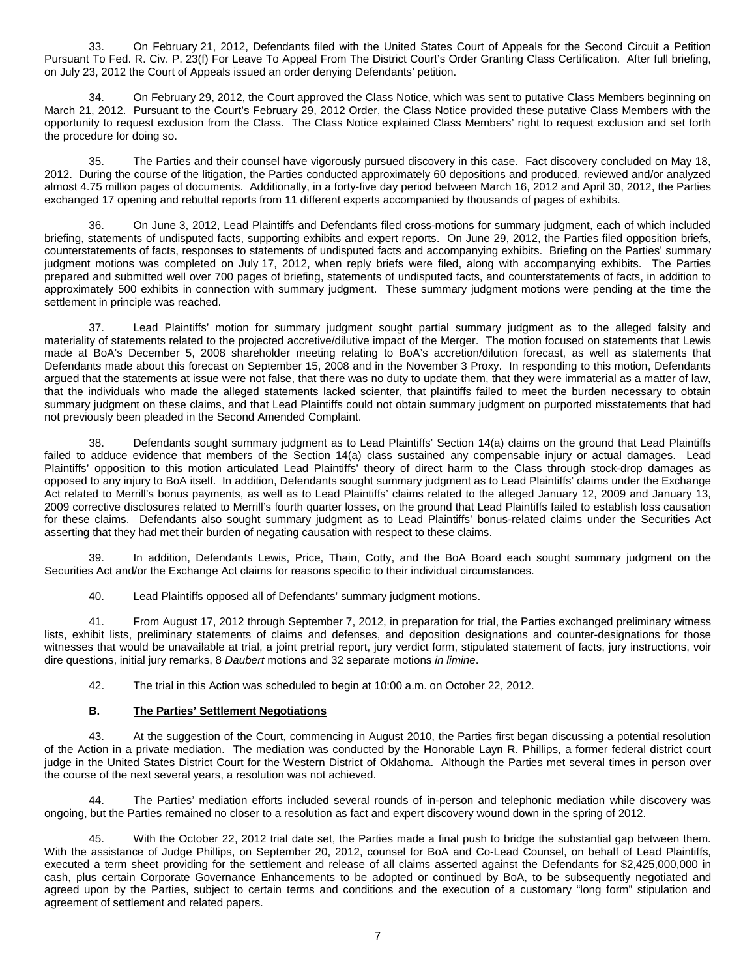33. On February 21, 2012, Defendants filed with the United States Court of Appeals for the Second Circuit a Petition Pursuant To Fed. R. Civ. P. 23(f) For Leave To Appeal From The District Court's Order Granting Class Certification. After full briefing, on July 23, 2012 the Court of Appeals issued an order denying Defendants' petition.

34. On February 29, 2012, the Court approved the Class Notice, which was sent to putative Class Members beginning on March 21, 2012. Pursuant to the Court's February 29, 2012 Order, the Class Notice provided these putative Class Members with the opportunity to request exclusion from the Class. The Class Notice explained Class Members' right to request exclusion and set forth the procedure for doing so.

35. The Parties and their counsel have vigorously pursued discovery in this case. Fact discovery concluded on May 18, 2012. During the course of the litigation, the Parties conducted approximately 60 depositions and produced, reviewed and/or analyzed almost 4.75 million pages of documents. Additionally, in a forty-five day period between March 16, 2012 and April 30, 2012, the Parties exchanged 17 opening and rebuttal reports from 11 different experts accompanied by thousands of pages of exhibits.

36. On June 3, 2012, Lead Plaintiffs and Defendants filed cross-motions for summary judgment, each of which included briefing, statements of undisputed facts, supporting exhibits and expert reports. On June 29, 2012, the Parties filed opposition briefs, counterstatements of facts, responses to statements of undisputed facts and accompanying exhibits. Briefing on the Parties' summary judgment motions was completed on July 17, 2012, when reply briefs were filed, along with accompanying exhibits. The Parties prepared and submitted well over 700 pages of briefing, statements of undisputed facts, and counterstatements of facts, in addition to approximately 500 exhibits in connection with summary judgment. These summary judgment motions were pending at the time the settlement in principle was reached.

37. Lead Plaintiffs' motion for summary judgment sought partial summary judgment as to the alleged falsity and materiality of statements related to the projected accretive/dilutive impact of the Merger. The motion focused on statements that Lewis made at BoA's December 5, 2008 shareholder meeting relating to BoA's accretion/dilution forecast, as well as statements that Defendants made about this forecast on September 15, 2008 and in the November 3 Proxy. In responding to this motion, Defendants argued that the statements at issue were not false, that there was no duty to update them, that they were immaterial as a matter of law, that the individuals who made the alleged statements lacked scienter, that plaintiffs failed to meet the burden necessary to obtain summary judgment on these claims, and that Lead Plaintiffs could not obtain summary judgment on purported misstatements that had not previously been pleaded in the Second Amended Complaint.

Defendants sought summary judgment as to Lead Plaintiffs' Section 14(a) claims on the ground that Lead Plaintiffs failed to adduce evidence that members of the Section 14(a) class sustained any compensable injury or actual damages. Lead Plaintiffs' opposition to this motion articulated Lead Plaintiffs' theory of direct harm to the Class through stock-drop damages as opposed to any injury to BoA itself. In addition, Defendants sought summary judgment as to Lead Plaintiffs' claims under the Exchange Act related to Merrill's bonus payments, as well as to Lead Plaintiffs' claims related to the alleged January 12, 2009 and January 13, 2009 corrective disclosures related to Merrill's fourth quarter losses, on the ground that Lead Plaintiffs failed to establish loss causation for these claims. Defendants also sought summary judgment as to Lead Plaintiffs' bonus-related claims under the Securities Act asserting that they had met their burden of negating causation with respect to these claims.

39. In addition, Defendants Lewis, Price, Thain, Cotty, and the BoA Board each sought summary judgment on the Securities Act and/or the Exchange Act claims for reasons specific to their individual circumstances.

40. Lead Plaintiffs opposed all of Defendants' summary judgment motions.

41. From August 17, 2012 through September 7, 2012, in preparation for trial, the Parties exchanged preliminary witness lists, exhibit lists, preliminary statements of claims and defenses, and deposition designations and counter-designations for those witnesses that would be unavailable at trial, a joint pretrial report, jury verdict form, stipulated statement of facts, jury instructions, voir dire questions, initial jury remarks, 8 *Daubert* motions and 32 separate motions *in limine*.

42. The trial in this Action was scheduled to begin at 10:00 a.m. on October 22, 2012.

## **B. The Parties' Settlement Negotiations**

43. At the suggestion of the Court, commencing in August 2010, the Parties first began discussing a potential resolution of the Action in a private mediation. The mediation was conducted by the Honorable Layn R. Phillips, a former federal district court judge in the United States District Court for the Western District of Oklahoma. Although the Parties met several times in person over the course of the next several years, a resolution was not achieved.

44. The Parties' mediation efforts included several rounds of in-person and telephonic mediation while discovery was ongoing, but the Parties remained no closer to a resolution as fact and expert discovery wound down in the spring of 2012.

45. With the October 22, 2012 trial date set, the Parties made a final push to bridge the substantial gap between them. With the assistance of Judge Phillips, on September 20, 2012, counsel for BoA and Co-Lead Counsel, on behalf of Lead Plaintiffs, executed a term sheet providing for the settlement and release of all claims asserted against the Defendants for \$2,425,000,000 in cash, plus certain Corporate Governance Enhancements to be adopted or continued by BoA, to be subsequently negotiated and agreed upon by the Parties, subject to certain terms and conditions and the execution of a customary "long form" stipulation and agreement of settlement and related papers.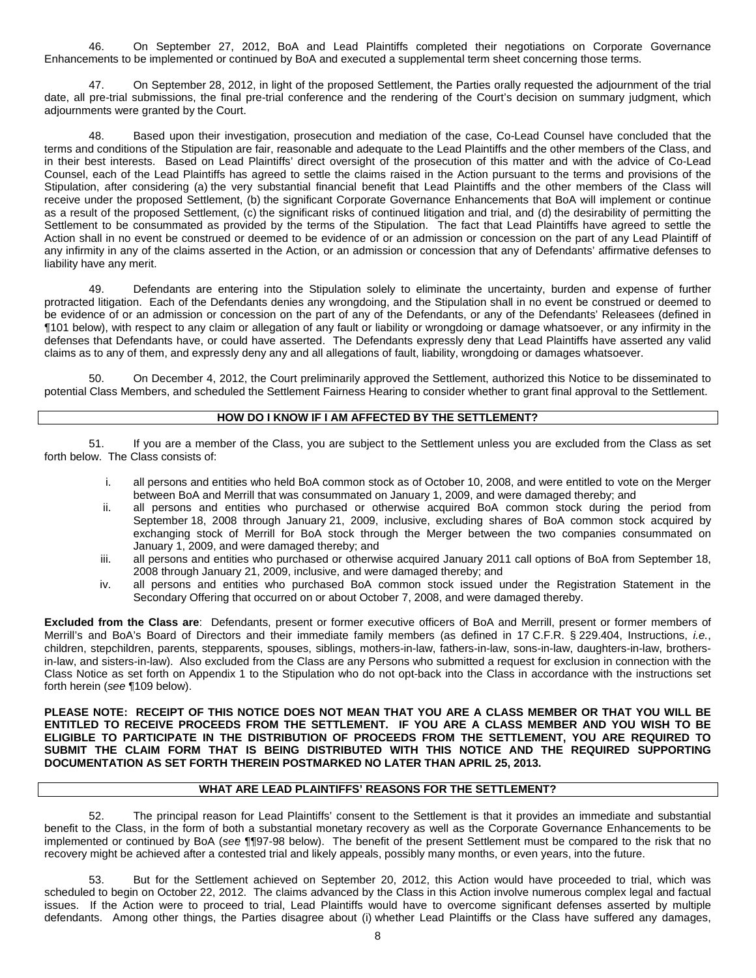46. On September 27, 2012, BoA and Lead Plaintiffs completed their negotiations on Corporate Governance Enhancements to be implemented or continued by BoA and executed a supplemental term sheet concerning those terms.

47. On September 28, 2012, in light of the proposed Settlement, the Parties orally requested the adjournment of the trial date, all pre-trial submissions, the final pre-trial conference and the rendering of the Court's decision on summary judgment, which adjournments were granted by the Court.

48. Based upon their investigation, prosecution and mediation of the case, Co-Lead Counsel have concluded that the terms and conditions of the Stipulation are fair, reasonable and adequate to the Lead Plaintiffs and the other members of the Class, and in their best interests. Based on Lead Plaintiffs' direct oversight of the prosecution of this matter and with the advice of Co-Lead Counsel, each of the Lead Plaintiffs has agreed to settle the claims raised in the Action pursuant to the terms and provisions of the Stipulation, after considering (a) the very substantial financial benefit that Lead Plaintiffs and the other members of the Class will receive under the proposed Settlement, (b) the significant Corporate Governance Enhancements that BoA will implement or continue as a result of the proposed Settlement, (c) the significant risks of continued litigation and trial, and (d) the desirability of permitting the Settlement to be consummated as provided by the terms of the Stipulation. The fact that Lead Plaintiffs have agreed to settle the Action shall in no event be construed or deemed to be evidence of or an admission or concession on the part of any Lead Plaintiff of any infirmity in any of the claims asserted in the Action, or an admission or concession that any of Defendants' affirmative defenses to liability have any merit.

49. Defendants are entering into the Stipulation solely to eliminate the uncertainty, burden and expense of further protracted litigation. Each of the Defendants denies any wrongdoing, and the Stipulation shall in no event be construed or deemed to be evidence of or an admission or concession on the part of any of the Defendants, or any of the Defendants' Releasees (defined in ¶101 below), with respect to any claim or allegation of any fault or liability or wrongdoing or damage whatsoever, or any infirmity in the defenses that Defendants have, or could have asserted. The Defendants expressly deny that Lead Plaintiffs have asserted any valid claims as to any of them, and expressly deny any and all allegations of fault, liability, wrongdoing or damages whatsoever.

50. On December 4, 2012, the Court preliminarily approved the Settlement, authorized this Notice to be disseminated to potential Class Members, and scheduled the Settlement Fairness Hearing to consider whether to grant final approval to the Settlement.

### **HOW DO I KNOW IF I AM AFFECTED BY THE SETTLEMENT?**

51. If you are a member of the Class, you are subject to the Settlement unless you are excluded from the Class as set forth below. The Class consists of:

- i. all persons and entities who held BoA common stock as of October 10, 2008, and were entitled to vote on the Merger between BoA and Merrill that was consummated on January 1, 2009, and were damaged thereby; and
- ii. all persons and entities who purchased or otherwise acquired BoA common stock during the period from September 18, 2008 through January 21, 2009, inclusive, excluding shares of BoA common stock acquired by exchanging stock of Merrill for BoA stock through the Merger between the two companies consummated on January 1, 2009, and were damaged thereby; and
- iii. all persons and entities who purchased or otherwise acquired January 2011 call options of BoA from September 18, 2008 through January 21, 2009, inclusive, and were damaged thereby; and
- iv. all persons and entities who purchased BoA common stock issued under the Registration Statement in the Secondary Offering that occurred on or about October 7, 2008, and were damaged thereby.

**Excluded from the Class are**: Defendants, present or former executive officers of BoA and Merrill, present or former members of Merrill's and BoA's Board of Directors and their immediate family members (as defined in 17 C.F.R. § 229.404, Instructions, *i.e.*, children, stepchildren, parents, stepparents, spouses, siblings, mothers-in-law, fathers-in-law, sons-in-law, daughters-in-law, brothersin-law, and sisters-in-law). Also excluded from the Class are any Persons who submitted a request for exclusion in connection with the Class Notice as set forth on Appendix 1 to the Stipulation who do not opt-back into the Class in accordance with the instructions set forth herein (*see* ¶109 below).

**PLEASE NOTE: RECEIPT OF THIS NOTICE DOES NOT MEAN THAT YOU ARE A CLASS MEMBER OR THAT YOU WILL BE ENTITLED TO RECEIVE PROCEEDS FROM THE SETTLEMENT. IF YOU ARE A CLASS MEMBER AND YOU WISH TO BE ELIGIBLE TO PARTICIPATE IN THE DISTRIBUTION OF PROCEEDS FROM THE SETTLEMENT, YOU ARE REQUIRED TO SUBMIT THE CLAIM FORM THAT IS BEING DISTRIBUTED WITH THIS NOTICE AND THE REQUIRED SUPPORTING DOCUMENTATION AS SET FORTH THEREIN POSTMARKED NO LATER THAN APRIL 25, 2013.**

### **WHAT ARE LEAD PLAINTIFFS' REASONS FOR THE SETTLEMENT?**

52. The principal reason for Lead Plaintiffs' consent to the Settlement is that it provides an immediate and substantial benefit to the Class, in the form of both a substantial monetary recovery as well as the Corporate Governance Enhancements to be implemented or continued by BoA (*see* ¶¶97-98 below). The benefit of the present Settlement must be compared to the risk that no recovery might be achieved after a contested trial and likely appeals, possibly many months, or even years, into the future.

53. But for the Settlement achieved on September 20, 2012, this Action would have proceeded to trial, which was scheduled to begin on October 22, 2012. The claims advanced by the Class in this Action involve numerous complex legal and factual issues. If the Action were to proceed to trial, Lead Plaintiffs would have to overcome significant defenses asserted by multiple defendants. Among other things, the Parties disagree about (i) whether Lead Plaintiffs or the Class have suffered any damages,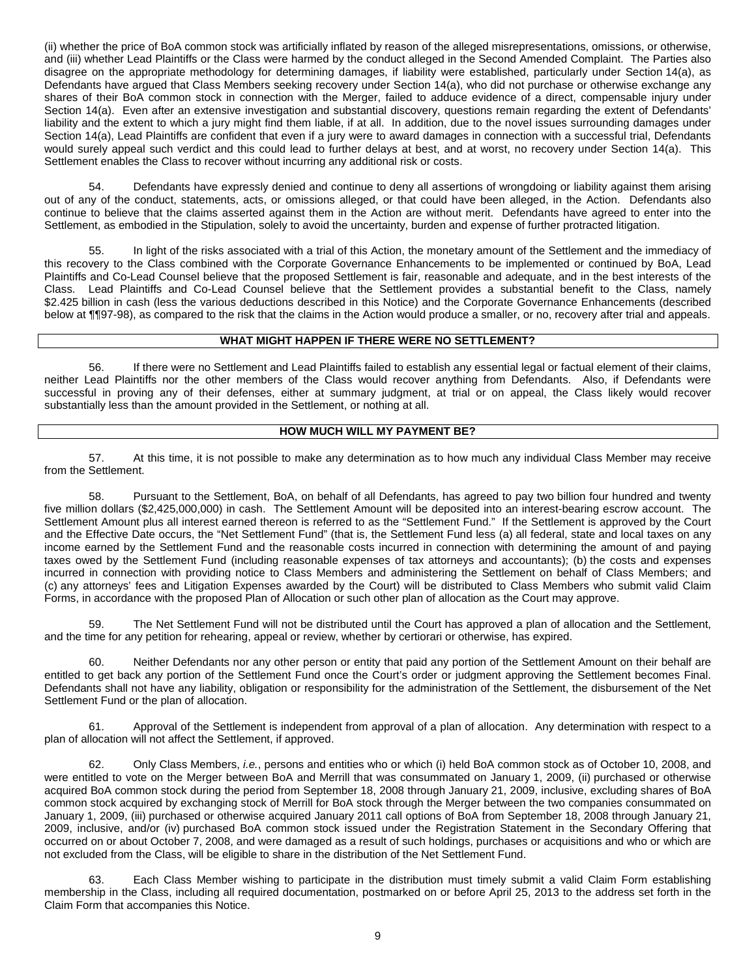(ii) whether the price of BoA common stock was artificially inflated by reason of the alleged misrepresentations, omissions, or otherwise, and (iii) whether Lead Plaintiffs or the Class were harmed by the conduct alleged in the Second Amended Complaint. The Parties also disagree on the appropriate methodology for determining damages, if liability were established, particularly under Section 14(a), as Defendants have argued that Class Members seeking recovery under Section 14(a), who did not purchase or otherwise exchange any shares of their BoA common stock in connection with the Merger, failed to adduce evidence of a direct, compensable injury under Section 14(a). Even after an extensive investigation and substantial discovery, questions remain regarding the extent of Defendants' liability and the extent to which a jury might find them liable, if at all. In addition, due to the novel issues surrounding damages under Section 14(a), Lead Plaintiffs are confident that even if a jury were to award damages in connection with a successful trial, Defendants would surely appeal such verdict and this could lead to further delays at best, and at worst, no recovery under Section 14(a). This Settlement enables the Class to recover without incurring any additional risk or costs.

54. Defendants have expressly denied and continue to deny all assertions of wrongdoing or liability against them arising out of any of the conduct, statements, acts, or omissions alleged, or that could have been alleged, in the Action. Defendants also continue to believe that the claims asserted against them in the Action are without merit. Defendants have agreed to enter into the Settlement, as embodied in the Stipulation, solely to avoid the uncertainty, burden and expense of further protracted litigation.

55. In light of the risks associated with a trial of this Action, the monetary amount of the Settlement and the immediacy of this recovery to the Class combined with the Corporate Governance Enhancements to be implemented or continued by BoA, Lead Plaintiffs and Co-Lead Counsel believe that the proposed Settlement is fair, reasonable and adequate, and in the best interests of the Class. Lead Plaintiffs and Co-Lead Counsel believe that the Settlement provides a substantial benefit to the Class, namely \$2.425 billion in cash (less the various deductions described in this Notice) and the Corporate Governance Enhancements (described below at ¶¶97-98), as compared to the risk that the claims in the Action would produce a smaller, or no, recovery after trial and appeals.

## **WHAT MIGHT HAPPEN IF THERE WERE NO SETTLEMENT?**

56. If there were no Settlement and Lead Plaintiffs failed to establish any essential legal or factual element of their claims, neither Lead Plaintiffs nor the other members of the Class would recover anything from Defendants. Also, if Defendants were successful in proving any of their defenses, either at summary judgment, at trial or on appeal, the Class likely would recover substantially less than the amount provided in the Settlement, or nothing at all.

## **HOW MUCH WILL MY PAYMENT BE?**

57. At this time, it is not possible to make any determination as to how much any individual Class Member may receive from the Settlement.

58. Pursuant to the Settlement, BoA, on behalf of all Defendants, has agreed to pay two billion four hundred and twenty five million dollars (\$2,425,000,000) in cash. The Settlement Amount will be deposited into an interest-bearing escrow account. The Settlement Amount plus all interest earned thereon is referred to as the "Settlement Fund." If the Settlement is approved by the Court and the Effective Date occurs, the "Net Settlement Fund" (that is, the Settlement Fund less (a) all federal, state and local taxes on any income earned by the Settlement Fund and the reasonable costs incurred in connection with determining the amount of and paying taxes owed by the Settlement Fund (including reasonable expenses of tax attorneys and accountants); (b) the costs and expenses incurred in connection with providing notice to Class Members and administering the Settlement on behalf of Class Members; and (c) any attorneys' fees and Litigation Expenses awarded by the Court) will be distributed to Class Members who submit valid Claim Forms, in accordance with the proposed Plan of Allocation or such other plan of allocation as the Court may approve.

59. The Net Settlement Fund will not be distributed until the Court has approved a plan of allocation and the Settlement, and the time for any petition for rehearing, appeal or review, whether by certiorari or otherwise, has expired.

60. Neither Defendants nor any other person or entity that paid any portion of the Settlement Amount on their behalf are entitled to get back any portion of the Settlement Fund once the Court's order or judgment approving the Settlement becomes Final. Defendants shall not have any liability, obligation or responsibility for the administration of the Settlement, the disbursement of the Net Settlement Fund or the plan of allocation.

61. Approval of the Settlement is independent from approval of a plan of allocation. Any determination with respect to a plan of allocation will not affect the Settlement, if approved.

62. Only Class Members, *i.e.*, persons and entities who or which (i) held BoA common stock as of October 10, 2008, and were entitled to vote on the Merger between BoA and Merrill that was consummated on January 1, 2009, (ii) purchased or otherwise acquired BoA common stock during the period from September 18, 2008 through January 21, 2009, inclusive, excluding shares of BoA common stock acquired by exchanging stock of Merrill for BoA stock through the Merger between the two companies consummated on January 1, 2009, (iii) purchased or otherwise acquired January 2011 call options of BoA from September 18, 2008 through January 21, 2009, inclusive, and/or (iv) purchased BoA common stock issued under the Registration Statement in the Secondary Offering that occurred on or about October 7, 2008, and were damaged as a result of such holdings, purchases or acquisitions and who or which are not excluded from the Class, will be eligible to share in the distribution of the Net Settlement Fund.

63. Each Class Member wishing to participate in the distribution must timely submit a valid Claim Form establishing membership in the Class, including all required documentation, postmarked on or before April 25, 2013 to the address set forth in the Claim Form that accompanies this Notice.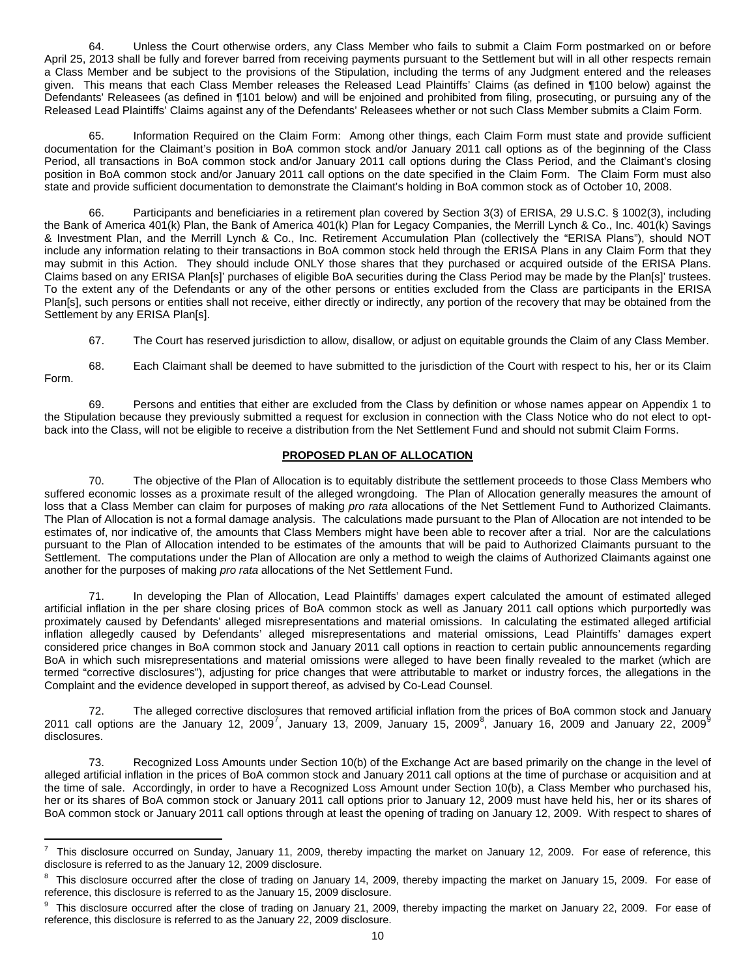64. Unless the Court otherwise orders, any Class Member who fails to submit a Claim Form postmarked on or before April 25, 2013 shall be fully and forever barred from receiving payments pursuant to the Settlement but will in all other respects remain a Class Member and be subject to the provisions of the Stipulation, including the terms of any Judgment entered and the releases given. This means that each Class Member releases the Released Lead Plaintiffs' Claims (as defined in ¶100 below) against the Defendants' Releasees (as defined in ¶101 below) and will be enjoined and prohibited from filing, prosecuting, or pursuing any of the Released Lead Plaintiffs' Claims against any of the Defendants' Releasees whether or not such Class Member submits a Claim Form.

65. Information Required on the Claim Form: Among other things, each Claim Form must state and provide sufficient documentation for the Claimant's position in BoA common stock and/or January 2011 call options as of the beginning of the Class Period, all transactions in BoA common stock and/or January 2011 call options during the Class Period, and the Claimant's closing position in BoA common stock and/or January 2011 call options on the date specified in the Claim Form. The Claim Form must also state and provide sufficient documentation to demonstrate the Claimant's holding in BoA common stock as of October 10, 2008.

66. Participants and beneficiaries in a retirement plan covered by Section 3(3) of ERISA, 29 U.S.C. § 1002(3), including the Bank of America 401(k) Plan, the Bank of America 401(k) Plan for Legacy Companies, the Merrill Lynch & Co., Inc. 401(k) Savings & Investment Plan, and the Merrill Lynch & Co., Inc. Retirement Accumulation Plan (collectively the "ERISA Plans"), should NOT include any information relating to their transactions in BoA common stock held through the ERISA Plans in any Claim Form that they may submit in this Action. They should include ONLY those shares that they purchased or acquired outside of the ERISA Plans. Claims based on any ERISA Plan[s]' purchases of eligible BoA securities during the Class Period may be made by the Plan[s]' trustees. To the extent any of the Defendants or any of the other persons or entities excluded from the Class are participants in the ERISA Plan[s], such persons or entities shall not receive, either directly or indirectly, any portion of the recovery that may be obtained from the Settlement by any ERISA Plan[s].

67. The Court has reserved jurisdiction to allow, disallow, or adjust on equitable grounds the Claim of any Class Member.

68. Each Claimant shall be deemed to have submitted to the jurisdiction of the Court with respect to his, her or its Claim Form.

69. Persons and entities that either are excluded from the Class by definition or whose names appear on Appendix 1 to the Stipulation because they previously submitted a request for exclusion in connection with the Class Notice who do not elect to optback into the Class, will not be eligible to receive a distribution from the Net Settlement Fund and should not submit Claim Forms.

## **PROPOSED PLAN OF ALLOCATION**

70. The objective of the Plan of Allocation is to equitably distribute the settlement proceeds to those Class Members who suffered economic losses as a proximate result of the alleged wrongdoing. The Plan of Allocation generally measures the amount of loss that a Class Member can claim for purposes of making *pro rata* allocations of the Net Settlement Fund to Authorized Claimants. The Plan of Allocation is not a formal damage analysis. The calculations made pursuant to the Plan of Allocation are not intended to be estimates of, nor indicative of, the amounts that Class Members might have been able to recover after a trial. Nor are the calculations pursuant to the Plan of Allocation intended to be estimates of the amounts that will be paid to Authorized Claimants pursuant to the Settlement. The computations under the Plan of Allocation are only a method to weigh the claims of Authorized Claimants against one another for the purposes of making *pro rata* allocations of the Net Settlement Fund.

71. In developing the Plan of Allocation, Lead Plaintiffs' damages expert calculated the amount of estimated alleged artificial inflation in the per share closing prices of BoA common stock as well as January 2011 call options which purportedly was proximately caused by Defendants' alleged misrepresentations and material omissions. In calculating the estimated alleged artificial inflation allegedly caused by Defendants' alleged misrepresentations and material omissions, Lead Plaintiffs' damages expert considered price changes in BoA common stock and January 2011 call options in reaction to certain public announcements regarding BoA in which such misrepresentations and material omissions were alleged to have been finally revealed to the market (which are termed "corrective disclosures"), adjusting for price changes that were attributable to market or industry forces, the allegations in the Complaint and the evidence developed in support thereof, as advised by Co-Lead Counsel.

72. The alleged corrective disclosures that removed artificial inflation from the prices of BoA common stock and January 2011 call options are the January 12, 2009<sup>[7](#page-2-0)</sup>, January 13, 2009, January 15, 2009<sup>[8](#page-9-0)</sup>, January 16, 200[9](#page-9-1) and January 22, 2009<sup>9</sup> disclosures.

<span id="page-9-2"></span>73. Recognized Loss Amounts under Section 10(b) of the Exchange Act are based primarily on the change in the level of alleged artificial inflation in the prices of BoA common stock and January 2011 call options at the time of purchase or acquisition and at the time of sale. Accordingly, in order to have a Recognized Loss Amount under Section 10(b), a Class Member who purchased his, her or its shares of BoA common stock or January 2011 call options prior to January 12, 2009 must have held his, her or its shares of BoA common stock or January 2011 call options through at least the opening of trading on January 12, 2009. With respect to shares of

 $\frac{1}{7}$ <sup>7</sup> This disclosure occurred on Sunday, January 11, 2009, thereby impacting the market on January 12, 2009. For ease of reference, this disclosure is referred to as the January 12, 2009 disclosure.

<span id="page-9-0"></span> $8$  This disclosure occurred after the close of trading on January 14, 2009, thereby impacting the market on January 15, 2009. For ease of reference, this disclosure is referred to as the January 15, 2009 disclosure.

<span id="page-9-1"></span><sup>9</sup> This disclosure occurred after the close of trading on January 21, 2009, thereby impacting the market on January 22, 2009. For ease of reference, this disclosure is referred to as the January 22, 2009 disclosure.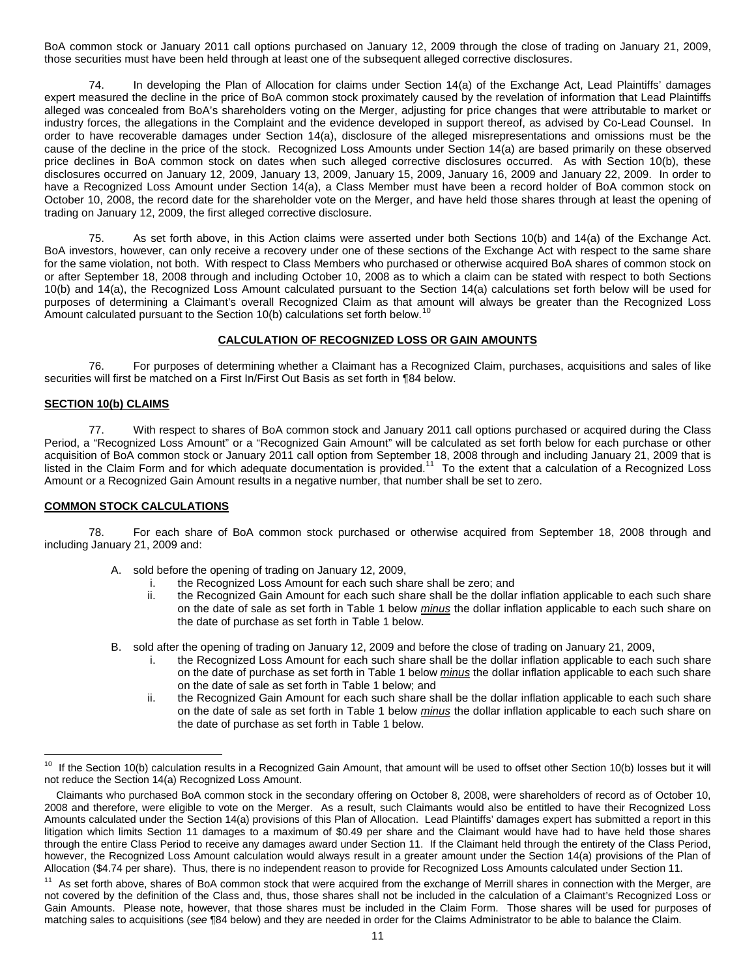BoA common stock or January 2011 call options purchased on January 12, 2009 through the close of trading on January 21, 2009, those securities must have been held through at least one of the subsequent alleged corrective disclosures.

74. In developing the Plan of Allocation for claims under Section 14(a) of the Exchange Act, Lead Plaintiffs' damages expert measured the decline in the price of BoA common stock proximately caused by the revelation of information that Lead Plaintiffs alleged was concealed from BoA's shareholders voting on the Merger, adjusting for price changes that were attributable to market or industry forces, the allegations in the Complaint and the evidence developed in support thereof, as advised by Co-Lead Counsel. In order to have recoverable damages under Section 14(a), disclosure of the alleged misrepresentations and omissions must be the cause of the decline in the price of the stock. Recognized Loss Amounts under Section 14(a) are based primarily on these observed price declines in BoA common stock on dates when such alleged corrective disclosures occurred. As with Section 10(b), these disclosures occurred on January 12, 2009, January 13, 2009, January 15, 2009, January 16, 2009 and January 22, 2009. In order to have a Recognized Loss Amount under Section 14(a), a Class Member must have been a record holder of BoA common stock on October 10, 2008, the record date for the shareholder vote on the Merger, and have held those shares through at least the opening of trading on January 12, 2009, the first alleged corrective disclosure.

75. As set forth above, in this Action claims were asserted under both Sections 10(b) and 14(a) of the Exchange Act. BoA investors, however, can only receive a recovery under one of these sections of the Exchange Act with respect to the same share for the same violation, not both. With respect to Class Members who purchased or otherwise acquired BoA shares of common stock on or after September 18, 2008 through and including October 10, 2008 as to which a claim can be stated with respect to both Sections 10(b) and 14(a), the Recognized Loss Amount calculated pursuant to the Section 14(a) calculations set forth below will be used for purposes of determining a Claimant's overall Recognized Claim as that amount will always be greater than the Recognized Loss Amount calculated pursuant to the Section [10](#page-9-2)(b) calculations set forth below.<sup>10</sup>

# **CALCULATION OF RECOGNIZED LOSS OR GAIN AMOUNTS**

76. For purposes of determining whether a Claimant has a Recognized Claim, purchases, acquisitions and sales of like securities will first be matched on a First In/First Out Basis as set forth in ¶84 below.

### **SECTION 10(b) CLAIMS**

77. With respect to shares of BoA common stock and January 2011 call options purchased or acquired during the Class Period, a "Recognized Loss Amount" or a "Recognized Gain Amount" will be calculated as set forth below for each purchase or other acquisition of BoA common stock or January 2011 call option from September 18, 2008 through and including January 21, 2009 that is listed in the Claim Form and for which adequate documentation is provided.<sup>11</sup> To the extent that a calculation of a Recognized Loss Amount or a Recognized Gain Amount results in a negative number, that number shall be set to zero.

### **COMMON STOCK CALCULATIONS**

78. For each share of BoA common stock purchased or otherwise acquired from September 18, 2008 through and including January 21, 2009 and:

- A. sold before the opening of trading on January 12, 2009,
	- the Recognized Loss Amount for each such share shall be zero; and
		- ii. the Recognized Gain Amount for each such share shall be the dollar inflation applicable to each such share on the date of sale as set forth in Table 1 below *minus* the dollar inflation applicable to each such share on the date of purchase as set forth in Table 1 below.
- B. sold after the opening of trading on January 12, 2009 and before the close of trading on January 21, 2009,
	- i. the Recognized Loss Amount for each such share shall be the dollar inflation applicable to each such share on the date of purchase as set forth in Table 1 below *minus* the dollar inflation applicable to each such share on the date of sale as set forth in Table 1 below; and
	- ii. the Recognized Gain Amount for each such share shall be the dollar inflation applicable to each such share on the date of sale as set forth in Table 1 below *minus* the dollar inflation applicable to each such share on the date of purchase as set forth in Table 1 below.

<sup>&</sup>lt;sup>10</sup> If the Section 10(b) calculation results in a Recognized Gain Amount, that amount will be used to offset other Section 10(b) losses but it will not reduce the Section 14(a) Recognized Loss Amount.

<span id="page-10-1"></span>Claimants who purchased BoA common stock in the secondary offering on October 8, 2008, were shareholders of record as of October 10, 2008 and therefore, were eligible to vote on the Merger. As a result, such Claimants would also be entitled to have their Recognized Loss Amounts calculated under the Section 14(a) provisions of this Plan of Allocation. Lead Plaintiffs' damages expert has submitted a report in this litigation which limits Section 11 damages to a maximum of \$0.49 per share and the Claimant would have had to have held those shares through the entire Class Period to receive any damages award under Section 11. If the Claimant held through the entirety of the Class Period, however, the Recognized Loss Amount calculation would always result in a greater amount under the Section 14(a) provisions of the Plan of Allocation (\$4.74 per share). Thus, there is no independent reason to provide for Recognized Loss Amounts calculated under Section 11.

<span id="page-10-0"></span><sup>&</sup>lt;sup>11</sup> As set forth above, shares of BoA common stock that were acquired from the exchange of Merrill shares in connection with the Merger, are not covered by the definition of the Class and, thus, those shares shall not be included in the calculation of a Claimant's Recognized Loss or Gain Amounts. Please note, however, that those shares must be included in the Claim Form. Those shares will be used for purposes of matching sales to acquisitions (*see* ¶84 below) and they are needed in order for the Claims Administrator to be able to balance the Claim.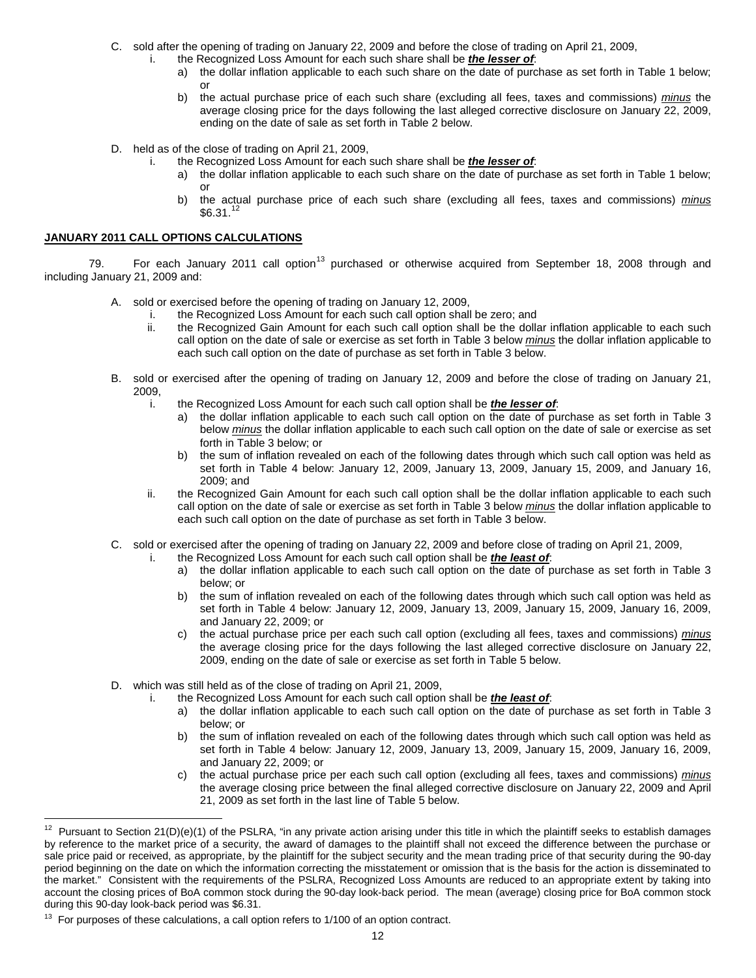- C. sold after the opening of trading on January 22, 2009 and before the close of trading on April 21, 2009,
	- the Recognized Loss Amount for each such share shall be *the lesser of*:
		- a) the dollar inflation applicable to each such share on the date of purchase as set forth in Table 1 below; or
		- b) the actual purchase price of each such share (excluding all fees, taxes and commissions) *minus* the average closing price for the days following the last alleged corrective disclosure on January 22, 2009, ending on the date of sale as set forth in Table 2 below.
- D. held as of the close of trading on April 21, 2009,
	- i. the Recognized Loss Amount for each such share shall be *the lesser of*:
		- a) the dollar inflation applicable to each such share on the date of purchase as set forth in Table 1 below; or
		- b) the actual purchase price of each such share (excluding all fees, taxes and commissions) *minus*  $$6.31.<sup>12</sup>$  $$6.31.<sup>12</sup>$  $$6.31.<sup>12</sup>$

#### **JANUARY 2011 CALL OPTIONS CALCULATIONS**

79. For each January 2011 call option<sup>[13](#page-11-0)</sup> purchased or otherwise acquired from September 18, 2008 through and including January 21, 2009 and:

- A. sold or exercised before the opening of trading on January 12, 2009,
	- i. the Recognized Loss Amount for each such call option shall be zero; and ii. the Recognized Gain Amount for each such call option shall be the dolla
	- the Recognized Gain Amount for each such call option shall be the dollar inflation applicable to each such call option on the date of sale or exercise as set forth in Table 3 below *minus* the dollar inflation applicable to each such call option on the date of purchase as set forth in Table 3 below.
- B. sold or exercised after the opening of trading on January 12, 2009 and before the close of trading on January 21, 2009,
	- i. the Recognized Loss Amount for each such call option shall be *the lesser of*:
		- a) the dollar inflation applicable to each such call option on the date of purchase as set forth in Table 3 below *minus* the dollar inflation applicable to each such call option on the date of sale or exercise as set forth in Table 3 below; or
		- b) the sum of inflation revealed on each of the following dates through which such call option was held as set forth in Table 4 below: January 12, 2009, January 13, 2009, January 15, 2009, and January 16, 2009; and
	- ii. the Recognized Gain Amount for each such call option shall be the dollar inflation applicable to each such call option on the date of sale or exercise as set forth in Table 3 below *minus* the dollar inflation applicable to each such call option on the date of purchase as set forth in Table 3 below.
- C. sold or exercised after the opening of trading on January 22, 2009 and before close of trading on April 21, 2009,
	- the Recognized Loss Amount for each such call option shall be *the least of*:
		- a) the dollar inflation applicable to each such call option on the date of purchase as set forth in Table 3 below; or
		- b) the sum of inflation revealed on each of the following dates through which such call option was held as set forth in Table 4 below: January 12, 2009, January 13, 2009, January 15, 2009, January 16, 2009, and January 22, 2009; or
		- c) the actual purchase price per each such call option (excluding all fees, taxes and commissions) *minus* the average closing price for the days following the last alleged corrective disclosure on January 22, 2009, ending on the date of sale or exercise as set forth in Table 5 below.
- D. which was still held as of the close of trading on April 21, 2009,
	- i. the Recognized Loss Amount for each such call option shall be *the least of*:
		- a) the dollar inflation applicable to each such call option on the date of purchase as set forth in Table 3 below; or
		- b) the sum of inflation revealed on each of the following dates through which such call option was held as set forth in Table 4 below: January 12, 2009, January 13, 2009, January 15, 2009, January 16, 2009, and January 22, 2009; or
		- c) the actual purchase price per each such call option (excluding all fees, taxes and commissions) *minus* the average closing price between the final alleged corrective disclosure on January 22, 2009 and April 21, 2009 as set forth in the last line of Table 5 below.

<span id="page-11-1"></span><sup>&</sup>lt;sup>12</sup> Pursuant to Section 21(D)(e)(1) of the PSLRA, "in any private action arising under this title in which the plaintiff seeks to establish damages by reference to the market price of a security, the award of damages to the plaintiff shall not exceed the difference between the purchase or sale price paid or received, as appropriate, by the plaintiff for the subject security and the mean trading price of that security during the 90-day period beginning on the date on which the information correcting the misstatement or omission that is the basis for the action is disseminated to the market." Consistent with the requirements of the PSLRA, Recognized Loss Amounts are reduced to an appropriate extent by taking into account the closing prices of BoA common stock during the 90-day look-back period. The mean (average) closing price for BoA common stock during this 90-day look-back period was \$6.31.

<span id="page-11-0"></span> $13$  For purposes of these calculations, a call option refers to  $1/100$  of an option contract.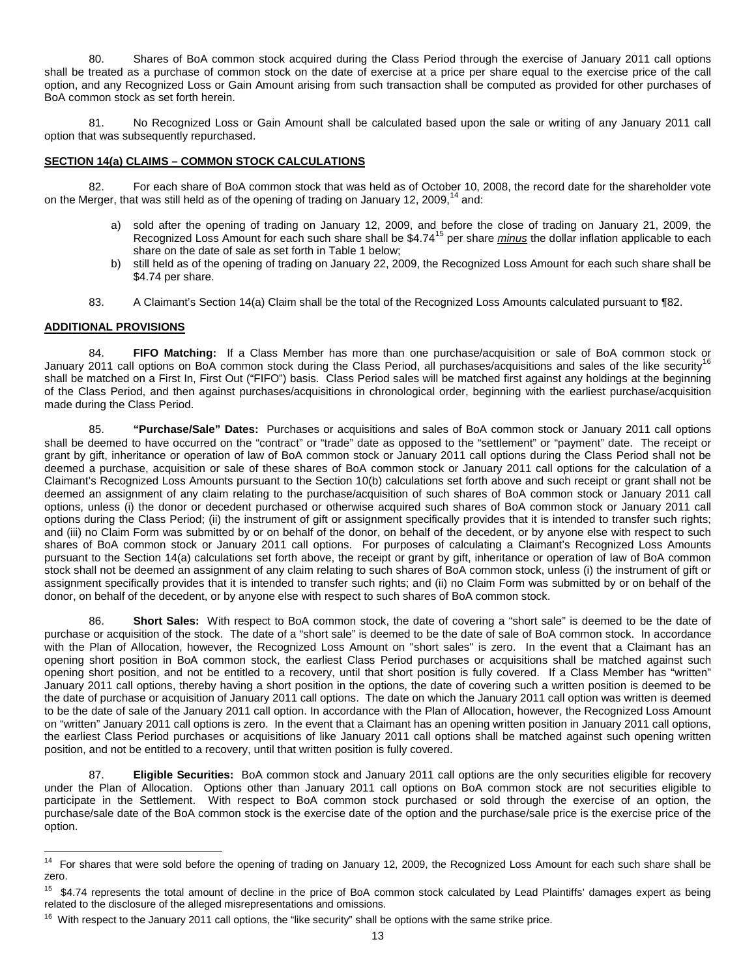80. Shares of BoA common stock acquired during the Class Period through the exercise of January 2011 call options shall be treated as a purchase of common stock on the date of exercise at a price per share equal to the exercise price of the call option, and any Recognized Loss or Gain Amount arising from such transaction shall be computed as provided for other purchases of BoA common stock as set forth herein.

81. No Recognized Loss or Gain Amount shall be calculated based upon the sale or writing of any January 2011 call option that was subsequently repurchased.

## **SECTION 14(a) CLAIMS – COMMON STOCK CALCULATIONS**

82. For each share of BoA common stock that was held as of October 10, 2008, the record date for the shareholder vote on the Merger, that was still held as of the opening of trading on January 12, 2009.<sup>[14](#page-11-1)</sup> and:

- a) sold after the opening of trading on January 12, 2009, and before the close of trading on January 21, 2009, the Recognized Loss Amount for each such share shall be \$4.74<sup>[15](#page-12-0)</sup> per share *minus* the dollar inflation applicable to each share on the date of sale as set forth in Table 1 below;
- b) still held as of the opening of trading on January 22, 2009, the Recognized Loss Amount for each such share shall be \$4.74 per share.
- 83. A Claimant's Section 14(a) Claim shall be the total of the Recognized Loss Amounts calculated pursuant to ¶82.

### **ADDITIONAL PROVISIONS**

84. **FIFO Matching:** If a Class Member has more than one purchase/acquisition or sale of BoA common stock or January 2011 call options on BoA common stock during the Class Period, all purchases/acquisitions and sales of the like security<sup>[16](#page-12-1)</sup> shall be matched on a First In, First Out ("FIFO") basis. Class Period sales will be matched first against any holdings at the beginning of the Class Period, and then against purchases/acquisitions in chronological order, beginning with the earliest purchase/acquisition made during the Class Period.

85. **"Purchase/Sale" Dates:** Purchases or acquisitions and sales of BoA common stock or January 2011 call options shall be deemed to have occurred on the "contract" or "trade" date as opposed to the "settlement" or "payment" date. The receipt or grant by gift, inheritance or operation of law of BoA common stock or January 2011 call options during the Class Period shall not be deemed a purchase, acquisition or sale of these shares of BoA common stock or January 2011 call options for the calculation of a Claimant's Recognized Loss Amounts pursuant to the Section 10(b) calculations set forth above and such receipt or grant shall not be deemed an assignment of any claim relating to the purchase/acquisition of such shares of BoA common stock or January 2011 call options, unless (i) the donor or decedent purchased or otherwise acquired such shares of BoA common stock or January 2011 call options during the Class Period; (ii) the instrument of gift or assignment specifically provides that it is intended to transfer such rights; and (iii) no Claim Form was submitted by or on behalf of the donor, on behalf of the decedent, or by anyone else with respect to such shares of BoA common stock or January 2011 call options. For purposes of calculating a Claimant's Recognized Loss Amounts pursuant to the Section 14(a) calculations set forth above, the receipt or grant by gift, inheritance or operation of law of BoA common stock shall not be deemed an assignment of any claim relating to such shares of BoA common stock, unless (i) the instrument of gift or assignment specifically provides that it is intended to transfer such rights; and (ii) no Claim Form was submitted by or on behalf of the donor, on behalf of the decedent, or by anyone else with respect to such shares of BoA common stock.

86. **Short Sales:** With respect to BoA common stock, the date of covering a "short sale" is deemed to be the date of purchase or acquisition of the stock. The date of a "short sale" is deemed to be the date of sale of BoA common stock. In accordance with the Plan of Allocation, however, the Recognized Loss Amount on "short sales" is zero. In the event that a Claimant has an opening short position in BoA common stock, the earliest Class Period purchases or acquisitions shall be matched against such opening short position, and not be entitled to a recovery, until that short position is fully covered. If a Class Member has "written" January 2011 call options, thereby having a short position in the options, the date of covering such a written position is deemed to be the date of purchase or acquisition of January 2011 call options. The date on which the January 2011 call option was written is deemed to be the date of sale of the January 2011 call option. In accordance with the Plan of Allocation, however, the Recognized Loss Amount on "written" January 2011 call options is zero. In the event that a Claimant has an opening written position in January 2011 call options, the earliest Class Period purchases or acquisitions of like January 2011 call options shall be matched against such opening written position, and not be entitled to a recovery, until that written position is fully covered.

<span id="page-12-2"></span>87. **Eligible Securities:** BoA common stock and January 2011 call options are the only securities eligible for recovery under the Plan of Allocation. Options other than January 2011 call options on BoA common stock are not securities eligible to participate in the Settlement. With respect to BoA common stock purchased or sold through the exercise of an option, the purchase/sale date of the BoA common stock is the exercise date of the option and the purchase/sale price is the exercise price of the option.

<sup>&</sup>lt;sup>14</sup> For shares that were sold before the opening of trading on January 12, 2009, the Recognized Loss Amount for each such share shall be zero.

<span id="page-12-0"></span><sup>&</sup>lt;sup>15</sup> \$4.74 represents the total amount of decline in the price of BoA common stock calculated by Lead Plaintiffs' damages expert as being related to the disclosure of the alleged misrepresentations and omissions.

<span id="page-12-1"></span> $16$  With respect to the January 2011 call options, the "like security" shall be options with the same strike price.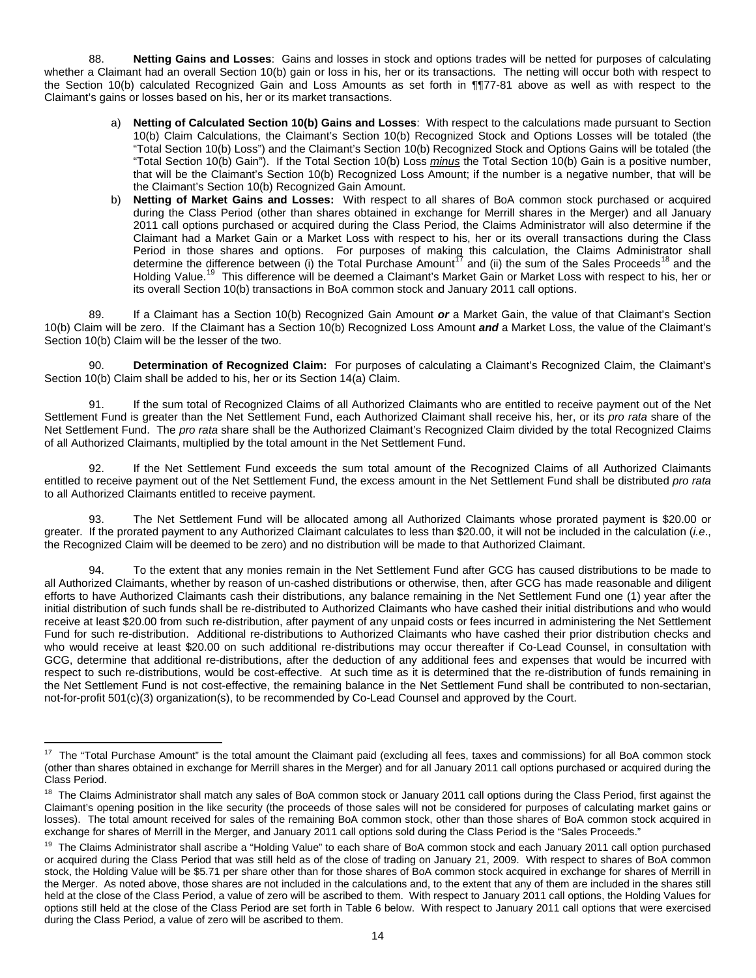88. **Netting Gains and Losses**: Gains and losses in stock and options trades will be netted for purposes of calculating whether a Claimant had an overall Section 10(b) gain or loss in his, her or its transactions. The netting will occur both with respect to the Section 10(b) calculated Recognized Gain and Loss Amounts as set forth in ¶¶77-81 above as well as with respect to the Claimant's gains or losses based on his, her or its market transactions.

- a) **Netting of Calculated Section 10(b) Gains and Losses**: With respect to the calculations made pursuant to Section 10(b) Claim Calculations, the Claimant's Section 10(b) Recognized Stock and Options Losses will be totaled (the "Total Section 10(b) Loss") and the Claimant's Section 10(b) Recognized Stock and Options Gains will be totaled (the "Total Section 10(b) Gain"). If the Total Section 10(b) Loss *minus* the Total Section 10(b) Gain is a positive number, that will be the Claimant's Section 10(b) Recognized Loss Amount; if the number is a negative number, that will be the Claimant's Section 10(b) Recognized Gain Amount.
- b) **Netting of Market Gains and Losses:** With respect to all shares of BoA common stock purchased or acquired during the Class Period (other than shares obtained in exchange for Merrill shares in the Merger) and all January 2011 call options purchased or acquired during the Class Period, the Claims Administrator will also determine if the Claimant had a Market Gain or a Market Loss with respect to his, her or its overall transactions during the Class Period in those shares and options. For purposes of making this calculation, the Claims Administrator shall determine the difference between (i) the Total Purchase Amount<sup>[17](#page-12-2)</sup> and (ii) the sum of the Sales Proceeds<sup>[18](#page-13-0)</sup> and the Holding Value.<sup>[19](#page-13-1)</sup> This difference will be deemed a Claimant's Market Gain or Market Loss with respect to his, her or its overall Section 10(b) transactions in BoA common stock and January 2011 call options.

89. If a Claimant has a Section 10(b) Recognized Gain Amount *or* a Market Gain, the value of that Claimant's Section 10(b) Claim will be zero. If the Claimant has a Section 10(b) Recognized Loss Amount *and* a Market Loss, the value of the Claimant's Section 10(b) Claim will be the lesser of the two.

90. **Determination of Recognized Claim:** For purposes of calculating a Claimant's Recognized Claim, the Claimant's Section 10(b) Claim shall be added to his, her or its Section 14(a) Claim.

If the sum total of Recognized Claims of all Authorized Claimants who are entitled to receive payment out of the Net Settlement Fund is greater than the Net Settlement Fund, each Authorized Claimant shall receive his, her, or its *pro rata* share of the Net Settlement Fund. The *pro rata* share shall be the Authorized Claimant's Recognized Claim divided by the total Recognized Claims of all Authorized Claimants, multiplied by the total amount in the Net Settlement Fund.

92. If the Net Settlement Fund exceeds the sum total amount of the Recognized Claims of all Authorized Claimants entitled to receive payment out of the Net Settlement Fund, the excess amount in the Net Settlement Fund shall be distributed *pro rata*  to all Authorized Claimants entitled to receive payment.

93. The Net Settlement Fund will be allocated among all Authorized Claimants whose prorated payment is \$20.00 or greater. If the prorated payment to any Authorized Claimant calculates to less than \$20.00, it will not be included in the calculation (*i.e*., the Recognized Claim will be deemed to be zero) and no distribution will be made to that Authorized Claimant.

94. To the extent that any monies remain in the Net Settlement Fund after GCG has caused distributions to be made to all Authorized Claimants, whether by reason of un-cashed distributions or otherwise, then, after GCG has made reasonable and diligent efforts to have Authorized Claimants cash their distributions, any balance remaining in the Net Settlement Fund one (1) year after the initial distribution of such funds shall be re-distributed to Authorized Claimants who have cashed their initial distributions and who would receive at least \$20.00 from such re-distribution, after payment of any unpaid costs or fees incurred in administering the Net Settlement Fund for such re-distribution. Additional re-distributions to Authorized Claimants who have cashed their prior distribution checks and who would receive at least \$20.00 on such additional re-distributions may occur thereafter if Co-Lead Counsel, in consultation with GCG, determine that additional re-distributions, after the deduction of any additional fees and expenses that would be incurred with respect to such re-distributions, would be cost-effective. At such time as it is determined that the re-distribution of funds remaining in the Net Settlement Fund is not cost-effective, the remaining balance in the Net Settlement Fund shall be contributed to non-sectarian, not-for-profit 501(c)(3) organization(s), to be recommended by Co-Lead Counsel and approved by the Court.

17 The "Total Purchase Amount" is the total amount the Claimant paid (excluding all fees, taxes and commissions) for all BoA common stock (other than shares obtained in exchange for Merrill shares in the Merger) and for all January 2011 call options purchased or acquired during the Class Period.

<span id="page-13-0"></span><sup>&</sup>lt;sup>18</sup> The Claims Administrator shall match any sales of BoA common stock or January 2011 call options during the Class Period, first against the Claimant's opening position in the like security (the proceeds of those sales will not be considered for purposes of calculating market gains or losses). The total amount received for sales of the remaining BoA common stock, other than those shares of BoA common stock acquired in exchange for shares of Merrill in the Merger, and January 2011 call options sold during the Class Period is the "Sales Proceeds."

<span id="page-13-2"></span><span id="page-13-1"></span><sup>&</sup>lt;sup>19</sup> The Claims Administrator shall ascribe a "Holding Value" to each share of BoA common stock and each January 2011 call option purchased or acquired during the Class Period that was still held as of the close of trading on January 21, 2009. With respect to shares of BoA common stock, the Holding Value will be \$5.71 per share other than for those shares of BoA common stock acquired in exchange for shares of Merrill in the Merger. As noted above, those shares are not included in the calculations and, to the extent that any of them are included in the shares still held at the close of the Class Period, a value of zero will be ascribed to them. With respect to January 2011 call options, the Holding Values for options still held at the close of the Class Period are set forth in Table 6 below. With respect to January 2011 call options that were exercised during the Class Period, a value of zero will be ascribed to them.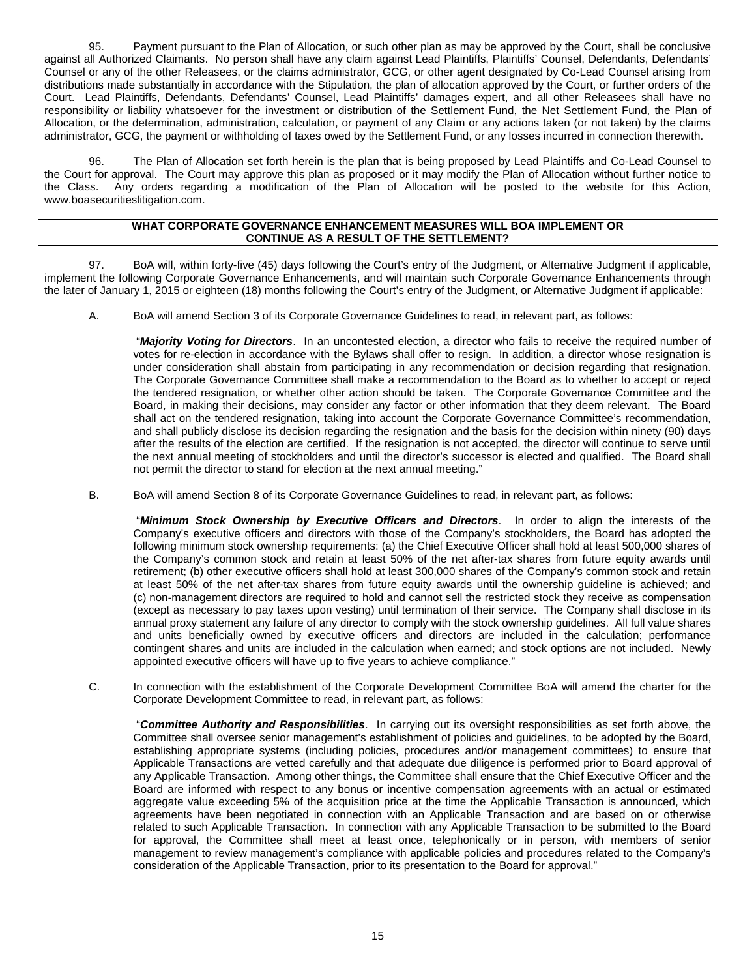95. Payment pursuant to the Plan of Allocation, or such other plan as may be approved by the Court, shall be conclusive against all Authorized Claimants. No person shall have any claim against Lead Plaintiffs, Plaintiffs' Counsel, Defendants, Defendants' Counsel or any of the other Releasees, or the claims administrator, GCG, or other agent designated by Co-Lead Counsel arising from distributions made substantially in accordance with the Stipulation, the plan of allocation approved by the Court, or further orders of the Court. Lead Plaintiffs, Defendants, Defendants' Counsel, Lead Plaintiffs' damages expert, and all other Releasees shall have no responsibility or liability whatsoever for the investment or distribution of the Settlement Fund, the Net Settlement Fund, the Plan of Allocation, or the determination, administration, calculation, or payment of any Claim or any actions taken (or not taken) by the claims administrator, GCG, the payment or withholding of taxes owed by the Settlement Fund, or any losses incurred in connection therewith.

96. The Plan of Allocation set forth herein is the plan that is being proposed by Lead Plaintiffs and Co-Lead Counsel to the Court for approval. The Court may approve this plan as proposed or it may modify the Plan of Allocation without further notice to the Class. Any orders regarding a modification of the Plan of Allocation will be posted to the website for this Action, [www.boasecuritieslitigation.com.](http://www.boasecuritieslitigation.com/)

### **WHAT CORPORATE GOVERNANCE ENHANCEMENT MEASURES WILL BOA IMPLEMENT OR CONTINUE AS A RESULT OF THE SETTLEMENT?**

97. BoA will, within forty-five (45) days following the Court's entry of the Judgment, or Alternative Judgment if applicable, implement the following Corporate Governance Enhancements, and will maintain such Corporate Governance Enhancements through the later of January 1, 2015 or eighteen (18) months following the Court's entry of the Judgment, or Alternative Judgment if applicable:

A. BoA will amend Section 3 of its Corporate Governance Guidelines to read, in relevant part, as follows:

"*Majority Voting for Directors*. In an uncontested election, a director who fails to receive the required number of votes for re-election in accordance with the Bylaws shall offer to resign. In addition, a director whose resignation is under consideration shall abstain from participating in any recommendation or decision regarding that resignation. The Corporate Governance Committee shall make a recommendation to the Board as to whether to accept or reject the tendered resignation, or whether other action should be taken. The Corporate Governance Committee and the Board, in making their decisions, may consider any factor or other information that they deem relevant. The Board shall act on the tendered resignation, taking into account the Corporate Governance Committee's recommendation, and shall publicly disclose its decision regarding the resignation and the basis for the decision within ninety (90) days after the results of the election are certified. If the resignation is not accepted, the director will continue to serve until the next annual meeting of stockholders and until the director's successor is elected and qualified. The Board shall not permit the director to stand for election at the next annual meeting."

B. BoA will amend Section 8 of its Corporate Governance Guidelines to read, in relevant part, as follows:

"*Minimum Stock Ownership by Executive Officers and Directors*. In order to align the interests of the Company's executive officers and directors with those of the Company's stockholders, the Board has adopted the following minimum stock ownership requirements: (a) the Chief Executive Officer shall hold at least 500,000 shares of the Company's common stock and retain at least 50% of the net after-tax shares from future equity awards until retirement; (b) other executive officers shall hold at least 300,000 shares of the Company's common stock and retain at least 50% of the net after-tax shares from future equity awards until the ownership guideline is achieved; and (c) non-management directors are required to hold and cannot sell the restricted stock they receive as compensation (except as necessary to pay taxes upon vesting) until termination of their service. The Company shall disclose in its annual proxy statement any failure of any director to comply with the stock ownership guidelines. All full value shares and units beneficially owned by executive officers and directors are included in the calculation; performance contingent shares and units are included in the calculation when earned; and stock options are not included. Newly appointed executive officers will have up to five years to achieve compliance."

C. In connection with the establishment of the Corporate Development Committee BoA will amend the charter for the Corporate Development Committee to read, in relevant part, as follows:

"*Committee Authority and Responsibilities*. In carrying out its oversight responsibilities as set forth above, the Committee shall oversee senior management's establishment of policies and guidelines, to be adopted by the Board, establishing appropriate systems (including policies, procedures and/or management committees) to ensure that Applicable Transactions are vetted carefully and that adequate due diligence is performed prior to Board approval of any Applicable Transaction. Among other things, the Committee shall ensure that the Chief Executive Officer and the Board are informed with respect to any bonus or incentive compensation agreements with an actual or estimated aggregate value exceeding 5% of the acquisition price at the time the Applicable Transaction is announced, which agreements have been negotiated in connection with an Applicable Transaction and are based on or otherwise related to such Applicable Transaction. In connection with any Applicable Transaction to be submitted to the Board for approval, the Committee shall meet at least once, telephonically or in person, with members of senior management to review management's compliance with applicable policies and procedures related to the Company's consideration of the Applicable Transaction, prior to its presentation to the Board for approval."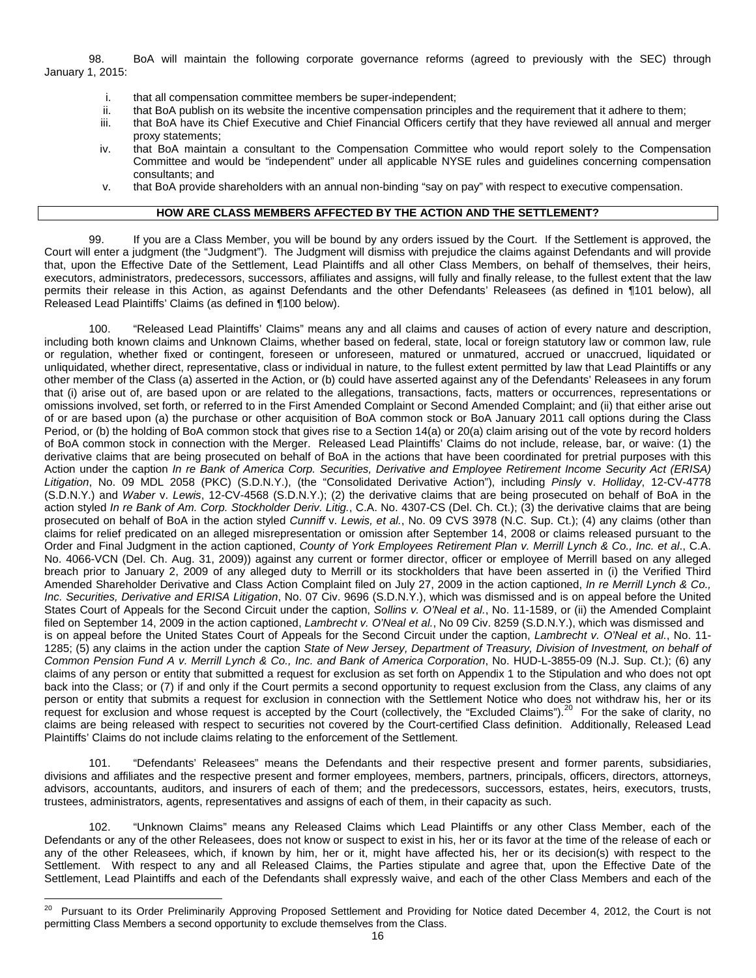98. BoA will maintain the following corporate governance reforms (agreed to previously with the SEC) through January 1, 2015:

- i. that all compensation committee members be super-independent;
- ii. that BoA publish on its website the incentive compensation principles and the requirement that it adhere to them;<br>iii. that BoA have its Chief Executive and Chief Financial Officers certify that they have reviewed all
- that BoA have its Chief Executive and Chief Financial Officers certify that they have reviewed all annual and merger proxy statements;
- iv. that BoA maintain a consultant to the Compensation Committee who would report solely to the Compensation Committee and would be "independent" under all applicable NYSE rules and guidelines concerning compensation consultants; and
- v. that BoA provide shareholders with an annual non-binding "say on pay" with respect to executive compensation.

## **HOW ARE CLASS MEMBERS AFFECTED BY THE ACTION AND THE SETTLEMENT?**

99. If you are a Class Member, you will be bound by any orders issued by the Court. If the Settlement is approved, the Court will enter a judgment (the "Judgment"). The Judgment will dismiss with prejudice the claims against Defendants and will provide that, upon the Effective Date of the Settlement, Lead Plaintiffs and all other Class Members, on behalf of themselves, their heirs, executors, administrators, predecessors, successors, affiliates and assigns, will fully and finally release, to the fullest extent that the law permits their release in this Action, as against Defendants and the other Defendants' Releasees (as defined in ¶101 below), all Released Lead Plaintiffs' Claims (as defined in ¶100 below).

100. "Released Lead Plaintiffs' Claims" means any and all claims and causes of action of every nature and description, including both known claims and Unknown Claims, whether based on federal, state, local or foreign statutory law or common law, rule or regulation, whether fixed or contingent, foreseen or unforeseen, matured or unmatured, accrued or unaccrued, liquidated or unliquidated, whether direct, representative, class or individual in nature, to the fullest extent permitted by law that Lead Plaintiffs or any other member of the Class (a) asserted in the Action, or (b) could have asserted against any of the Defendants' Releasees in any forum that (i) arise out of, are based upon or are related to the allegations, transactions, facts, matters or occurrences, representations or omissions involved, set forth, or referred to in the First Amended Complaint or Second Amended Complaint; and (ii) that either arise out of or are based upon (a) the purchase or other acquisition of BoA common stock or BoA January 2011 call options during the Class Period, or (b) the holding of BoA common stock that gives rise to a Section 14(a) or 20(a) claim arising out of the vote by record holders of BoA common stock in connection with the Merger. Released Lead Plaintiffs' Claims do not include, release, bar, or waive: (1) the derivative claims that are being prosecuted on behalf of BoA in the actions that have been coordinated for pretrial purposes with this Action under the caption *In re Bank of America Corp. Securities, Derivative and Employee Retirement Income Security Act (ERISA) Litigation*, No. 09 MDL 2058 (PKC) (S.D.N.Y.), (the "Consolidated Derivative Action"), including *Pinsly* v. *Holliday*, 12-CV-4778 (S.D.N.Y.) and *Waber* v. *Lewis*, 12-CV-4568 (S.D.N.Y.); (2) the derivative claims that are being prosecuted on behalf of BoA in the action styled *In re Bank of Am. Corp. Stockholder Deriv. Litig.*, C.A. No. 4307-CS (Del. Ch. Ct.); (3) the derivative claims that are being prosecuted on behalf of BoA in the action styled *Cunniff* v. *Lewis, et al.*, No. 09 CVS 3978 (N.C. Sup. Ct.); (4) any claims (other than claims for relief predicated on an alleged misrepresentation or omission after September 14, 2008 or claims released pursuant to the Order and Final Judgment in the action captioned, *County of York Employees Retirement Plan v. Merrill Lynch & Co., Inc. et al*., C.A. No. 4066-VCN (Del. Ch. Aug. 31, 2009)) against any current or former director, officer or employee of Merrill based on any alleged breach prior to January 2, 2009 of any alleged duty to Merrill or its stockholders that have been asserted in (i) the Verified Third Amended Shareholder Derivative and Class Action Complaint filed on July 27, 2009 in the action captioned, *In re Merrill Lynch & Co., Inc. Securities, Derivative and ERISA Litigation*, No. 07 Civ. 9696 (S.D.N.Y.), which was dismissed and is on appeal before the United States Court of Appeals for the Second Circuit under the caption, *Sollins v. O'Neal et al.*, No. 11-1589, or (ii) the Amended Complaint filed on September 14, 2009 in the action captioned, *Lambrecht v. O'Neal et al.*, No 09 Civ. 8259 (S.D.N.Y.), which was dismissed and is on appeal before the United States Court of Appeals for the Second Circuit under the caption, *Lambrecht v. O'Neal et al.*, No. 11- 1285; (5) any claims in the action under the caption *State of New Jersey, Department of Treasury, Division of Investment, on behalf of Common Pension Fund A v. Merrill Lynch & Co., Inc. and Bank of America Corporation*, No. HUD-L-3855-09 (N.J. Sup. Ct.); (6) any claims of any person or entity that submitted a request for exclusion as set forth on Appendix 1 to the Stipulation and who does not opt back into the Class; or (7) if and only if the Court permits a second opportunity to request exclusion from the Class, any claims of any person or entity that submits a request for exclusion in connection with the Settlement Notice who does not withdraw his, her or its request for exclusion and whose request is accepted by the Court (collectively, the "Excluded Claims").<sup>[20](#page-13-2)</sup> For the sake of clarity, no claims are being released with respect to securities not covered by the Court-certified Class definition. Additionally, Released Lead Plaintiffs' Claims do not include claims relating to the enforcement of the Settlement.

101. "Defendants' Releasees" means the Defendants and their respective present and former parents, subsidiaries, divisions and affiliates and the respective present and former employees, members, partners, principals, officers, directors, attorneys, advisors, accountants, auditors, and insurers of each of them; and the predecessors, successors, estates, heirs, executors, trusts, trustees, administrators, agents, representatives and assigns of each of them, in their capacity as such.

102. "Unknown Claims" means any Released Claims which Lead Plaintiffs or any other Class Member, each of the Defendants or any of the other Releasees, does not know or suspect to exist in his, her or its favor at the time of the release of each or any of the other Releasees, which, if known by him, her or it, might have affected his, her or its decision(s) with respect to the Settlement. With respect to any and all Released Claims, the Parties stipulate and agree that, upon the Effective Date of the Settlement, Lead Plaintiffs and each of the Defendants shall expressly waive, and each of the other Class Members and each of the

<sup>&</sup>lt;sup>20</sup> Pursuant to its Order Preliminarily Approving Proposed Settlement and Providing for Notice dated December 4, 2012, the Court is not permitting Class Members a second opportunity to exclude themselves from the Class.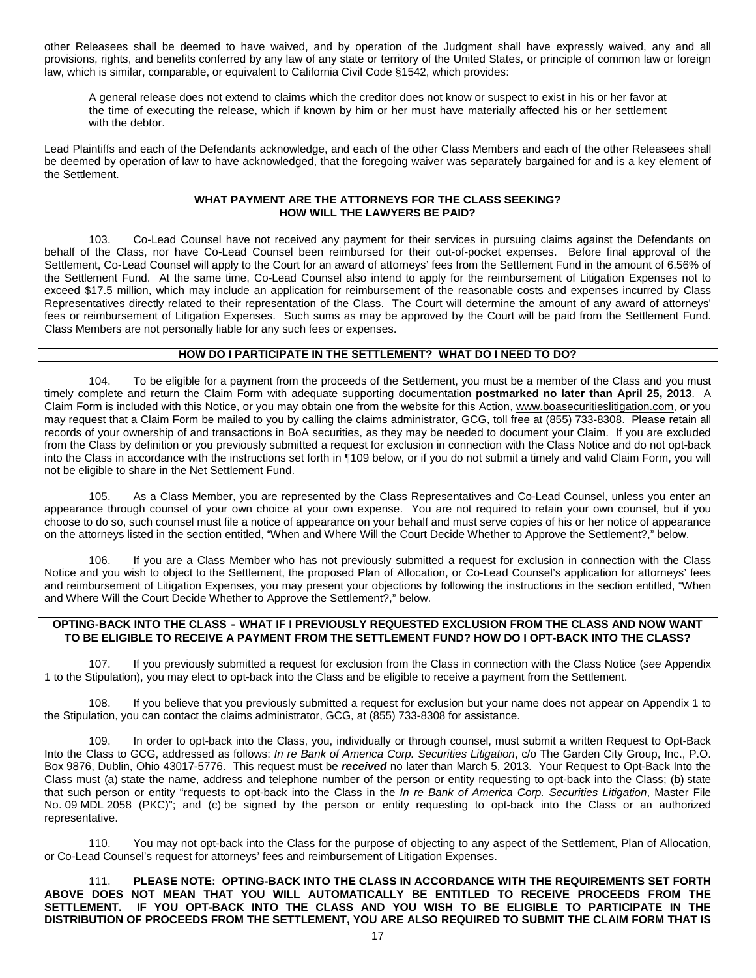other Releasees shall be deemed to have waived, and by operation of the Judgment shall have expressly waived, any and all provisions, rights, and benefits conferred by any law of any state or territory of the United States, or principle of common law or foreign law, which is similar, comparable, or equivalent to California Civil Code §1542, which provides:

A general release does not extend to claims which the creditor does not know or suspect to exist in his or her favor at the time of executing the release, which if known by him or her must have materially affected his or her settlement with the debtor.

Lead Plaintiffs and each of the Defendants acknowledge, and each of the other Class Members and each of the other Releasees shall be deemed by operation of law to have acknowledged, that the foregoing waiver was separately bargained for and is a key element of the Settlement.

#### **WHAT PAYMENT ARE THE ATTORNEYS FOR THE CLASS SEEKING? HOW WILL THE LAWYERS BE PAID?**

103. Co-Lead Counsel have not received any payment for their services in pursuing claims against the Defendants on behalf of the Class, nor have Co-Lead Counsel been reimbursed for their out-of-pocket expenses. Before final approval of the Settlement, Co-Lead Counsel will apply to the Court for an award of attorneys' fees from the Settlement Fund in the amount of 6.56% of the Settlement Fund. At the same time, Co-Lead Counsel also intend to apply for the reimbursement of Litigation Expenses not to exceed \$17.5 million, which may include an application for reimbursement of the reasonable costs and expenses incurred by Class Representatives directly related to their representation of the Class. The Court will determine the amount of any award of attorneys' fees or reimbursement of Litigation Expenses. Such sums as may be approved by the Court will be paid from the Settlement Fund. Class Members are not personally liable for any such fees or expenses.

### **HOW DO I PARTICIPATE IN THE SETTLEMENT? WHAT DO I NEED TO DO?**

104. To be eligible for a payment from the proceeds of the Settlement, you must be a member of the Class and you must timely complete and return the Claim Form with adequate supporting documentation **postmarked no later than April 25, 2013**. A Claim Form is included with this Notice, or you may obtain one from the website for this Action, www.boasecuritieslitigation.com, or you may request that a Claim Form be mailed to you by calling the claims administrator, GCG, toll free at (855) 733-8308. Please retain all records of your ownership of and transactions in BoA securities, as they may be needed to document your Claim. If you are excluded from the Class by definition or you previously submitted a request for exclusion in connection with the Class Notice and do not opt-back into the Class in accordance with the instructions set forth in ¶109 below, or if you do not submit a timely and valid Claim Form, you will not be eligible to share in the Net Settlement Fund.

105. As a Class Member, you are represented by the Class Representatives and Co-Lead Counsel, unless you enter an appearance through counsel of your own choice at your own expense. You are not required to retain your own counsel, but if you choose to do so, such counsel must file a notice of appearance on your behalf and must serve copies of his or her notice of appearance on the attorneys listed in the section entitled, "When and Where Will the Court Decide Whether to Approve the Settlement?," below.

106. If you are a Class Member who has not previously submitted a request for exclusion in connection with the Class Notice and you wish to object to the Settlement, the proposed Plan of Allocation, or Co-Lead Counsel's application for attorneys' fees and reimbursement of Litigation Expenses, you may present your objections by following the instructions in the section entitled, "When and Where Will the Court Decide Whether to Approve the Settlement?," below.

## **OPTING-BACK INTO THE CLASS - WHAT IF I PREVIOUSLY REQUESTED EXCLUSION FROM THE CLASS AND NOW WANT TO BE ELIGIBLE TO RECEIVE A PAYMENT FROM THE SETTLEMENT FUND? HOW DO I OPT-BACK INTO THE CLASS?**

107. If you previously submitted a request for exclusion from the Class in connection with the Class Notice (*see* Appendix 1 to the Stipulation), you may elect to opt-back into the Class and be eligible to receive a payment from the Settlement.

108. If you believe that you previously submitted a request for exclusion but your name does not appear on Appendix 1 to the Stipulation, you can contact the claims administrator, GCG, at (855) 733-8308 for assistance.

109. In order to opt-back into the Class, you, individually or through counsel, must submit a written Request to Opt-Back Into the Class to GCG, addressed as follows: *In re Bank of America Corp. Securities Litigation*, c/o The Garden City Group, Inc., P.O. Box 9876, Dublin, Ohio 43017-5776. This request must be *received* no later than March 5, 2013. Your Request to Opt-Back Into the Class must (a) state the name, address and telephone number of the person or entity requesting to opt-back into the Class; (b) state that such person or entity "requests to opt-back into the Class in the *In re Bank of America Corp. Securities Litigation*, Master File No. 09 MDL 2058 (PKC)"; and (c) be signed by the person or entity requesting to opt-back into the Class or an authorized representative.

110. You may not opt-back into the Class for the purpose of objecting to any aspect of the Settlement, Plan of Allocation, or Co-Lead Counsel's request for attorneys' fees and reimbursement of Litigation Expenses.

111. **PLEASE NOTE: OPTING-BACK INTO THE CLASS IN ACCORDANCE WITH THE REQUIREMENTS SET FORTH ABOVE DOES NOT MEAN THAT YOU WILL AUTOMATICALLY BE ENTITLED TO RECEIVE PROCEEDS FROM THE SETTLEMENT. IF YOU OPT-BACK INTO THE CLASS AND YOU WISH TO BE ELIGIBLE TO PARTICIPATE IN THE DISTRIBUTION OF PROCEEDS FROM THE SETTLEMENT, YOU ARE ALSO REQUIRED TO SUBMIT THE CLAIM FORM THAT IS**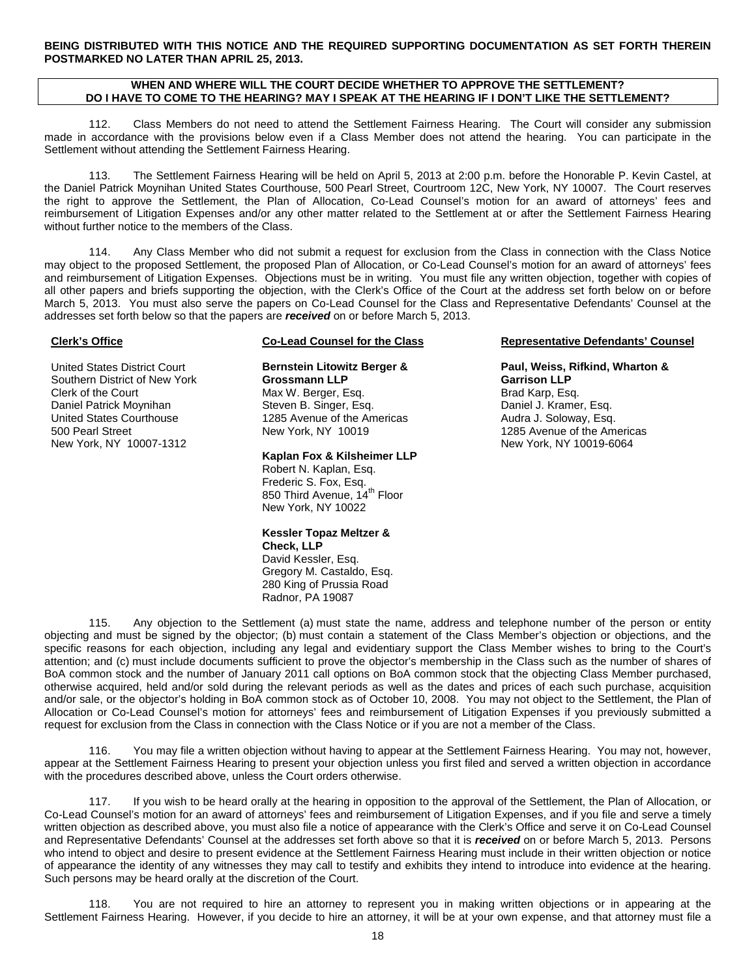**BEING DISTRIBUTED WITH THIS NOTICE AND THE REQUIRED SUPPORTING DOCUMENTATION AS SET FORTH THEREIN POSTMARKED NO LATER THAN APRIL 25, 2013.**

#### **WHEN AND WHERE WILL THE COURT DECIDE WHETHER TO APPROVE THE SETTLEMENT? DO I HAVE TO COME TO THE HEARING? MAY I SPEAK AT THE HEARING IF I DON'T LIKE THE SETTLEMENT?**

112. Class Members do not need to attend the Settlement Fairness Hearing. The Court will consider any submission made in accordance with the provisions below even if a Class Member does not attend the hearing. You can participate in the Settlement without attending the Settlement Fairness Hearing.

113. The Settlement Fairness Hearing will be held on April 5, 2013 at 2:00 p.m. before the Honorable P. Kevin Castel, at the Daniel Patrick Moynihan United States Courthouse, 500 Pearl Street, Courtroom 12C, New York, NY 10007. The Court reserves the right to approve the Settlement, the Plan of Allocation, Co-Lead Counsel's motion for an award of attorneys' fees and reimbursement of Litigation Expenses and/or any other matter related to the Settlement at or after the Settlement Fairness Hearing without further notice to the members of the Class.

114. Any Class Member who did not submit a request for exclusion from the Class in connection with the Class Notice may object to the proposed Settlement, the proposed Plan of Allocation, or Co-Lead Counsel's motion for an award of attorneys' fees and reimbursement of Litigation Expenses. Objections must be in writing. You must file any written objection, together with copies of all other papers and briefs supporting the objection, with the Clerk's Office of the Court at the address set forth below on or before March 5, 2013. You must also serve the papers on Co-Lead Counsel for the Class and Representative Defendants' Counsel at the addresses set forth below so that the papers are *received* on or before March 5, 2013.

#### **Clerk's Office**

United States District Court Southern District of New York Clerk of the Court Daniel Patrick Moynihan United States Courthouse 500 Pearl Street New York, NY 10007-1312

### **Co-Lead Counsel for the Class**

**Bernstein Litowitz Berger & Grossmann LLP** Max W. Berger, Esq. Steven B. Singer, Esq. 1285 Avenue of the Americas New York, NY 10019

#### **Kaplan Fox & Kilsheimer LLP**

Robert N. Kaplan, Esq. Frederic S. Fox, Esq. 850 Third Avenue, 14<sup>th</sup> Floor New York, NY 10022

**Kessler Topaz Meltzer & Check, LLP** David Kessler, Esq. Gregory M. Castaldo, Esq. 280 King of Prussia Road Radnor, PA 19087

#### **Representative Defendants' Counsel**

**Paul, Weiss, Rifkind, Wharton & Garrison LLP** Brad Karp, Esq. Daniel J. Kramer, Esq. Audra J. Soloway, Esq. 1285 Avenue of the Americas New York, NY 10019-6064

115. Any objection to the Settlement (a) must state the name, address and telephone number of the person or entity objecting and must be signed by the objector; (b) must contain a statement of the Class Member's objection or objections, and the specific reasons for each objection, including any legal and evidentiary support the Class Member wishes to bring to the Court's attention; and (c) must include documents sufficient to prove the objector's membership in the Class such as the number of shares of BoA common stock and the number of January 2011 call options on BoA common stock that the objecting Class Member purchased, otherwise acquired, held and/or sold during the relevant periods as well as the dates and prices of each such purchase, acquisition and/or sale, or the objector's holding in BoA common stock as of October 10, 2008. You may not object to the Settlement, the Plan of Allocation or Co-Lead Counsel's motion for attorneys' fees and reimbursement of Litigation Expenses if you previously submitted a request for exclusion from the Class in connection with the Class Notice or if you are not a member of the Class.

116. You may file a written objection without having to appear at the Settlement Fairness Hearing. You may not, however, appear at the Settlement Fairness Hearing to present your objection unless you first filed and served a written objection in accordance with the procedures described above, unless the Court orders otherwise.

117. If you wish to be heard orally at the hearing in opposition to the approval of the Settlement, the Plan of Allocation, or Co-Lead Counsel's motion for an award of attorneys' fees and reimbursement of Litigation Expenses, and if you file and serve a timely written objection as described above, you must also file a notice of appearance with the Clerk's Office and serve it on Co-Lead Counsel and Representative Defendants' Counsel at the addresses set forth above so that it is *received* on or before March 5, 2013. Persons who intend to object and desire to present evidence at the Settlement Fairness Hearing must include in their written objection or notice of appearance the identity of any witnesses they may call to testify and exhibits they intend to introduce into evidence at the hearing. Such persons may be heard orally at the discretion of the Court.

118. You are not required to hire an attorney to represent you in making written objections or in appearing at the Settlement Fairness Hearing. However, if you decide to hire an attorney, it will be at your own expense, and that attorney must file a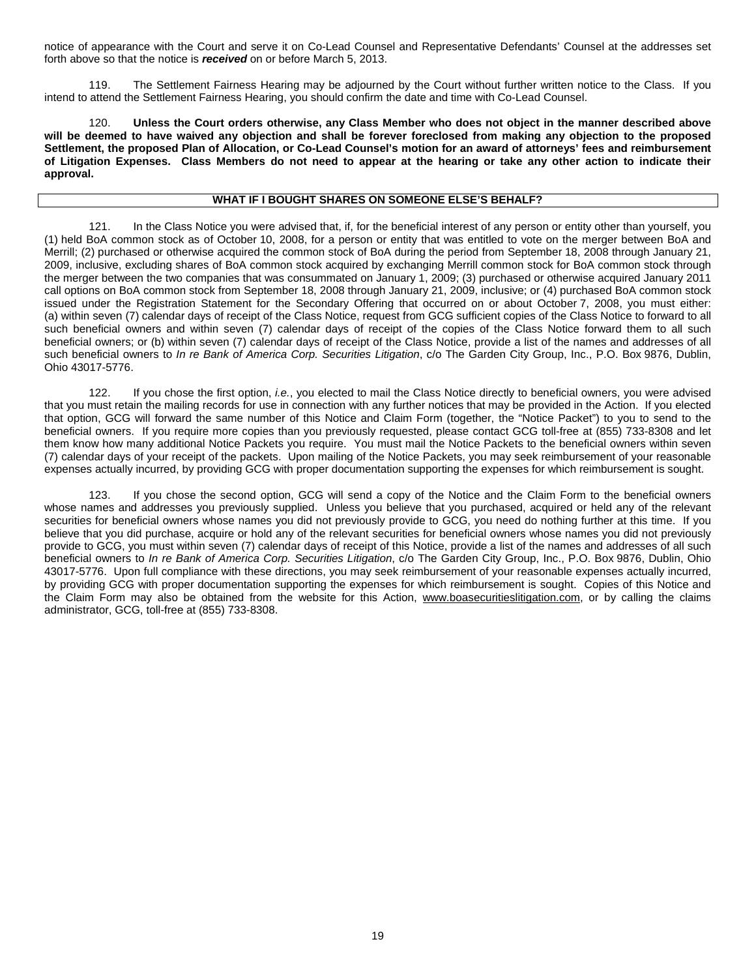notice of appearance with the Court and serve it on Co-Lead Counsel and Representative Defendants' Counsel at the addresses set forth above so that the notice is *received* on or before March 5, 2013.

119. The Settlement Fairness Hearing may be adjourned by the Court without further written notice to the Class. If you intend to attend the Settlement Fairness Hearing, you should confirm the date and time with Co-Lead Counsel.

120. **Unless the Court orders otherwise, any Class Member who does not object in the manner described above will be deemed to have waived any objection and shall be forever foreclosed from making any objection to the proposed Settlement, the proposed Plan of Allocation, or Co-Lead Counsel's motion for an award of attorneys' fees and reimbursement of Litigation Expenses. Class Members do not need to appear at the hearing or take any other action to indicate their approval.**

#### **WHAT IF I BOUGHT SHARES ON SOMEONE ELSE'S BEHALF?**

121. In the Class Notice you were advised that, if, for the beneficial interest of any person or entity other than yourself, you (1) held BoA common stock as of October 10, 2008, for a person or entity that was entitled to vote on the merger between BoA and Merrill; (2) purchased or otherwise acquired the common stock of BoA during the period from September 18, 2008 through January 21, 2009, inclusive, excluding shares of BoA common stock acquired by exchanging Merrill common stock for BoA common stock through the merger between the two companies that was consummated on January 1, 2009; (3) purchased or otherwise acquired January 2011 call options on BoA common stock from September 18, 2008 through January 21, 2009, inclusive; or (4) purchased BoA common stock issued under the Registration Statement for the Secondary Offering that occurred on or about October 7, 2008, you must either: (a) within seven (7) calendar days of receipt of the Class Notice, request from GCG sufficient copies of the Class Notice to forward to all such beneficial owners and within seven (7) calendar days of receipt of the copies of the Class Notice forward them to all such beneficial owners; or (b) within seven (7) calendar days of receipt of the Class Notice, provide a list of the names and addresses of all such beneficial owners to *In re Bank of America Corp. Securities Litigation*, c/o The Garden City Group, Inc., P.O. Box 9876, Dublin, Ohio 43017-5776.

122. If you chose the first option, *i.e.*, you elected to mail the Class Notice directly to beneficial owners, you were advised that you must retain the mailing records for use in connection with any further notices that may be provided in the Action. If you elected that option, GCG will forward the same number of this Notice and Claim Form (together, the "Notice Packet") to you to send to the beneficial owners. If you require more copies than you previously requested, please contact GCG toll-free at (855) 733-8308 and let them know how many additional Notice Packets you require. You must mail the Notice Packets to the beneficial owners within seven (7) calendar days of your receipt of the packets. Upon mailing of the Notice Packets, you may seek reimbursement of your reasonable expenses actually incurred, by providing GCG with proper documentation supporting the expenses for which reimbursement is sought.

123. If you chose the second option, GCG will send a copy of the Notice and the Claim Form to the beneficial owners whose names and addresses you previously supplied. Unless you believe that you purchased, acquired or held any of the relevant securities for beneficial owners whose names you did not previously provide to GCG, you need do nothing further at this time. If you believe that you did purchase, acquire or hold any of the relevant securities for beneficial owners whose names you did not previously provide to GCG, you must within seven (7) calendar days of receipt of this Notice, provide a list of the names and addresses of all such beneficial owners to *In re Bank of America Corp. Securities Litigation*, c/o The Garden City Group, Inc., P.O. Box 9876, Dublin, Ohio 43017-5776. Upon full compliance with these directions, you may seek reimbursement of your reasonable expenses actually incurred, by providing GCG with proper documentation supporting the expenses for which reimbursement is sought. Copies of this Notice and the Claim Form may also be obtained from the website for this Action, www.boasecuritieslitigation.com, or by calling the claims administrator, GCG, toll-free at (855) 733-8308.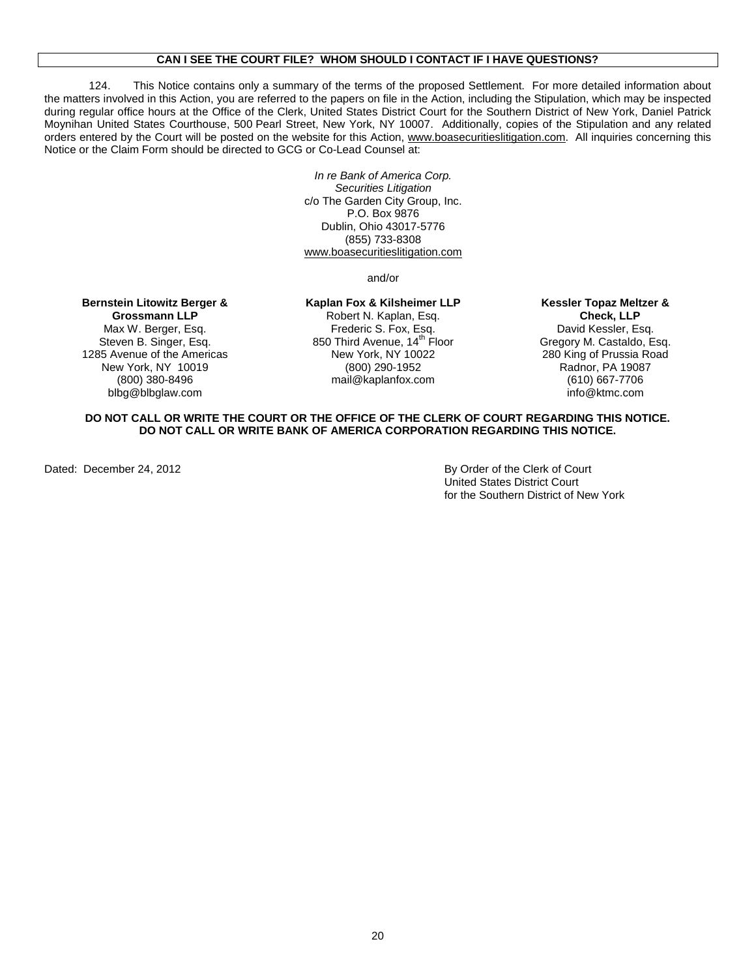#### **CAN I SEE THE COURT FILE? WHOM SHOULD I CONTACT IF I HAVE QUESTIONS?**

124. This Notice contains only a summary of the terms of the proposed Settlement. For more detailed information about the matters involved in this Action, you are referred to the papers on file in the Action, including the Stipulation, which may be inspected during regular office hours at the Office of the Clerk, United States District Court for the Southern District of New York, Daniel Patrick Moynihan United States Courthouse, 500 Pearl Street, New York, NY 10007. Additionally, copies of the Stipulation and any related orders entered by the Court will be posted on the website for this Action, www.boasecuritieslitigation.com. All inquiries concerning this Notice or the Claim Form should be directed to GCG or Co-Lead Counsel at:

> *In re Bank of America Corp. Securities Litigation* c/o The Garden City Group, Inc. P.O. Box 9876 Dublin, Ohio 43017-5776 (855) 733-8308 [www.boasecuritieslitigation.com](http://www.boasecuritieslitigation.com/)

> > and/or

## **Bernstein Litowitz Berger &**

**Grossmann LLP** Max W. Berger, Esq. Steven B. Singer, Esq. 1285 Avenue of the Americas New York, NY 10019 (800) 380-8496 blbg@blbglaw.com

**Kaplan Fox & Kilsheimer LLP** Robert N. Kaplan, Esq. Frederic S. Fox, Esq. 850 Third Avenue, 14<sup>th</sup> Floor New York, NY 10022 (800) 290-1952 mail@kaplanfox.com

#### **Kessler Topaz Meltzer & Check, LLP** David Kessler, Esq. Gregory M. Castaldo, Esq. 280 King of Prussia Road Radnor, PA 19087 (610) 667-7706 info@ktmc.com

#### **DO NOT CALL OR WRITE THE COURT OR THE OFFICE OF THE CLERK OF COURT REGARDING THIS NOTICE. DO NOT CALL OR WRITE BANK OF AMERICA CORPORATION REGARDING THIS NOTICE.**

Dated: December 24, 2012 **By Order of the Clerk of Court** United States District Court for the Southern District of New York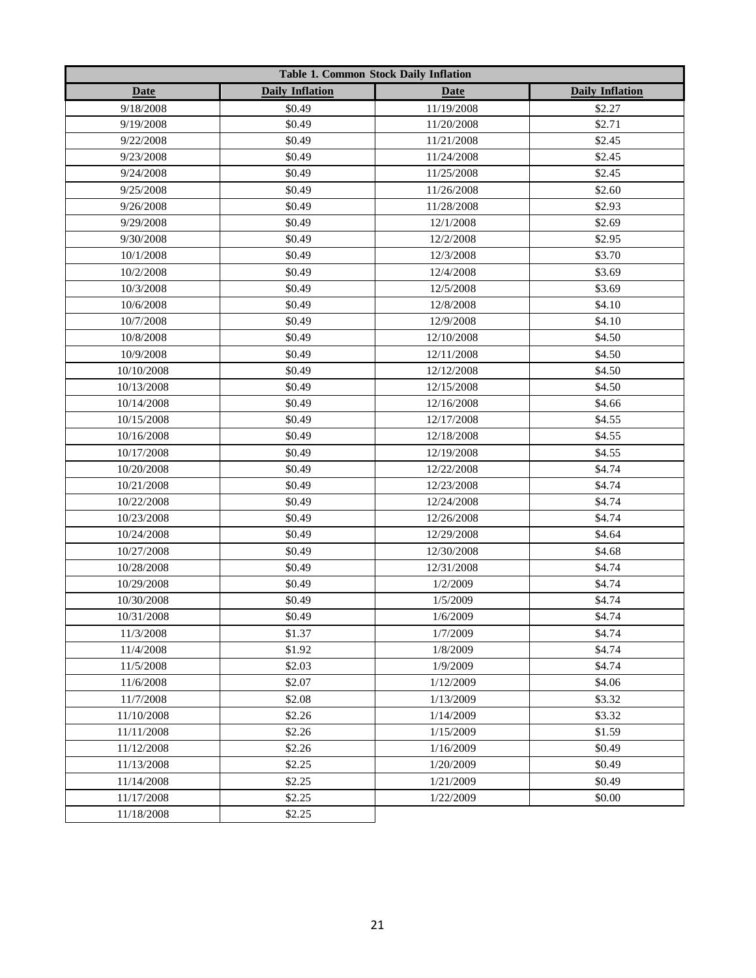|             |                        | <b>Table 1. Common Stock Daily Inflation</b> |                        |  |  |  |  |  |  |  |
|-------------|------------------------|----------------------------------------------|------------------------|--|--|--|--|--|--|--|
| <b>Date</b> | <b>Daily Inflation</b> | <b>Date</b>                                  | <b>Daily Inflation</b> |  |  |  |  |  |  |  |
| 9/18/2008   | \$0.49                 | 11/19/2008                                   | \$2.27                 |  |  |  |  |  |  |  |
| 9/19/2008   | \$0.49                 | 11/20/2008                                   | \$2.71                 |  |  |  |  |  |  |  |
| 9/22/2008   | \$0.49                 | 11/21/2008                                   | \$2.45                 |  |  |  |  |  |  |  |
| 9/23/2008   | \$0.49                 | 11/24/2008                                   | \$2.45                 |  |  |  |  |  |  |  |
| 9/24/2008   | \$0.49                 | 11/25/2008                                   | \$2.45                 |  |  |  |  |  |  |  |
| 9/25/2008   | \$0.49                 | 11/26/2008                                   | \$2.60                 |  |  |  |  |  |  |  |
| 9/26/2008   | \$0.49                 | 11/28/2008                                   | \$2.93                 |  |  |  |  |  |  |  |
| 9/29/2008   | \$0.49                 | 12/1/2008                                    | \$2.69                 |  |  |  |  |  |  |  |
| 9/30/2008   | \$0.49                 | 12/2/2008                                    | \$2.95                 |  |  |  |  |  |  |  |
| 10/1/2008   | \$0.49                 | 12/3/2008                                    | \$3.70                 |  |  |  |  |  |  |  |
| 10/2/2008   | \$0.49                 | 12/4/2008                                    | \$3.69                 |  |  |  |  |  |  |  |
| 10/3/2008   | \$0.49                 | 12/5/2008                                    | \$3.69                 |  |  |  |  |  |  |  |
| 10/6/2008   | \$0.49                 | 12/8/2008                                    | \$4.10                 |  |  |  |  |  |  |  |
| 10/7/2008   | \$0.49                 | 12/9/2008                                    | \$4.10                 |  |  |  |  |  |  |  |
| 10/8/2008   | \$0.49                 | 12/10/2008                                   | \$4.50                 |  |  |  |  |  |  |  |
| 10/9/2008   | \$0.49                 | 12/11/2008                                   | \$4.50                 |  |  |  |  |  |  |  |
| 10/10/2008  | \$0.49                 | 12/12/2008                                   | \$4.50                 |  |  |  |  |  |  |  |
| 10/13/2008  | \$0.49                 | 12/15/2008                                   | \$4.50                 |  |  |  |  |  |  |  |
| 10/14/2008  | \$0.49                 | 12/16/2008                                   | \$4.66                 |  |  |  |  |  |  |  |
| 10/15/2008  | \$0.49                 | 12/17/2008                                   | \$4.55                 |  |  |  |  |  |  |  |
| 10/16/2008  | \$0.49                 | 12/18/2008                                   | \$4.55                 |  |  |  |  |  |  |  |
| 10/17/2008  | \$0.49                 | 12/19/2008                                   | \$4.55                 |  |  |  |  |  |  |  |
| 10/20/2008  | \$0.49                 | 12/22/2008                                   | \$4.74                 |  |  |  |  |  |  |  |
| 10/21/2008  | \$0.49                 | 12/23/2008                                   | \$4.74                 |  |  |  |  |  |  |  |
| 10/22/2008  | \$0.49                 | 12/24/2008                                   | \$4.74                 |  |  |  |  |  |  |  |
| 10/23/2008  | \$0.49                 | 12/26/2008                                   | \$4.74                 |  |  |  |  |  |  |  |
| 10/24/2008  | \$0.49                 | 12/29/2008                                   | \$4.64                 |  |  |  |  |  |  |  |
| 10/27/2008  | \$0.49                 | 12/30/2008                                   | \$4.68                 |  |  |  |  |  |  |  |
| 10/28/2008  | \$0.49                 | 12/31/2008                                   | \$4.74                 |  |  |  |  |  |  |  |
| 10/29/2008  | \$0.49                 | 1/2/2009                                     | \$4.74                 |  |  |  |  |  |  |  |
| 10/30/2008  | \$0.49                 | 1/5/2009                                     | \$4.74                 |  |  |  |  |  |  |  |
| 10/31/2008  | \$0.49                 | 1/6/2009                                     | \$4.74                 |  |  |  |  |  |  |  |
| 11/3/2008   | \$1.37                 | 1/7/2009                                     | \$4.74                 |  |  |  |  |  |  |  |
| 11/4/2008   | \$1.92                 | 1/8/2009                                     | \$4.74                 |  |  |  |  |  |  |  |
| 11/5/2008   | \$2.03                 | 1/9/2009                                     | \$4.74                 |  |  |  |  |  |  |  |
| 11/6/2008   | \$2.07                 | 1/12/2009                                    | \$4.06                 |  |  |  |  |  |  |  |
| 11/7/2008   | \$2.08                 | 1/13/2009                                    | \$3.32                 |  |  |  |  |  |  |  |
| 11/10/2008  | \$2.26                 | 1/14/2009                                    | \$3.32                 |  |  |  |  |  |  |  |
| 11/11/2008  | \$2.26                 | 1/15/2009                                    | \$1.59                 |  |  |  |  |  |  |  |
| 11/12/2008  | \$2.26                 | 1/16/2009                                    | \$0.49                 |  |  |  |  |  |  |  |
| 11/13/2008  | \$2.25                 | 1/20/2009                                    | \$0.49                 |  |  |  |  |  |  |  |
| 11/14/2008  | \$2.25                 | 1/21/2009                                    | \$0.49                 |  |  |  |  |  |  |  |
| 11/17/2008  | \$2.25                 | 1/22/2009                                    | \$0.00                 |  |  |  |  |  |  |  |
| 11/18/2008  | \$2.25                 |                                              |                        |  |  |  |  |  |  |  |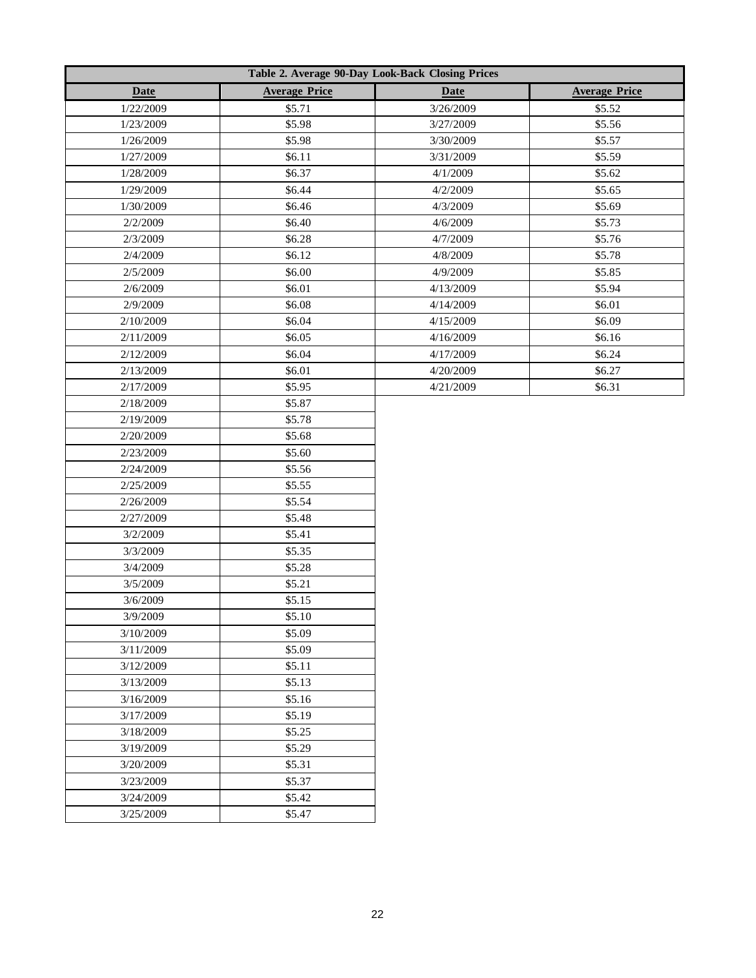|             | Table 2. Average 90-Day Look-Back Closing Prices |             |                      |
|-------------|--------------------------------------------------|-------------|----------------------|
| <b>Date</b> | <b>Average Price</b>                             | <b>Date</b> | <b>Average Price</b> |
| 1/22/2009   | \$5.71                                           | 3/26/2009   | \$5.52               |
| 1/23/2009   | \$5.98                                           | 3/27/2009   | \$5.56               |
| 1/26/2009   | \$5.98                                           | 3/30/2009   | \$5.57               |
| 1/27/2009   | \$6.11                                           | 3/31/2009   | \$5.59               |
| 1/28/2009   | \$6.37                                           | 4/1/2009    | \$5.62               |
| 1/29/2009   | \$6.44                                           | 4/2/2009    | \$5.65               |
| 1/30/2009   | \$6.46                                           | 4/3/2009    | \$5.69               |
| 2/2/2009    | \$6.40                                           | 4/6/2009    | \$5.73               |
| 2/3/2009    | \$6.28                                           | 4/7/2009    | \$5.76               |
| 2/4/2009    | \$6.12                                           | 4/8/2009    | \$5.78               |
| 2/5/2009    | \$6.00                                           | 4/9/2009    | \$5.85               |
| 2/6/2009    | \$6.01                                           | 4/13/2009   | \$5.94               |
| 2/9/2009    | \$6.08                                           | 4/14/2009   | \$6.01               |
| 2/10/2009   | \$6.04                                           | 4/15/2009   | \$6.09               |
| 2/11/2009   | \$6.05                                           | 4/16/2009   | \$6.16               |
| 2/12/2009   | \$6.04                                           | 4/17/2009   | \$6.24               |
| 2/13/2009   | \$6.01                                           | 4/20/2009   | \$6.27               |
| 2/17/2009   | \$5.95                                           | 4/21/2009   | \$6.31               |
| 2/18/2009   | \$5.87                                           |             |                      |
| 2/19/2009   | \$5.78                                           |             |                      |
| 2/20/2009   | \$5.68                                           |             |                      |
| 2/23/2009   | \$5.60                                           |             |                      |
| 2/24/2009   | \$5.56                                           |             |                      |
| 2/25/2009   | \$5.55                                           |             |                      |
| 2/26/2009   | \$5.54                                           |             |                      |
| 2/27/2009   | \$5.48                                           |             |                      |
| 3/2/2009    | \$5.41                                           |             |                      |
| 3/3/2009    | \$5.35                                           |             |                      |
| 3/4/2009    | \$5.28                                           |             |                      |
| 3/5/2009    | \$5.21                                           |             |                      |
| 3/6/2009    | \$5.15                                           |             |                      |
| 3/9/2009    | \$5.10                                           |             |                      |
| 3/10/2009   | \$5.09                                           |             |                      |
| 3/11/2009   | \$5.09                                           |             |                      |
| 3/12/2009   | \$5.11                                           |             |                      |
| 3/13/2009   | \$5.13                                           |             |                      |
| 3/16/2009   | \$5.16                                           |             |                      |
| 3/17/2009   | \$5.19                                           |             |                      |
| 3/18/2009   | \$5.25                                           |             |                      |
| 3/19/2009   | \$5.29                                           |             |                      |
| 3/20/2009   | \$5.31                                           |             |                      |
| 3/23/2009   | \$5.37                                           |             |                      |
| 3/24/2009   | \$5.42                                           |             |                      |
| 3/25/2009   | \$5.47                                           |             |                      |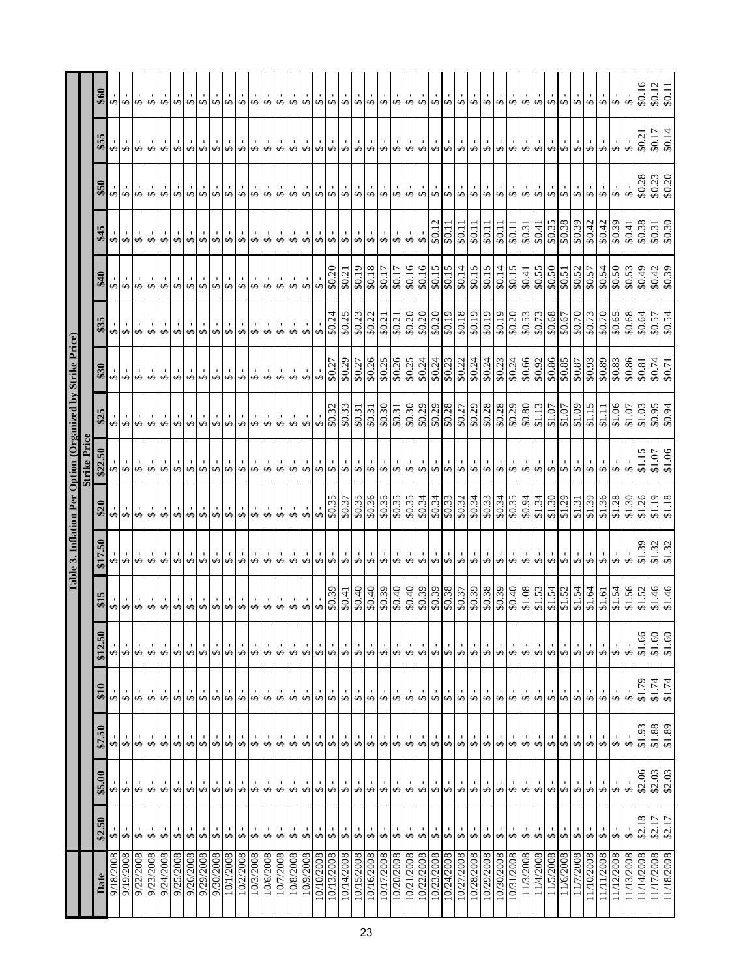|                          |                                         |                                           |                                                         |                                                                 |                                           |                                   |                                                                                                    |                                                                                                                                                                                                                                              | Table 3. Inflation Per Option (Organized by Strike Price) |                                   |                                                                                                          |                         |                                                                   |                                                         |                                                               |                                                      |                                                    |
|--------------------------|-----------------------------------------|-------------------------------------------|---------------------------------------------------------|-----------------------------------------------------------------|-------------------------------------------|-----------------------------------|----------------------------------------------------------------------------------------------------|----------------------------------------------------------------------------------------------------------------------------------------------------------------------------------------------------------------------------------------------|-----------------------------------------------------------|-----------------------------------|----------------------------------------------------------------------------------------------------------|-------------------------|-------------------------------------------------------------------|---------------------------------------------------------|---------------------------------------------------------------|------------------------------------------------------|----------------------------------------------------|
|                          |                                         |                                           |                                                         |                                                                 |                                           |                                   |                                                                                                    |                                                                                                                                                                                                                                              | <b>Strike Price</b>                                       |                                   |                                                                                                          |                         |                                                                   |                                                         |                                                               |                                                      |                                                    |
| Date                     | \$2.50                                  | \$5.00                                    | \$7.50                                                  | $\frac{1}{2}$                                                   | \$12.50                                   | \$15                              | \$17.50                                                                                            | $\begin{bmatrix} 0 \\ 0 \\ 0 \\ 0 \end{bmatrix} \begin{bmatrix} 1 \\ 0 \\ 0 \\ 0 \end{bmatrix} \begin{bmatrix} 1 \\ 0 \\ 0 \\ 0 \end{bmatrix} \begin{bmatrix} 1 \\ 0 \\ 0 \\ 0 \end{bmatrix} \begin{bmatrix} 1 \\ 0 \\ 0 \\ 0 \end{bmatrix}$ | \$22.50                                                   | \$25                              | $\frac{1}{88}$                                                                                           | \$35                    | \$40                                                              | \$45                                                    | \$50                                                          | \$55                                                 | \$60                                               |
| 9/18/2008                | ∞⊬                                      |                                           | ∞⊬                                                      | S                                                               | ∞ ∾                                       | ∞⊬                                |                                                                                                    |                                                                                                                                                                                                                                              | $\frac{1}{2}$                                             | $\frac{1}{3}$                     |                                                                                                          | ⊕ ⊕                     |                                                                   | $\frac{1}{2}$                                           | $-5$                                                          | ⊕ ⊕                                                  | ↔ ⊬                                                |
| 9/19/2008                |                                         |                                           |                                                         | $\Theta$                                                        |                                           |                                   |                                                                                                    |                                                                                                                                                                                                                                              |                                                           |                                   |                                                                                                          |                         |                                                                   |                                                         | $\Theta$                                                      |                                                      |                                                    |
| 9/22/2008                | $\leftrightarrow$                       | များများ                                  | $\leftrightarrow$ $\leftrightarrow$                     | $\rightarrow$                                                   | $\frac{1}{2}$                             | $\frac{1}{2}$                     | $\frac{1}{9}$ $\frac{1}{9}$ $\frac{1}{9}$                                                          |                                                                                                                                                                                                                                              | $\frac{1}{2}$                                             | $\theta$                          |                                                                                                          | $\leftrightarrow$       | $\frac{1}{9}$ $\frac{1}{9}$ $\frac{1}{9}$                         | $\frac{1}{2}$                                           | $\rightarrow$                                                 | $\theta$                                             | $\leftrightarrow$                                  |
| 9/23/2008                | $\Theta$                                |                                           |                                                         | $\overline{\mathbf{v}}$                                         |                                           |                                   |                                                                                                    |                                                                                                                                                                                                                                              |                                                           |                                   |                                                                                                          | $\leftrightarrow$       |                                                                   |                                                         | $\mathbf{L}$<br>$\overline{\mathbf{v}}$                       |                                                      | - \$                                               |
| 9/24/2008                | $\overline{\mathbf{v}}$                 | $\leftrightarrow$                         | $\overline{\mathbf{v}}$                                 | $\rightarrow$                                                   | $\rightarrow$                             | $\Theta$                          | $-9$                                                                                               |                                                                                                                                                                                                                                              | $\Theta$                                                  | ÷,                                |                                                                                                          | $\Theta$                | $\rightarrow \infty$                                              |                                                         | $\mathbf{L}_{\rm{c}}$<br>$\boldsymbol{\varphi}$               | $\leftrightarrow$                                    | $\Theta$                                           |
| 9/25/2008                | $\leftrightarrow$                       | $\overline{\mathbf{v}}$                   | $\stackrel{\shortparallel}{\bullet}$                    | $\leftrightarrow$                                               | $\Theta$                                  | $\overline{\mathbf{v}}$           | $\stackrel{\text{\tiny \textsf{+}}}{\ast}$                                                         |                                                                                                                                                                                                                                              | $\overline{\mathbf{y}}$                                   | $\frac{1}{2}$                     |                                                                                                          | $\leftrightarrow$       | $\stackrel{\shortparallel}{\bullet}$                              | မြစ်မ                                                   | $\varphi$                                                     | $\frac{1}{2}$                                        | €                                                  |
| 9/26/2008                | $\leftrightarrow$                       | $\overline{\mathbf{v}}$                   | $\leftrightarrow$                                       | $\leftrightarrow$                                               | $\color{red}\boldsymbol\leftrightarrow$   | $\color{red}\boldsymbol{\varphi}$ | $-5$                                                                                               | $\overline{\mathbf{v}}$                                                                                                                                                                                                                      | $\leftrightarrow$                                         | $\ddot{\bullet}$                  |                                                                                                          | $\overline{\mathbf{v}}$ | $-3$                                                              |                                                         | $\varphi$                                                     | Ģ                                                    | S                                                  |
| 9/29/2008                | ↮                                       |                                           | $\leftrightarrow$                                       | $\overline{\mathbf{v}}$                                         |                                           |                                   |                                                                                                    |                                                                                                                                                                                                                                              | $\rightarrow$                                             | $\leftrightarrow$                 |                                                                                                          | $\leftrightarrow$       |                                                                   |                                                         | $\overline{\mathbf{v}}$                                       | $\Theta$                                             | $\Theta$                                           |
|                          | $\Theta$                                | $\frac{1}{2}$                             | $\bullet$                                               | $\rightarrow$                                                   | $\frac{1}{2}$                             |                                   | $\theta$                                                                                           |                                                                                                                                                                                                                                              |                                                           | $\mathbf{1}$<br>$\Theta$          |                                                                                                          | $\overline{\mathbf{v}}$ |                                                                   |                                                         | $\mathbf{L}$<br>$\rightarrow$                                 | $\Theta$                                             | $\Theta$                                           |
| 10/1/2008                | $\leftrightarrow$                       |                                           |                                                         | $\bullet$                                                       |                                           |                                   | $\leftrightarrow$                                                                                  |                                                                                                                                                                                                                                              | $\rightarrow$                                             | $\mathbf{L}_{\mathrm{c}}$<br>s    |                                                                                                          |                         |                                                                   |                                                         | $\mathbf{1}$<br>↮                                             | $\leftrightarrow$                                    | $\leftrightarrow$                                  |
| 10/2/2008                | $\leftrightarrow$                       | $\theta$                                  | $\theta$                                                | $\mathbf{I}$<br>$\boldsymbol{\varphi}$                          | $\theta$                                  | $\frac{1}{2}$                     | $\leftrightarrow$                                                                                  | $\frac{1}{2}$                                                                                                                                                                                                                                | $\Theta$                                                  | $^{-}$ \$                         | $\frac{1}{10}$ $\frac{1}{10}$ $\frac{1}{10}$ $\frac{1}{10}$ $\frac{1}{10}$ $\frac{1}{10}$ $\frac{1}{10}$ | $\frac{1}{2}$           | $\frac{1}{9}$ $\frac{1}{9}$ $\frac{1}{9}$                         | $-1898$                                                 | $\mathbf{I}$<br>↮                                             | $\Theta$                                             | $\Theta$                                           |
| 10/3/2008                | $\overline{\mathbf{v}}$                 | ÷,                                        | $\rightarrow$                                           | ↔                                                               | $\overline{\mathbf{v}}$                   | $\color{red}\boldsymbol{\varphi}$ | $\stackrel{1}{\bullet}$                                                                            | $-$ \$                                                                                                                                                                                                                                       | s                                                         | $\frac{1}{2}$                     |                                                                                                          |                         | $\stackrel{\iota}{\rightsquigarrow}$                              | $\frac{1}{2}$                                           | $\mathbf{I}$<br>$\rightarrow$                                 | $\frac{1}{2}$                                        | G                                                  |
| 10/6/2008                | $\leftrightarrow$                       | $\Theta$                                  | $^{\circ}$ \$                                           | $\blacksquare$<br>$\overline{\mathbf{y}}$                       | $\overline{\mathbf{v}}$                   | $\leftrightarrow$                 | $\overline{\mathbf{y}}$                                                                            | $\pmb{\leftrightarrow}$                                                                                                                                                                                                                      | $\overline{\mathbf{y}}$                                   | $\frac{1}{2}$                     | $\sim 3$                                                                                                 | $\rightarrow$           | $\stackrel{\shortparallel}{\bullet}$                              |                                                         | $\blacksquare$<br>$\leftrightarrow$                           | $\rightarrow$                                        | $\rightarrow$                                      |
| 10/7/2008                | $\Theta$                                | $\overline{a}$                            | $\Theta$                                                | $\blacksquare$<br>$\Theta$                                      | $\Theta$                                  | $\Theta$                          | s,                                                                                                 | $-5$                                                                                                                                                                                                                                         | $\blacksquare$<br>$\Theta$                                | $\ddot{\bullet}$                  | $-5$                                                                                                     | $\Theta$                | $\ddot{\bullet}$                                                  |                                                         | $\blacksquare$<br>$\leftrightarrow$                           | $\overline{\mathbf{v}}$                              | $\Theta$                                           |
| 10/8/2008<br>10/9/2008   | $\leftrightarrow$                       |                                           |                                                         | $\blacksquare$<br>$\leftrightarrow$                             | $\leftrightarrow$                         | $\pmb{\leftrightarrow}$           | $\leftrightarrow$                                                                                  |                                                                                                                                                                                                                                              | $\mathbf{L}$<br>$\leftrightarrow$                         | $-3$                              | $\frac{1}{9}$ $\frac{1}{9}$                                                                              | $\leftrightarrow$       |                                                                   | $\frac{1}{9}$ $\frac{1}{9}$ $\frac{1}{9}$ $\frac{1}{9}$ | $\mathbf{1}$<br>$\leftrightarrow$                             | $\overline{\mathbf{v}}$                              | $\leftrightarrow$                                  |
|                          | $\leftrightarrow$                       | $\frac{1}{2}$                             | $\frac{1}{2}$                                           | $\blacksquare$<br>$\color{red}\boldsymbol\varphi$               | $\frac{1}{2}$                             | $\leftrightarrow$                 | $\leftrightarrow$                                                                                  | $\frac{1}{2}$                                                                                                                                                                                                                                | $\varphi$                                                 | $-3$                              |                                                                                                          | $\leftrightarrow$       | $-8$                                                              |                                                         | $\mathbf{I}$<br>$\color{red} \bigoplus$                       | $\mathbf{1}$<br>$\pmb{\leftrightarrow}$              | $\frac{1}{2}$                                      |
| 10/10/2008               | $\overline{\mathbf{v}}$                 | $\Theta$                                  |                                                         | $\blacksquare$<br>$\boldsymbol{\varphi}$                        |                                           | G)                                | $\leftrightarrow$                                                                                  |                                                                                                                                                                                                                                              | $\mathbf{I}$<br>$\varphi$                                 | $\mathbf{I}$<br>$\leftrightarrow$ |                                                                                                          | $\leftrightarrow$       | $\Theta$                                                          |                                                         | $\mathbf{I}$<br>↮                                             | $\mathbf{I}$<br>$\leftrightarrow$                    | $\leftrightarrow$                                  |
| 10/13/2008               | $\overline{\mathbf{v}}$                 | $\overline{v}$                            | $-5$                                                    | $\mathbf{I}$<br>$\color{red} \clubsuit$                         | $\rightarrow \infty$                      | \$0.39                            | $\stackrel{\text{!}}{\bullet}$                                                                     | \$0.35                                                                                                                                                                                                                                       | \$ -                                                      | \$0.32                            | \$0.27                                                                                                   | \$0.24                  | \$0.20                                                            | $-5$                                                    | $\mathbf{I}$<br>$\overline{\mathbf{y}}$                       | $\frac{1}{2}$                                        | $\frac{1}{2}$                                      |
| 10/14/2008               | $\overline{\mathbf{v}}$                 | $\overline{v}$                            | $\overline{\mathbf{v}}$                                 | $\blacksquare$<br>s,                                            | $\overline{\mathbf{v}}$                   | \$0.41                            | $\leftrightarrow$                                                                                  | \$0.37                                                                                                                                                                                                                                       | $\mathbf{r}$<br>\$                                        | \$0.33                            | \$0.29                                                                                                   | \$0.25                  | \$0.21                                                            | $-3$                                                    | $\mathbf{I}$<br>$\rightarrow$                                 | $\frac{1}{2}$                                        | s                                                  |
| 10/15/2008               | $\color{red}\boldsymbol\leftrightarrow$ | $\Theta$                                  |                                                         | $\blacksquare$<br>$\color{red}\boldsymbol\varphi\color{black}}$ | $\Theta$                                  | 0+0\$                             | $\Theta$                                                                                           | \$0.35                                                                                                                                                                                                                                       | $\mathbf{I}$<br>$\overline{\mathbf{v}}$                   | \$0.31                            | \$0.27                                                                                                   | \$0.23                  | \$0.19                                                            |                                                         | $\blacksquare$<br>$\leftrightarrow$                           | $\frac{1}{2}$                                        | $\Theta$                                           |
| 10/16/2008               | $\Theta$                                |                                           |                                                         | J,<br>$\blacklozenge$                                           | $\blacksquare$                            | \$0.40                            | $\rightarrow$                                                                                      |                                                                                                                                                                                                                                              | $\mathbf{1}$<br>$\rightarrow$                             | \$0.31                            |                                                                                                          | \$0.22                  | \$0.18                                                            | $-8 - 8$                                                | $\mathbf{I}$<br>$\rightarrow$                                 | $-$ \$                                               | $-5$                                               |
| 10/17/2008               | $\color{red} \clubsuit$                 |                                           |                                                         | $\color{red}\boldsymbol\varphi$                                 |                                           |                                   |                                                                                                    |                                                                                                                                                                                                                                              | $\rightarrow$                                             |                                   |                                                                                                          | \$0.21                  | \$0.17                                                            |                                                         | $\blacksquare$<br>$\leftrightarrow$                           | $\leftrightarrow$                                    | $\leftrightarrow$                                  |
| 10/20/2008               | $\overline{\mathbf{v}}$                 | $\frac{1}{2}$                             | $\frac{1}{9}$ $\frac{1}{9}$ $\frac{1}{9}$ $\frac{1}{9}$ | $\mathbf{I}$<br>$\Theta$                                        | $\blacksquare$<br>$\frac{1}{2}$           | $\frac{$0.39}{$0.40}$             | ↔ ⊬                                                                                                | $\frac{50.36}{\$0.35}$                                                                                                                                                                                                                       | $\mathbf{I}$<br>$\overline{\mathbf{v}}$                   | $\frac{$0.30}{$0.31}$             | $\frac{50.25}{50.25}$                                                                                    | \$0.21                  | \$0.17                                                            | $-3$                                                    | $\mathbf{1}$<br>$\Theta$                                      | $-$ \$                                               | $\frac{1}{2}$                                      |
| 10/21/2008               | $\overline{\mathbf{v}}$                 | $\leftrightarrow$                         | $\Theta$                                                | $\blacksquare$<br>S                                             | $\blacklozenge$                           | $\sqrt{$6.40}$                    | $\frac{1}{2}$                                                                                      |                                                                                                                                                                                                                                              | ¢                                                         | \$0.30                            |                                                                                                          | \$0.20                  | \$0.16                                                            | $\frac{1}{2}$                                           | $\Gamma$<br>s                                                 | $\frac{1}{2}$                                        | s                                                  |
| 10/22/2008               | $\leftrightarrow$                       | $\leftrightarrow$                         |                                                         | $\mathbf{I}$<br>$\color{red}\boldsymbol\varphi$                 | $\blacksquare$<br>$\pmb{\leftrightarrow}$ | \$0.39                            | $\leftrightarrow$                                                                                  | \$0.34                                                                                                                                                                                                                                       | $\mathbf{I}$<br>s                                         | \$0.29                            | \$0.24                                                                                                   | \$0.20                  | \$0.16                                                            | $\stackrel{1}{\bullet}$                                 | $\mathbf{I}$<br>$\leftrightarrow$                             | $-$ \$                                               | $\Theta$                                           |
| 10/23/2008               | $\color{red}\boldsymbol{\varphi}$       | $\leftrightarrow$                         | ∣⇔∣⇔∣                                                   | $\color{red}\boldsymbol{\varphi}$                               | $\blacksquare$<br>$\leftrightarrow$       | \$0.39                            | $\stackrel{\scriptscriptstyle\mathsf{L}}{\bullet}$                                                 | \$0.34                                                                                                                                                                                                                                       | $\mathbf{1}$<br>$\overline{\mathbf{v}}$                   | \$0.29                            | $\frac{$0.24}{$0.23}$                                                                                    | 0.20                    | \$0.15                                                            | \$0.12                                                  | $\blacksquare$<br>$\color{red} \bigoplus$                     | $\stackrel{\scriptscriptstyle\mathsf{L}}{\bullet}$   | $\frac{1}{2}$                                      |
| 10/24/2008               | $\Theta$                                | $\pmb{\leftrightarrow}$                   | $\rightarrow$                                           | J.<br>$\boldsymbol{\varphi}$                                    | $\pmb{\leftrightarrow}$                   | \$0.38                            | $\Theta$                                                                                           | \$0.33                                                                                                                                                                                                                                       | $\mathbf{r}$<br>S,                                        | \$0.28                            |                                                                                                          | 61.08                   | \$0.15                                                            | 1.0\$                                                   | $\mathbf{I}$<br>$\leftrightarrow$                             | $\overline{v}$                                       | <del>∽</del>                                       |
|                          | $\pmb{\leftrightarrow}$                 |                                           | $\blacksquare$<br>$\leftrightarrow$                     | $\blacksquare$<br>$\overline{\mathbf{v}}$                       | $\blacksquare$<br>$\overline{\mathbf{v}}$ |                                   | $\frac{1}{2}$                                                                                      |                                                                                                                                                                                                                                              | $\mathbf{L}$<br>$\Theta$                                  |                                   |                                                                                                          | $\overline{$80.18}$     | \$0.14                                                            | \$0.11                                                  | $\mathbf{I}$<br>$\leftrightarrow$                             | $\mathbf{I}$<br>$\overline{\mathbf{v}}$              | $\frac{1}{2}$                                      |
| 10/27/2008<br>10/28/2008 | $\overline{\mathbf{v}}$                 | $\frac{1}{2}$                             |                                                         | $\rightarrow$                                                   | $\overline{\mathbf{v}}$                   |                                   | $\Theta$                                                                                           |                                                                                                                                                                                                                                              | $\mathbf{L}$<br><b>SA</b>                                 |                                   |                                                                                                          | 80.19                   | \$0.15                                                            | 1.0\$                                                   | $\mathbf{1}$<br>$\Theta$                                      | $\Theta$                                             | $-\frac{3}{2}$                                     |
| 10/29/2008               | $\overline{\mathbf{v}}$                 |                                           | $\frac{1}{2}$                                           | $\blacksquare$<br>$\rightarrow$                                 | $\rightarrow$                             | \$0.37<br>\$0.39<br>\$0.38        | $\leftrightarrow$                                                                                  | $\frac{$0.32}{0.34}$                                                                                                                                                                                                                         | $\mathbf{I}$<br>S)                                        | \$0.27<br>\$0.29<br>\$0.28        | $\frac{2}{90.24}$<br>$\frac{30.24}{90.23}$                                                               | \$0.19                  | \$0.15                                                            | 11.08                                                   | $\mathbf{u}$<br>$\Theta$                                      | $-5$                                                 | $\frac{1}{2}$                                      |
| 10/30/2008               | $\leftrightarrow$                       | $\overline{\mathbf{v}}$                   | $\overline{\mathbf{v}}$                                 | $\blacksquare$<br>s                                             | $\overline{\mathbf{v}}$                   | \$0.39                            | $\stackrel{1}{\bullet}$                                                                            | $\frac{$0.34}{$0.35}$                                                                                                                                                                                                                        | $\mathbf{I}$<br>$\leftrightarrow$                         | $\frac{$2,28}{10,29}$             |                                                                                                          | \$0.19                  | \$0.14                                                            | \$0.11                                                  | $\mathbf{I}$<br>$\leftrightarrow$                             | $\stackrel{1}{\bullet}$                              | <del>U</del>                                       |
| 10/31/2008               | $\leftrightarrow$                       | $\overline{v}$                            | $-5$                                                    | $\blacksquare$<br>$\leftrightarrow$                             | $\overline{\mathbf{v}}$                   | 0.40                              | $\overline{v}$                                                                                     |                                                                                                                                                                                                                                              | $\mathbf{I}$<br>$\overline{v}$                            |                                   | \$0.24                                                                                                   | \$0.20                  | $\frac{15}{15}$                                                   | \$0.11                                                  | $\mathbf{I}$<br>$\overline{v}$                                | $\frac{1}{2}$                                        | $\hat{\bm{s}}$                                     |
| 11/3/2008                | $\blacklozenge$                         | $\Theta$                                  | - \$                                                    | $\blacksquare$<br>$\color{red} \clubsuit$                       | $\Theta$                                  | 80.1\$                            | $-5$                                                                                               | \$0.94                                                                                                                                                                                                                                       | $\mathbf{1}$<br>$\Theta$                                  | 08.0\$                            | \$0.66                                                                                                   | \$0.53                  | \$0.41                                                            | $\sqrt{$0.31}$                                          | $\blacksquare$<br>$\Theta$                                    | $-3$                                                 | $-3$                                               |
| 11/4/2008                | $\overline{\mathbf{v}}$                 | $\leftrightarrow$                         | $\rightarrow$                                           | $\leftrightarrow$                                               | $\rightarrow$                             | \$1.53                            | $\rightarrow$                                                                                      |                                                                                                                                                                                                                                              | $\overline{\mathbf{v}}$                                   | $\overline{\$1.13}$               | \$0.92                                                                                                   | \$0.73                  |                                                                   | \$0.41                                                  | $\overline{\mathbf{v}}$                                       | $\overline{\mathbf{v}}$                              | $-3$                                               |
| 11/5/2008                | $\color{red}\boldsymbol\varphi$         | $\color{red}\boldsymbol\varphi$           | $\rightarrow$                                           | $\blacksquare$<br>$\boldsymbol{\varphi}$                        | $\overline{\mathbf{v}}$                   | \$1.54                            | $\leftrightarrow$                                                                                  |                                                                                                                                                                                                                                              | $\mathbf{I}$<br>$\bullet$                                 | \$1.07                            |                                                                                                          |                         |                                                                   |                                                         | $\mathbf{I}$<br>$\color{red}\boldsymbol\varphi\color{black}}$ | $\mathbf{L}_{\mathrm{c}}$<br>$\overline{\mathbf{v}}$ | $\stackrel{\scriptscriptstyle\mathsf{L}}{\bullet}$ |
| 11/6/2008                | ⊕⊬                                      | $\frac{1}{2}$                             | $\leftrightarrow$                                       | S                                                               | $\frac{1}{2}$                             | \$1.52                            | $\overline{\mathbf{v}}$                                                                            | $\frac{31.34}{51.30}$                                                                                                                                                                                                                        | $\mathbf{1}$<br>S                                         | 81.07                             |                                                                                                          | $\frac{$0.68}{$0.67}$   |                                                                   | \$0.35<br>\$0.38<br>\$0.39                              | $\mathbf{L}_{\mathrm{c}}$<br>$\leftrightarrow$                | $\mathbf{L}_{\mathrm{c}}$<br>$\overline{\mathbf{v}}$ | $\frac{1}{2}$                                      |
| 11/7/2008                |                                         |                                           |                                                         | $\blacksquare$<br>$\Theta$                                      |                                           |                                   | $\overline{\mathbf{v}}$                                                                            |                                                                                                                                                                                                                                              | $\mathbf{I}$<br>$\color{red}\boldsymbol\leftrightarrow$   |                                   | 80.85<br>80.85                                                                                           | \$0.70                  |                                                                   |                                                         | $\mathbf{1}$<br>$\Theta$                                      | $\mathbf{L}_{\mathrm{c}}$<br>$\leftrightarrow$       | $-5$                                               |
| 11/10/2008               | $\leftrightarrow$                       | $\rightarrow$                             | $\blacksquare$<br>$\bullet$                             | $\mathbf{I}$<br>↮                                               | $\mathbf{I}$<br>$\leftrightarrow$         | \$1.64                            | $\stackrel{\scriptscriptstyle\mathsf{L}}{\bullet}$                                                 | \$1.39                                                                                                                                                                                                                                       | $\mathbf{I}$<br>$\rightarrow$                             | \$1.15                            | \$0.93                                                                                                   | \$0.73                  | 80.55<br>80.51<br>80.52<br>80.57                                  | \$0.42                                                  | $\mathbf{I}$<br>$\leftrightarrow$                             | $\frac{1}{\mathbf{Q}}$                               | $\frac{1}{2}$                                      |
| 11/11/2008               | $\leftrightarrow$                       | $\Theta$                                  | $\frac{8}{9}$ - $\frac{8}{9}$ - $\frac{1}{9}$           | $\blacksquare$<br>$\bullet$                                     | $\overline{\mathbf{v}}$                   | \$1.61                            | $\stackrel{\scriptscriptstyle\mathsf{L}}{\bullet}$                                                 | $\frac{$2.36}{$1.28}$                                                                                                                                                                                                                        | $\mathbf{1}$<br>$\overline{\mathbf{v}}$                   | \$1.11                            | 60.89                                                                                                    | \$0.70                  |                                                                   | $\frac{$0.35}{20.39}$                                   | $\frac{1}{2}$                                                 | $\rightarrow$                                        | $\hat{\mathbf{s}}$ .                               |
| 11/12/2008               | $\blacklozenge$                         | $\rightarrow$                             |                                                         | $\rightarrow$                                                   | $\rightarrow$                             | \$1.54                            | - \$                                                                                               |                                                                                                                                                                                                                                              | $\mathbf{I}$<br>$\rightarrow$                             | \$1.06                            | \$0.83                                                                                                   | \$0.65                  |                                                                   |                                                         | $\stackrel{1}{\bullet}$                                       | $-5$                                                 | $-5$                                               |
| 11/13/2008               | $\frac{$2.18}{2.18}$                    |                                           |                                                         | $rac{6L.15}{3}$                                                 | $\Theta$                                  | \$1.56                            |                                                                                                    | \$1.30<br>\$1.26                                                                                                                                                                                                                             | $rac{1.15}{1.15}$                                         | $\frac{$1.07}{$1.03}$             |                                                                                                          | \$0.64                  |                                                                   |                                                         |                                                               |                                                      | G)                                                 |
| 11/14/2008               |                                         |                                           |                                                         |                                                                 | \$1.66                                    |                                   |                                                                                                    |                                                                                                                                                                                                                                              |                                                           |                                   |                                                                                                          |                         |                                                                   |                                                         |                                                               |                                                      | \$0.16                                             |
| 11/17/2008               | $\frac{$2.17}{$2.17}$                   | $\frac{1}{92.06}$<br>$\frac{2.06}{92.03}$ | \$1.89                                                  | \$1.74                                                          | \$1.60                                    | $\frac{97}{13}$                   | $\frac{9}{9}$<br>$\frac{3}{9}$<br>$\frac{3}{9}$<br>$\frac{3}{9}$<br>$\frac{3}{9}$<br>$\frac{3}{9}$ | \$1.19                                                                                                                                                                                                                                       | \$1.07                                                    | F6.0\$                            | $\frac{$20.86}{$0.81}$                                                                                   | 50.54                   | $\frac{80.54}{80.53}$ $\frac{80.53}{80.49}$ $\frac{80.42}{80.42}$ | $\frac{41}{80.38}$<br>$\frac{80.31}{80.30}$             | $\frac{1}{90.28}$                                             | $\frac{$-8.17}{80.17}$                               | \$0.12                                             |
| 11/18/2008               |                                         |                                           |                                                         | \$1.74                                                          | \$1.60                                    | \$1.46                            |                                                                                                    | \$1.18                                                                                                                                                                                                                                       | \$1.06                                                    |                                   | \$0.71                                                                                                   |                         |                                                                   |                                                         |                                                               |                                                      | \$0.11                                             |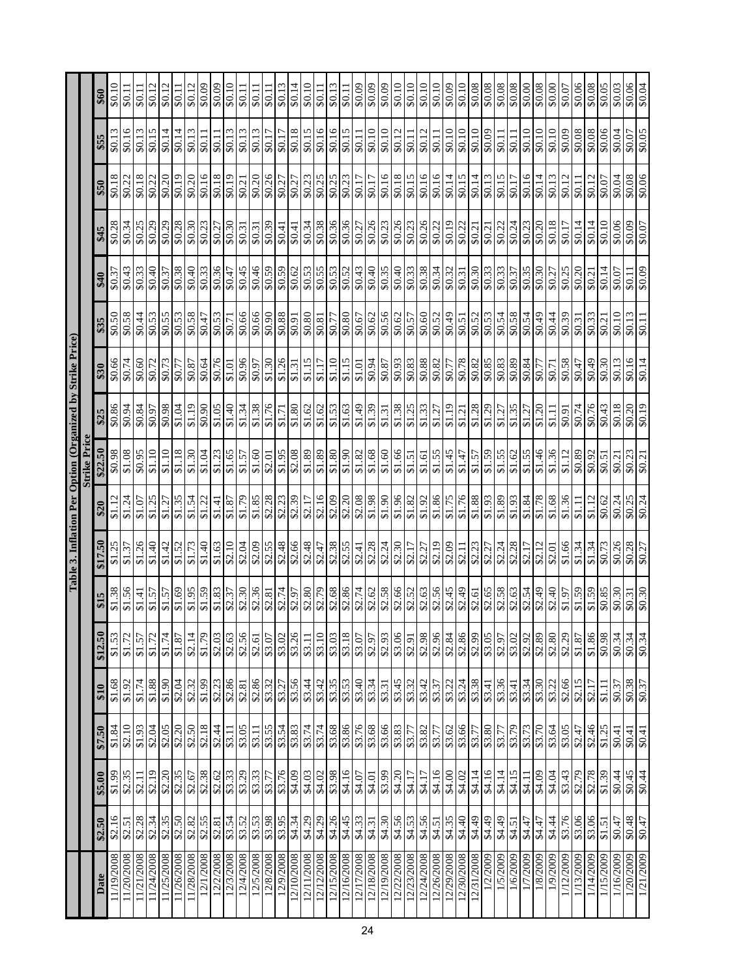|                                                           |                     | \$60    |                          |                       | $\overline{$0.12}$ | \$0.12     | \$0.11     | \$0.12                | \$0.09        | 60.0\$                        | $\frac{10}{10}$       | \$0.11                 | \$0.11                     | \$0.11    | \$0.13    | \$0.14                                    | \$0.10                | \$0.11                           | \$0.13     | \$0.11     | \$0.09     | \$0.09                                                                | 60.0\$     | \$0.10                                    | \$0.10            | \$0.10     | \$0.10     | \$0.09                | \$0.10                     | \$0.08     | 80.08                      |        | \$0.08   | 00.0\$                | \$0.08   | \$0.00   | \$0.07                | 80.06                 | \$0.08                  | \$0.05    | \$0.03                | \$0.06<br>\$0.04       |  |
|-----------------------------------------------------------|---------------------|---------|--------------------------|-----------------------|--------------------|------------|------------|-----------------------|---------------|-------------------------------|-----------------------|------------------------|----------------------------|-----------|-----------|-------------------------------------------|-----------------------|----------------------------------|------------|------------|------------|-----------------------------------------------------------------------|------------|-------------------------------------------|-------------------|------------|------------|-----------------------|----------------------------|------------|----------------------------|--------|----------|-----------------------|----------|----------|-----------------------|-----------------------|-------------------------|-----------|-----------------------|------------------------|--|
|                                                           |                     | \$55    | \$0.16<br>\$0.13         |                       | \$0.15             | \$0.14     | \$0.14     | \$0.13                | \$0.11        | \$0.11                        | \$0.13                | \$0.13                 | \$0.13                     | 17.0\$    | \$0.17    | \$0.18                                    | \$0.15                | \$0.16                           | \$0.16     | \$0.15     | \$0.11     | \$0.10                                                                | \$0.10     | \$0.12                                    | \$0.11            | \$0.12     | \$0.11     | \$0.10                | \$0.10                     | \$0.10     | 60.0\$                     | \$0.11 | \$0.11   | \$0.10                | 60.10    | \$0.10   | \$0.09                | 80.08                 | \$0.08                  | \$0.06    | \$0.04                | \$0.07                 |  |
|                                                           |                     | \$50    | \$0.18<br>\$0.22         | \$0.18                | $\sqrt{$2,22}$     | \$0.20     | \$0.19     | \$0.20                | \$0.16        | \$0.18                        | \$0.19                | \$0.21                 | \$0.20                     | \$0.26    | \$0.27    | \$0.27                                    | \$0.23                | \$0.25                           | \$0.25     | \$0.23     | \$0.17     | \$0.17                                                                | \$0.16     | \$0.18                                    | \$0.15            | \$0.16     | \$0.16     | $\frac{14}{14}$       | \$0.15                     | \$0.14     | $\sqrt{$0.13}$             | \$0.15 | \$0.17   | \$0.16                | \$0.14   | \$0.13   | \$0.12                | \$0.11                | \$0.12                  | \$0.07    | \$0.04                | 80.08                  |  |
|                                                           |                     | \$45    | \$0.28<br>\$0.34         | \$0.25                | \$0.29             | \$0.29     | \$0.28     | \$0.30                | \$0.23        | \$0.27                        | \$0.30                | \$0.31                 | \$0.31                     | \$0.39    | \$0.41    | \$0.41                                    |                       | 80.34                            | \$0.36     | \$0.36     | \$0.27     | \$0.26                                                                | \$0.23     | \$0.26                                    | \$0.23            | \$0.26     | \$0.22     | \$0.19                | \$0.22                     | \$0.21     | \$0.21                     | \$0.22 | \$0.24   | \$0.23                | \$0.20   | \$0.18   | \$0.17                | \$0.14                | \$0.14                  | \$0.10    | \$0.06                | $\frac{20.09}{100}$    |  |
|                                                           |                     | \$40    | \$0.43<br>\$0.37         | \$0.33                | \$0.40             | \$0.37     | \$0.38     | \$0.40                | \$0.33        | \$0.36                        | $\frac{1}{20.47}$     | \$0.45                 | \$0.46                     | \$0.59    | \$0.59    | \$0.62                                    |                       | \$0.53                           | \$0.53     | \$0.52     | \$0.43     | \$0.40                                                                | \$0.35     | \$0.40                                    | \$0.33            | \$0.38     | \$0.34     | $\frac{$0.32}{0.31}$  |                            | \$0.30     | \$0.33                     |        | \$0.37   | \$0.35                | \$0.30   | \$0.27   | \$0.25                | \$0.20                | \$0.21                  | \$0.14    | \$0.07                | 60.0\$                 |  |
|                                                           |                     | \$35    | \$0.50<br>\$0.58         | \$0.44                | \$0.53             | \$0.55     | \$0.53     | \$0.58                | \$0.47        | \$0.53                        | \$0.71                | \$0.66                 | \$0.66<br>\$0.90<br>\$0.88 |           |           |                                           | \$0.80                | \$0.81                           | \$0.77     | \$0.80     | \$0.67     | \$0.62                                                                | \$0.56     | \$0.62                                    | \$0.57            | \$0.60     | \$0.52     | $rac{$0.51}{$0.51}$   |                            | \$0.52     | \$0.54                     |        | 80.58    | $\frac{60.08}{75.05}$ |          | \$0.44   | \$0.39                | \$0.31                | \$0.33                  | \$0.21    | \$0.10                | $\frac{$0.13}{0.11}$   |  |
| Table 3. Inflation Per Option (Organized by Strike Price) |                     | \$30    | \$0.66<br>\$0.74         | \$0.60                | \$0.72             | \$0.73     | \$0.77     | \$0.87                | \$0.64        | \$0.76                        | $\overline{\$1.01}$   | \$0.96                 | \$0.97                     | \$1.30    | \$1.26    | \$1.31                                    | \$1.15                | \$1.17                           | \$1.10     | \$1.15     | \$1.01     | \$0.94                                                                | \$0.87     | \$0.93                                    | $\frac{$0.83}{2}$ | \$0.88     | \$0.82     | \$0.77                | 87.0\$                     | \$0.82     | 80.83                      |        | 80.89    | <b>8.03</b>           | \$0.77   | \$0.71   | \$0.58                | \$0.47                | 60.49                   | \$0.30    | \$0.13                | 80.14                  |  |
|                                                           |                     | \$25    | \$0.86<br>46.0\$         | \$0.84                | 6.03               | \$6.0\$    | \$1.04     | \$1.19                | 06.0\$        | \$1.05                        | 81.34                 |                        | \$1.38                     | 81.76     | \$1.71    | \$1.80                                    |                       | $$1.62$<br>$$1.62$               | \$1.53     | \$1.63     | 64.149     | \$1.39                                                                | \$1.31     | \$1.38                                    | \$1.25            | \$1.33     | \$1.27     | \$1.19                | \$1.21                     | \$1.28     | $rac{$2.29}{$1.27}$        |        | \$1.35   | \$1.27                | \$1.20   | \$1.11   | 16.03                 | \$0.74                | \$0.76                  | \$0.43    | 80.18                 | $\frac{$0.20}{$0.19}$  |  |
|                                                           | <b>Strike Price</b> | \$22.50 | \$0.98<br>80.1\$         | \$0.95                | \$1.10             | \$1.10     | \$1.18     | \$1.30                | \$1.04        | \$1.23                        | \$1.65                | \$1.57                 | \$1.60                     | \$2.01    | \$1.95    | \$2.08                                    | \$1.89                | \$1.89                           | \$1.80     | 06.1\$     | \$1.82     | \$1.68                                                                | \$1.60     | \$1.66                                    | \$1.51            | \$1.61     | \$1.55     | \$1.45                | \$1.47                     | \$1.57     | S1.59<br>S1.55             |        | \$1.62   | \$1.55                | \$1.46   | \$1.36   | \$1.12                | 80.89                 | \$0.92                  | \$0.51    | \$0.21                | $\frac{$0.23}{$0.21}$  |  |
|                                                           |                     | \$20    | \$1.12<br>\$1.24         | \$1.07                | \$1.25             | \$1.27     | \$1.35     | \$1.54                | \$1.22        | \$1.41                        | \$1.87                | 81.79                  | \$1.85                     | \$2.28    | \$2.23    | \$2.39                                    | $\frac{$2.17}{$2.16}$ |                                  | \$2.09     | \$2.20     | \$2.08     | \$1.98                                                                | 06.1\$     | \$1.96                                    | \$1.82            | \$1.92     | \$1.86     | \$1.75                | \$1.76                     | \$1.88     | 81.89                      |        | \$1.93   | \$1.84                | \$1.78   | \$1.68   | \$1.36                | \$1.11                | \$1.12                  | \$0.62    | \$0.24                | \$0.25                 |  |
|                                                           |                     | \$17.50 | \$1.25<br>\$1.37         | \$1.26                | $\sqrt{$1.40}$     | \$1.42     | \$1.52     | \$1.73                | \$1.40        | \$1.63                        | $\frac{$2.10}{$2.04}$ |                        | \$2.09                     | \$2.55    | \$2.48    | \$2.66                                    |                       | $rac{$2.48}{$2.47}$              | \$2.38     | \$2.55     | \$2.41     | \$2.28                                                                | \$2.24     | $\frac{$2.30}{$2.17}$                     |                   | \$2.27     | \$2.19     | $\frac{$2.09}{$2.11}$ |                            | \$2.23     | \$2.27<br>\$2.24           |        | \$2.28   | \$2.17                | \$2.12   | \$2.01   | \$1.66                | \$1.34                | \$1.34                  | \$0.73    | \$0.26                | $\frac{$2.28}{0.27}$   |  |
|                                                           |                     | \$15    | \$1.38<br>\$1.56         | \$1.41                | \$1.57             | \$1.57     | \$1.69     | \$1.95                | \$1.59        | \$1.83                        |                       | \$2.37<br>\$2.30       | 82.36                      |           | \$2.74    | \$2.97                                    |                       | \$2.79                           | \$2.68     | \$2.86     | \$2.74     | \$2.62                                                                | \$2.58     | \$2.52                                    |                   | \$2.63     | \$2.56     | $rac{$2.45}{$2.49}$   |                            |            | \$2.61<br>\$2.65<br>\$2.58 |        | \$2.63   |                       | 82.54    | \$2.40   | \$1.97                | 65.13                 | \$1.59                  | \$0.85    | $\frac{$0.30}{$0.31}$ |                        |  |
|                                                           |                     | \$12.50 | \$1.53<br>\$1.72         | \$1.57                | \$1.72             | \$1.74     | \$1.87     | \$2.14                | $\sqrt{1.79}$ |                               |                       | $\frac{82.03}{82.56}$  | $\frac{$2.61}{$3.07}$      |           |           | $\sqrt{$3.26}$                            |                       | 83.10                            | \$3.03     | \$3.18     |            | \$3.07<br>\$2.97                                                      | \$2.93     | $\frac{8,88}{8,28}$                       |                   |            |            |                       |                            |            | 82.99<br>83.05<br>82.97    |        | \$3.02   |                       |          |          | $\frac{92.92}{92.89}$ | \$1.87                | \$1.86                  | \$0.98    | $\frac{12}{10.34}$    |                        |  |
|                                                           |                     | 610     | $\frac{$1.68}{$1.92}$    |                       | \$1.88             | 06.13      | \$2.04     | $rac{$2.32}{$1.99}$   |               |                               |                       | $\frac{32.23}{\$2.81}$ | 82.86<br>83.32<br>83.27    |           |           | 8542                                      |                       |                                  |            |            |            | $\frac{35}{33}$<br>$\frac{3}{33}$<br>$\frac{3}{33}$<br>$\frac{4}{33}$ | \$3.31     | \$3.32<br>\$3.32<br>\$3.42                |                   |            | \$3.37     |                       | $\frac{33.21}{33.38}$      |            |                            |        |          |                       |          |          | \$2.66                | $\frac{$2.15}{$2.17}$ |                         | \$1.11    | \$0.37                | $\frac{$0.38}{$0.37}$  |  |
|                                                           |                     | \$7.50  | \$2.10<br>\$1.84         | \$1.93                | \$2.04             | \$2.05     |            | $\frac{$2.20}{$2.50}$ | \$2.18        | \$2.44                        |                       | \$3.05                 |                            |           |           | 83.11<br>83.54<br>83.83<br>83.74<br>83.74 |                       |                                  |            |            |            |                                                                       |            | 83.68<br>83.76<br>83.68<br>83.87<br>83.82 |                   |            | \$3.77     |                       | \$3.62<br>\$3.66<br>\$3.77 |            | 83.77                      |        | \$3.79   | \$3.73                | \$3.70   |          | 83.05                 | \$2.47                | $rac{$2.46}{$1.25}$     |           | $\sqrt{$}0.41$        | $\frac{$6.41}{$0.41}$  |  |
|                                                           |                     | \$5.00  | 66.1\$                   | $\frac{32.35}{82.19}$ |                    | \$2.20     | \$2.35     | \$2.67                |               | $\frac{8}{36}$<br>နေ့အိုးများ |                       |                        | 83.77                      |           |           | 81.09                                     |                       | 84.03<br>84.02<br>84.16<br>84.07 |            |            |            |                                                                       | 84.01      | 84.17                                     |                   | \$4.17     | \$4.16     | $\frac{20.95}{24.02}$ |                            | \$4.14     | <b>S4.15</b><br>\$4.15     |        |          | \$4.11                | 84.04    |          | \$3.43                |                       | 82.79<br>82.78<br>81.39 |           | \$0.44                | $\frac{80.45}{30.44}$  |  |
|                                                           |                     | \$2.50  | \$2.16<br>\$2.51         | \$2.28                | \$2.34             | \$2.35     |            | 82.50<br>82.55        |               | \$2.81                        |                       | \$3.54                 | \$3.53                     | \$3.98    |           | \$4.34                                    |                       | \$4.29                           | \$4.26     | \$4.45     | \$4.33     | \$4.31                                                                | \$4.30     | \$4.55<br>\$4.53                          |                   | \$4.56     | \$4.51     | 84.40                 |                            | \$4.49     | 84.49                      |        | \$4.51   | \$4.47                | \$4.47   | \$4.44   | \$3.76                | \$3.06                | \$3.06                  | 51.51     | \$0.47                | $\frac{$6.48}{$6.47}$  |  |
|                                                           |                     | Date    | 11/19/2008<br>11/20/2008 | 11/21/2008            | 11/24/2008         | 11/25/2008 | 11/26/2008 | 11/28/2008            | 12/1/2008     | 12/2/2008                     |                       | 12/3/2008<br>12/4/2008 | 12/5/2008                  | 12/8/2008 | 12/9/2008 | 12/10/2008                                |                       | 12/11/2008<br>12/12/2008         | 12/15/2008 | 12/16/2008 | 12/17/2008 | 12/18/2008                                                            | 12/19/2008 | 12/22/2008                                | 12/23/2008        | 12/24/2008 | 12/26/2008 | 12/29/2008            |                            | 12/31/2008 | 1/2/2009<br>1/5/2009       |        | 1/6/2009 | 1/7/2009              | 1/8/2009 | 1/9/2009 | 1/12/2009             | 1/13/2009             | 1/14/2009               | 1/15/2009 | 1/16/2009             | 1/20/2009<br>1/21/2009 |  |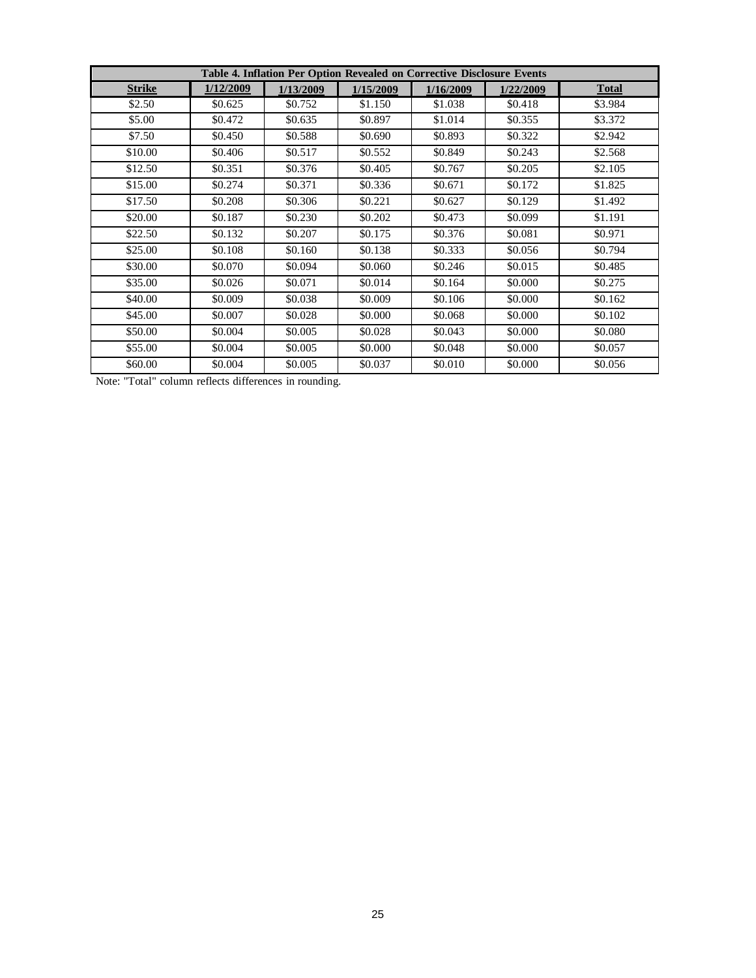|               |           |           | Table 4. Inflation Per Option Revealed on Corrective Disclosure Events |           |           |              |
|---------------|-----------|-----------|------------------------------------------------------------------------|-----------|-----------|--------------|
| <b>Strike</b> | 1/12/2009 | 1/13/2009 | 1/15/2009                                                              | 1/16/2009 | 1/22/2009 | <b>Total</b> |
| \$2.50        | \$0.625   | \$0.752   | \$1.150                                                                | \$1.038   | \$0.418   | \$3.984      |
| \$5.00        | \$0.472   | \$0.635   | \$0.897                                                                | \$1.014   | \$0.355   | \$3.372      |
| \$7.50        | \$0.450   | \$0.588   | \$0.690                                                                | \$0.893   | \$0.322   | \$2.942      |
| \$10.00       | \$0.406   | \$0.517   | \$0.552                                                                | \$0.849   | \$0.243   | \$2.568      |
| \$12.50       | \$0.351   | \$0.376   | \$0.405                                                                | \$0.767   | \$0.205   | \$2.105      |
| \$15.00       | \$0.274   | \$0.371   | \$0.336                                                                | \$0.671   | \$0.172   | \$1.825      |
| \$17.50       | \$0.208   | \$0.306   | \$0.221                                                                | \$0.627   | \$0.129   | \$1.492      |
| \$20.00       | \$0.187   | \$0.230   | \$0.202                                                                | \$0.473   | \$0.099   | \$1.191      |
| \$22.50       | \$0.132   | \$0.207   | \$0.175                                                                | \$0.376   | \$0.081   | \$0.971      |
| \$25.00       | \$0.108   | \$0.160   | \$0.138                                                                | \$0.333   | \$0.056   | \$0.794      |
| \$30.00       | \$0.070   | \$0.094   | \$0.060                                                                | \$0.246   | \$0.015   | \$0.485      |
| \$35.00       | \$0.026   | \$0.071   | \$0.014                                                                | \$0.164   | \$0.000   | \$0.275      |
| \$40.00       | \$0.009   | \$0.038   | \$0.009                                                                | \$0.106   | \$0.000   | \$0.162      |
| \$45.00       | \$0.007   | \$0.028   | \$0.000                                                                | \$0.068   | \$0.000   | \$0.102      |
| \$50.00       | \$0.004   | \$0.005   | \$0.028                                                                | \$0.043   | \$0.000   | \$0.080      |
| \$55.00       | \$0.004   | \$0.005   | \$0.000                                                                | \$0.048   | \$0.000   | \$0.057      |
| \$60.00       | \$0.004   | \$0.005   | \$0.037                                                                | \$0.010   | \$0.000   | \$0.056      |

Note: "Total" column reflects differences in rounding.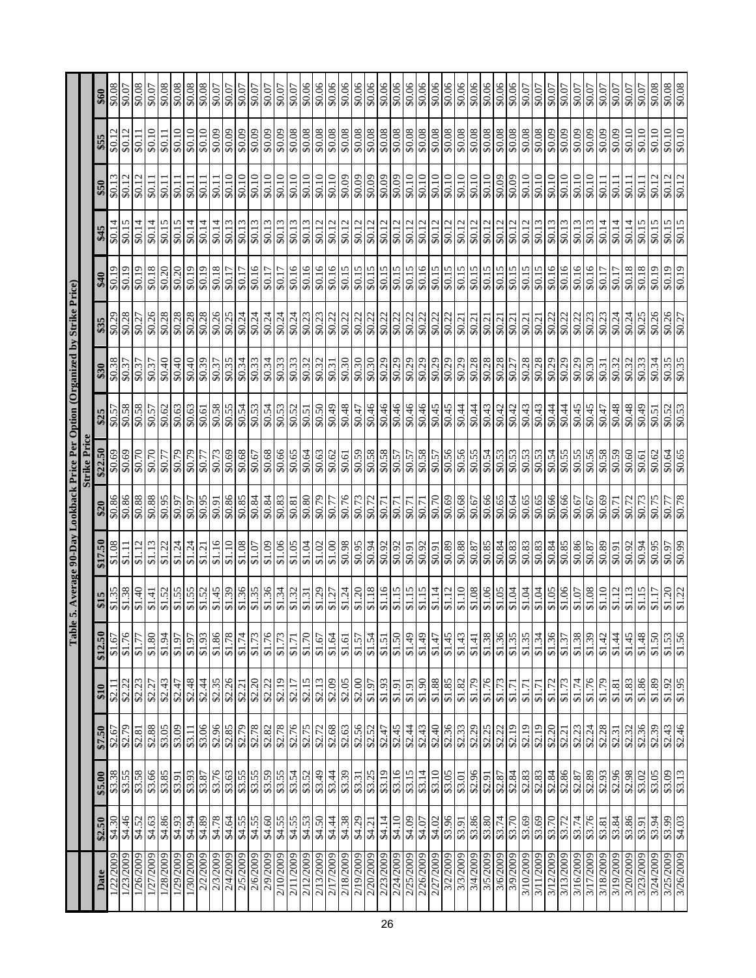|                        |                  |                     |                       |                     | Tabl             | e 5. Average 90-Day Lookback Price Per Option (Organized by Strike Price)<br>Strike Price |                  |                  |                       |                      |                         |                           |                  |                  |                       |                       |                  |
|------------------------|------------------|---------------------|-----------------------|---------------------|------------------|-------------------------------------------------------------------------------------------|------------------|------------------|-----------------------|----------------------|-------------------------|---------------------------|------------------|------------------|-----------------------|-----------------------|------------------|
|                        |                  |                     |                       |                     |                  |                                                                                           |                  |                  |                       |                      |                         |                           |                  |                  |                       |                       |                  |
| Date                   | \$2.50           | \$5.00              | \$7.50                | \$10                | \$12.50          | \$15                                                                                      | \$17.50          | \$20             | \$22.50               | \$25                 | \$30                    | \$35                      | \$40             | \$45             | \$50                  | \$55                  | \$60             |
| 1/22/2009              | 84.30            | 83.38               | $\sqrt{$2.67}$        | \$2.11              | \$1.67           | \$1.35                                                                                    | 80.1\$           | \$0.86           | \$0.69                | 5.03                 | $\overline{$80.38}$     | \$0.29                    | \$0.19           | \$0.14           | \$0.13                | \$0.12                | 80.08            |
| 1/23/2009              | \$4.46           | \$3.55              | \$2.79                | \$2.22              | \$1.76           | \$1.38                                                                                    | \$1.11           | 88.0\$           | \$0.69                | 80.58                | \$0.37                  | \$0.28                    | \$0.19           | \$0.15           | \$0.12                | \$0.12                | \$0.07           |
| 1/26/2009              | \$4.52           | \$3.58              | \$2.81                | \$2.23              | \$1.77           | \$1.40                                                                                    | \$1.12           |                  | \$0.70                | 80.58                | \$0.37                  | \$0.27                    | 61.03            | 40.14            | \$0.12                | \$0.11                | 80.08            |
| 1/27/2009<br>1/28/2009 | \$4.63<br>\$4.86 | \$3.66<br>\$3.85    | \$2.88<br>\$3.05      | \$2.43<br>\$2.27    | \$1.80<br>\$1.94 | \$1.52<br>\$1.41                                                                          | \$1.13<br>\$1.22 | \$0.88<br>\$0.95 | \$0.70<br>\$0.77      | \$0.57<br>\$0.62     | 0.40<br>\$0.37          | \$0.26<br>$\frac{1}{100}$ | \$0.18<br>\$0.20 | \$0.14<br>\$0.15 | \$0.11<br>\$0.11      | \$0.10<br>\$0.11      | \$0.08<br>\$0.07 |
| 1/29/2009              | \$4.93           | \$3.91              | \$3.09                | \$2.47              | 16.13            | \$1.55                                                                                    | \$1.24           | <b>L6.0\$</b>    | \$0.79                | \$0.63               | \$0.40                  | \$0.28                    | \$0.20           | \$0.15           | \$0.11                | \$0.10                | 80.08            |
| 1/30/2009              | \$4.94           | \$3.93              | \$3.11                | \$2.48              | \$1.97           | $\frac{$1.55}{2}$                                                                         | \$1.24           |                  | \$0.79                | \$0.63               | \$0.40                  | \$0.28                    | \$0.19           | \$0.14           | \$0.11                | \$0.10                | \$0.08           |
| 2/2/2009               | \$4.89           | \$3.87              | \$3.06                | \$2.44              | \$1.93           | \$1.52                                                                                    | \$1.21           | 56.0\$           | \$0.77                | \$0.61               | 80.39                   | \$0.28                    | \$0.19           | \$0.14           | \$0.11                | \$0.10                | 80.08            |
| 2/3/2009               | \$4.78           | \$3.76              | \$2.96                | \$2.35              | 81.86            | \$1.45                                                                                    | \$1.16           | \$0.91           | \$0.73                | \$0.58               | \$0.37                  | 80.26                     | \$0.18           | \$0.14           | \$0.11                | \$0.09                | \$0.07           |
| 2/4/2009               | \$4.64           | \$3.63              | \$2.85                | \$2.26              | \$1.78           | \$1.39                                                                                    | \$1.10           | \$0.86           | \$0.69                | \$0.55               | \$0.35                  | \$0.25                    | \$0.17           | \$0.13           | \$0.10                | 60.09                 | \$0.07           |
| 2/5/2009               | \$4.55           | \$3.55              | \$2.79                | \$2.21              | \$1.74           | \$1.36                                                                                    | \$1.08           | \$0.85           | \$0.68                | \$0.54               | \$0.34                  | \$0.24                    | \$0.17           | \$0.13           | \$0.10                | \$0.09                | \$0.07           |
| 2/6/2009               | \$4.55           | \$3.55              | \$2.78                | \$2.20              | \$1.73           | \$1.35                                                                                    | 1.07             | <b>18.0\$</b>    | \$0.67                | \$0.53               | \$0.33                  | \$0.24                    | \$0.16           | \$0.13           | \$0.10                | 60.0\$                | \$0.07           |
| 2/9/2009               | \$4.60           | \$3.59              | \$2.82                | \$2.22              | \$1.76           | \$1.36                                                                                    | \$1.09           | \$0.84           | \$0.68                | \$0.54               | \$0.34                  | \$0.24                    | \$0.17           | \$0.13           | \$0.10                | \$0.09                | \$0.07           |
| 2/10/2009              | \$4.55           | \$3.55              | \$2.78                | \$2.19              | \$1.73           | \$1.34                                                                                    | \$1.06           | \$0.83           | \$0.66                | \$0.53               | \$0.33                  | \$0.24                    | \$0.17           | \$0.13           | \$0.10                | \$0.09                | \$0.07           |
| 2/11/2009              | \$4.55           | \$3.54              | \$2.76                | \$2.17              | \$1.71           | \$1.32                                                                                    | \$1.05           | \$0.81           | \$0.65                | \$0.52               | \$0.33                  | \$0.24                    | \$0.16           | \$0.13           | \$0.10                | 80.08                 | \$0.07           |
| 2/12/2009              | 84.50            | \$3.52              | \$2.75                | \$2.15              | \$1.70           | \$1.31                                                                                    | \$1.04           | \$0.80           | 59.0\$<br>49.0\$      | \$0.51               | $\overline{$}80.32$     | \$0.23                    | \$0.16           | \$0.13           | $\frac{50.10}{50.10}$ | $\frac{80.08}{80.08}$ | 60.06            |
| 2/13/2009              |                  | \$3.49              | \$2.72                | \$2.13              | \$1.67           | \$1.29                                                                                    | \$1.02           | \$0.79           |                       | \$0.50               | \$0.32                  | \$0.23                    | \$0.16           | \$0.12           | \$0.10                |                       | \$0.06           |
| 2/17/2009              | \$4.38           | \$3.39              | $\frac{$2.68}{$2.63}$ | \$2.09              | \$1.64           | \$1.27                                                                                    | 81.00            | 17.0\$           | $\frac{$0.62}{$0.61}$ | 87.0\$               | \$0.31                  | \$0.22                    | \$0.16           | \$0.12           | $\sqrt{$0.10}$        | 80.08                 | \$0.06           |
| 2/18/2009              |                  |                     |                       | \$2.05              | \$1.61           | \$1.24                                                                                    | \$0.98           | $\frac{1}{6}$    |                       |                      | \$0.30                  | \$0.22                    | \$0.15           | \$0.12           | \$0.09                |                       | \$0.06           |
| 2/19/2009              | \$4.29           | \$3.31              | \$2.56                | \$2.00              | \$1.57           | \$1.20                                                                                    | \$0.95           | \$0.73           | \$0.59                | \$0.47               | \$0.30                  | \$0.22                    | \$0.15           | \$0.12           | \$0.09                | \$0.08                | \$0.06           |
| 2/20/2009              | \$4.21           | \$3.25              | \$2.52                | \$1.97              | \$1.54           | \$1.18                                                                                    | <b>r6:0\$</b>    | \$0.72           | \$0.58                | 94.0\$               | \$0.30                  | \$0.22                    | \$0.15           | \$0.12           | \$0.09                | \$0.08                | 90.0\$           |
| 2/23/2009              | \$4.14           | \$3.19              | \$2.47                | \$1.93              | \$1.51           | \$1.16                                                                                    | \$0.92           | \$0.71           | \$0.58                | \$0.46               | \$0.29                  | \$0.22                    | \$0.15           | \$0.12           | \$0.09                | \$0.08                | \$0.06           |
| 2/24/2009              | \$4.10           | \$3.16              | \$2.45                | \$1.91              | \$1.50           | \$1.15                                                                                    | \$0.92           | \$0.71           | \$0.57                | \$0.46               | \$0.29                  | \$0.22                    | \$0.15           | \$0.12           | \$0.09                | \$0.08                | \$0.06           |
| 2/25/2009              | 84.09            | \$3.15              | \$2.44                | \$1.91              | \$1.49           | \$1.15                                                                                    | \$0.91           | \$0.71           | \$0.57                | \$0.46               | \$0.29                  | \$0.22                    | \$0.15           | \$0.12           | \$0.10                | \$0.08                | \$0.06           |
| 2/26/2009              | \$4.07           | \$3.14              | \$2.43                | \$1.90              | \$1.49           | \$1.15                                                                                    | \$0.92           | \$0.71           | \$0.58                | \$0.46               | \$0.29                  | \$0.22                    | \$0.16           | \$0.12           | \$0.10                | 80.08                 | 80.08            |
| 2/27/2009              | \$4.02           | \$3.10              | \$2.40                | \$1.88              | \$1.47           | \$1.14                                                                                    | \$0.91           | \$0.70           | \$0.57                | \$0.45               | \$0.29                  | \$0.22                    | \$0.15           | \$0.12           | \$0.10                | \$0.08                | \$0.06           |
| 3/2/2009               | \$3.96           | \$3.05              | \$2.36                | \$1.85              | \$1.45           | \$1.12                                                                                    | \$0.89           | \$0.69           | \$0.56                | \$0.45               | $\frac{1}{100}$         | \$0.22                    | \$0.15           | \$0.12           | \$0.10                | 80.0\$                | \$0.06           |
| 3/3/2009               | \$3.91           | \$3.01              | \$2.33                | \$1.82              | \$1.43           | \$1.10                                                                                    | 88.0\$           | 80.68            | \$0.56                | \$0.44               | \$0.29                  | \$0.21                    | \$0.15           | \$0.12           | \$0.10                | 80.08                 | $\frac{1}{100}$  |
| 3/4/2009               | \$3.86           | $rac{$2.96}{$2.91}$ |                       | $\frac{1.79}{1.30}$ | \$1.41           | \$1.08                                                                                    | 80.87            | 50.66<br>50.08   | \$0.54                | £7.0\$<br>+7.0\$     | 80.28                   | $\frac{$0.21}{0.21}$      | \$0.15           | \$0.12           | $\frac{60.10}{01.05}$ | 80.08                 | 80.06            |
| 3/5/2009               | \$3.80           |                     | 82.25<br>82.22        | \$1.76              | \$1.38           | \$1.06                                                                                    |                  |                  |                       |                      |                         |                           | \$0.15           | \$0.12           |                       |                       |                  |
| 3/6/2009               | \$3.74           | \$2.87              |                       | \$1.73              | \$1.36           | \$1.05                                                                                    | \$0.84           | \$0.65           | \$0.53                | \$0.42               | \$0.28                  | \$0.21                    | \$0.15           | \$0.12           | \$0.09                | \$0.08                | \$0.06           |
| 3/9/2009               | \$3.70           | \$2.84              | \$2.19                | \$1.71              | \$1.35           | \$1.04                                                                                    | \$0.83           | \$0.64           |                       | \$0.42               | \$0.27                  | $\sqrt{$0.21}$            | \$0.15           | \$0.12           | 60.0\$                | \$0.08                | 90.0\$           |
| 3/10/2009              | \$3.69           | \$2.83              | \$2.19                | \$1.71              | \$1.35           | \$1.04                                                                                    | \$0.83           | \$0.65           | \$0.53                | \$0.43               | \$0.28                  | \$0.21                    | \$0.15           | \$0.12           | \$0.10                | \$0.08                | \$0.07           |
| 3/11/2009              | \$3.69           | \$2.83              | \$2.19                | \$1.71              | \$1.34           | \$1.04                                                                                    | \$0.83           | $\sqrt{$0.65}$   | \$0.53                | \$0.43               | 80.28                   | \$0.21                    | \$0.15           | \$0.13           | \$0.10                | 80.0\$                | 40.0\$           |
| 3/12/2009              | \$3.70           | \$2.84              | \$2.20                | \$1.72              | \$1.36           | \$1.05                                                                                    | \$0.84           | \$0.66           | \$0.54                | \$0.44               | \$0.29                  | $\frac{$0.22}{0.02}$      | \$0.16           | \$0.13           | \$0.10                | \$0.09                | \$0.07           |
| 3/13/2009              | \$3.72           | \$2.86              | \$2.21                | \$1.73              | \$1.37           | \$1.06                                                                                    | \$0.85           | \$0.66           | \$0.55                | \$0.44               | 62.08                   |                           | \$0.16           | \$0.13           | \$0.10                | 60.0\$                | \$0.07           |
| 3/16/2009              | \$3.74           | \$2.87              | \$2.23                | \$1.74              | 81.38            | \$1.07                                                                                    | \$0.86           | \$0.67           | \$0.55                | \$0.45               | \$0.29                  | \$0.22                    | \$0.16           | \$0.13           | \$0.10                | 60.0\$                | \$0.07           |
| 3/17/2009              | \$3.76           | \$2.89              | \$2.24                | \$1.76              | \$1.39           | \$1.08                                                                                    | £8.0\$           | $\sqrt{$0.67}$   | \$0.56                | \$6.45               | 05.0\$                  | \$0.23                    | \$0.16           | \$0.13           | \$0.10                | 60.0\$                | 40.07            |
| 3/18/2009              | $\sqrt{$3.81}$   | \$2.93              | \$2.28                | 81.79               | \$1.42           | \$1.10                                                                                    | 68.0\$           | $69.0$ \$        | \$0.58                | 20.47                | \$0.31                  | \$0.23                    | 17.0\$           | \$0.14           | \$0.11                | 60.0\$                | 60.07            |
| 3/19/2009              | \$3.84           | \$2.96              | \$2.31                | \$1.81              | \$1.44           | \$1.12                                                                                    | $\sqrt{$0.91}$   | 12:0\$           | \$0.59                | 80.48                | \$0.32                  | \$0.24                    | \$0.17           | \$0.14           | 11.03                 | \$0.09                | $-80.07$         |
| 3/20/2009              | \$3.86           | \$2.98              | \$2.32                | \$1.83              | \$1.45           | \$1.13                                                                                    | \$0.92           | \$0.72           | \$0.60                | 80.48                |                         | \$0.24                    | \$0.18           | \$0.14           | \$0.11                | \$0.10                | \$0.07           |
| 3/23/2009              | \$3.91           | \$3.02              | $\frac{82.36}{82.39}$ | \$1.86              | \$1.48           | \$1.15                                                                                    | 56.0\$           | 80.73            | \$0.61<br>\$0.62      | \$0.51               | 80.32<br>80.33<br>80.34 | \$0.25                    | \$0.18           | \$0.15           | \$0.11                | \$0.10                | \$0.07           |
| 3/24/2009              | \$3.94           |                     |                       | 88.1\$              | \$1.50           | \$1.17                                                                                    |                  | \$0.75           |                       |                      |                         | \$0.26                    | \$0.19           | \$0.15           | \$0.12                | \$0.10                | 80.08            |
| 3/25/2009              | \$3.99           | \$3.09              | \$2.43                | \$1.92              | \$1.53           | \$1.20                                                                                    | 66.0\$           | \$0.77           | \$0.64                | $\frac{$0.52}{0.53}$ | \$0.35<br>\$0.35        | \$0.26                    | \$0.19           | \$0.15           | \$0.12                | \$0.10                | \$0.08           |
| 3/26/2009              | \$4.03           | \$3.13              | \$2.46                | \$1.95              | \$1.56           | \$1.22                                                                                    |                  | \$0.78           | \$0.65                |                      |                         | \$0.27                    | \$0.19           | \$0.15           | \$0.12                | \$0.10                | \$0.08           |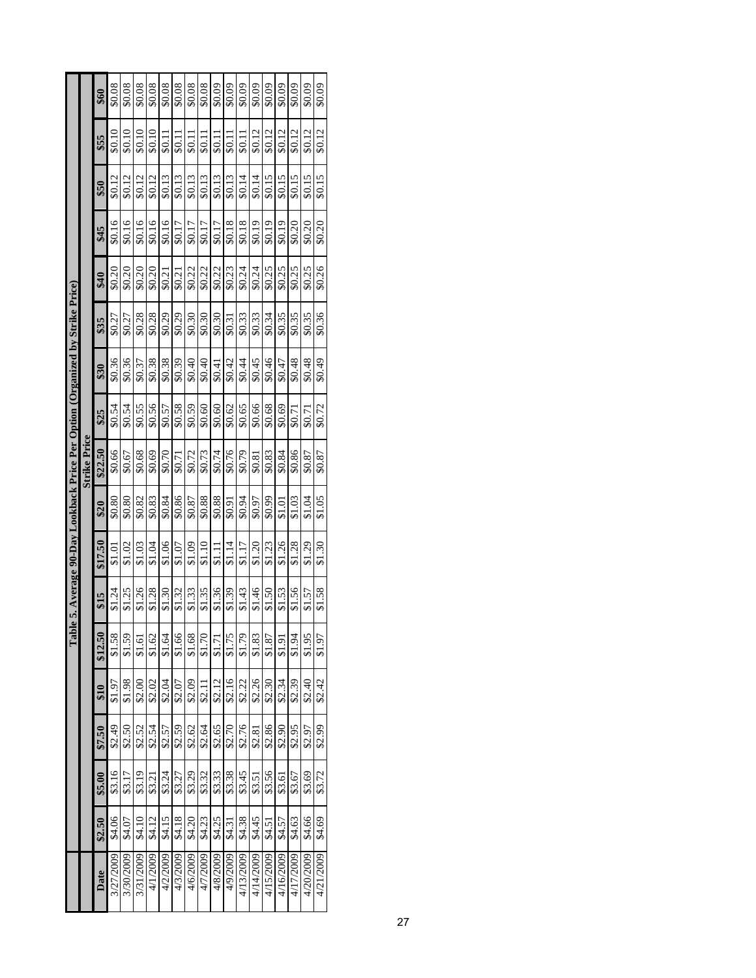|                                                                            |                     | \$60    | \$0.08    | \$0.08    | \$0.08           | \$0.08   | \$0.08   | \$0.08   | \$0.08   | \$0.08  | \$0.09   | \$0.09   | \$0.09    | \$0.09    | \$0.09    | \$0.09    | \$0.09    | \$0.09    | \$0.09    |
|----------------------------------------------------------------------------|---------------------|---------|-----------|-----------|------------------|----------|----------|----------|----------|---------|----------|----------|-----------|-----------|-----------|-----------|-----------|-----------|-----------|
|                                                                            |                     | \$55    | \$0.10    | \$0.10    | \$0.10           | \$0.10   | \$0.11   | \$0.11   | \$0.11   | \$0.11  | \$0.11   | \$0.11   | 50.11     | \$0.12    | \$0.12    | \$0.12    | \$0.12    | \$0.12    | \$0.12    |
|                                                                            |                     | \$50    | \$0.12    | \$0.12    | \$0.12           | \$0.12   | \$0.13   | \$0.13   | \$0.13   | \$0.13  | \$0.13   | \$0.13   | \$0.14    | \$0.14    | \$0.15    | \$0.15    | \$0.15    | \$0.15    | \$0.15    |
|                                                                            |                     | \$45    | \$0.16    | \$0.16    | \$0.16           | \$0.16   | \$0.16   | \$0.17   | \$0.17   | \$0.17  | \$0.17   | \$0.18   | \$0.18    | \$0.19    | \$0.19    | \$0.19    | \$0.20    | \$0.20    | \$0.20    |
|                                                                            |                     | \$40    | \$0.20    | 0.20      | \$0.20           | \$0.20   | \$0.21   | \$0.21   | \$0.22   | \$0.22  | \$0.22   | \$0.23   | \$0.24    | \$0.24    | \$0.25    | \$0.25    | \$0.25    | \$0.25    | \$0.26    |
|                                                                            |                     | \$35    | \$0.27    | \$0.27    | \$0.28           | \$0.28   | \$0.29   | \$0.29   | \$0.30   | \$0.30  | \$0.30   | \$0.31   | \$0.33    | \$0.33    | \$0.34    | \$0.35    | \$0.35    | \$0.35    | \$0.36    |
| he 5. Average 90-Day Lookback Price Per Option (Organized by Strike Price) |                     | \$30    | \$0.36    | \$0.36    | \$0.37           | \$0.38   | \$0.38   | \$0.39   | \$0.40   | \$0.40  | \$0.41   | \$0.42   | \$0.44    | \$0.45    | \$0.46    | \$0.47    | \$0.48    | \$0.48    | \$0.49    |
|                                                                            |                     | \$25    | \$0.54    | \$0.54    | \$0.55           | \$0.56   | \$0.57   | \$0.58   | \$0.59   | \$0.60  | \$0.60   | \$0.62   | \$0.65    | \$0.66    | \$0.68    | \$0.69    | \$0.71    | \$0.71    | \$0.72    |
|                                                                            | <b>Strike Price</b> | \$22.50 | \$0.66    | \$0.67    | \$0.68           | \$0.69   | \$0.70   | \$0.71   | \$0.72   | \$0.73  | \$0.74   | \$0.76   | \$0.79    | \$0.81    | \$0.83    | \$0.84    | \$0.86    | \$0.87    | \$0.87    |
|                                                                            |                     | \$20    | \$0.80    | \$0.80    | \$0.82           | \$0.83   | \$0.84   | \$0.86   | \$0.87   | \$0.88  | \$0.88   | \$0.91   | \$0.94    | \$0.97    | \$0.99    | \$1.01    | \$1.03    | \$1.04    | \$1.05    |
|                                                                            |                     | \$17.50 | \$1.01    | \$1.02    | \$1.03           | \$1.04   | \$1.06   | \$1.07   | \$1.09   | \$1.10  | \$1.11   | \$1.14   | \$1.17    | \$1.20    | \$1.23    | \$1.26    | \$1.28    | \$1.29    | \$1.30    |
|                                                                            |                     | \$15    | \$1.24    | \$1.25    | \$1.26           | \$1.28   | \$1.30   | \$1.32   | \$1.33   | \$1.35  | \$1.36   | \$1.39   | \$1.43    | \$1.46    | $\dot{5}$ | \$1.53    | \$1.56    | \$1.57    | \$1.58    |
| $\Gamma$ ab                                                                |                     | \$12.50 | \$1.58    | \$1.59    | \$1.61           | \$1.62   | \$1.64   | \$1.66   | \$1.68   | \$1.70  | \$1.71   | \$1.75   | \$1.79    | \$1.83    | \$1.87    | \$1.91    | \$1.94    | \$1.95    | \$1.97    |
|                                                                            |                     | \$10    | \$1.97    | \$1.98    | \$2.00           | \$2.02   | \$2.04   | \$2.07   | \$2.09   | \$2.11  | \$2.12   | \$2.16   | \$2.22    | \$2.26    | \$2.30    | \$2.34    | \$2.39    | \$2.40    | \$2.42    |
|                                                                            |                     | \$7.50  | \$2.49    | \$2.50    | \$2.52           | \$2.54   | \$2.57   | \$2.59   | \$2.62   | \$2.64  | \$2.65   | \$2.70   | \$2.76    | \$2.81    | \$2.86    | \$2.90    | \$2.95    | \$2.97    | \$2.99    |
|                                                                            |                     | \$5.00  | \$3.16    | \$3.17    | \$3.19           | \$3.21   | \$3.24   | \$3.27   | \$3.29   | \$3.32  | \$3.33   | \$3.38   | \$3.45    | \$3.51    | \$3.56    | \$3.61    | \$3.67    | \$3.69    | \$3.72    |
|                                                                            |                     | \$2.50  | \$4.06    | \$4.07    | $\mathbf{S}4.10$ | \$4.12   | \$4.15   | \$4.18   | \$4.20   | \$4.23  | \$4.25   | \$4.31   | \$4.38    | \$4.45    | \$4.51    | \$4.57    | \$4.63    | \$4.66    | \$4.69    |
|                                                                            |                     | Date    | 3/27/2009 | 3/30/2009 | 3/31/2009        | 4/1/2009 | 4/2/2009 | 4/3/2009 | 4/6/2009 | 47/2009 | 4/8/2009 | 4/9/2009 | 4/13/2009 | 4/14/2009 | 4/15/2009 | 4/16/2009 | 4/17/2009 | 4/20/2009 | 4/21/2009 |